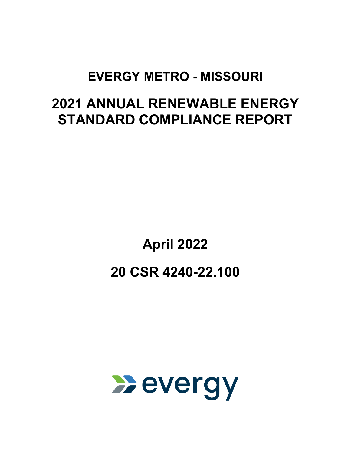# **EVERGY METRO - MISSOURI**

# **2021 ANNUAL RENEWABLE ENERGY STANDARD COMPLIANCE REPORT**

# **April 2022 20 CSR 4240-22.100**

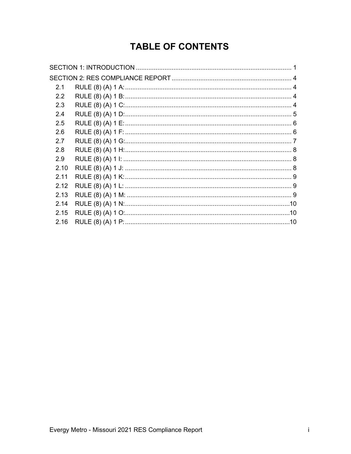# **TABLE OF CONTENTS**

| 2.1           |  |
|---------------|--|
| $2.2^{\circ}$ |  |
| 2.3           |  |
| 2.4           |  |
| 2.5           |  |
| 2.6           |  |
| 2.7           |  |
| 2.8           |  |
| 2.9           |  |
| 2.10          |  |
| 2.11          |  |
| 2.12          |  |
| 2.13          |  |
| 2.14          |  |
| 2.15          |  |
| 2.16          |  |
|               |  |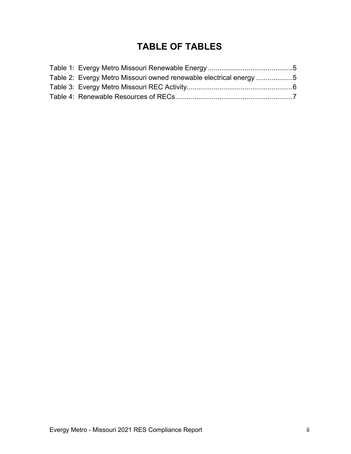# **TABLE OF TABLES**

| Table 2: Evergy Metro Missouri owned renewable electrical energy 5 |  |
|--------------------------------------------------------------------|--|
|                                                                    |  |
|                                                                    |  |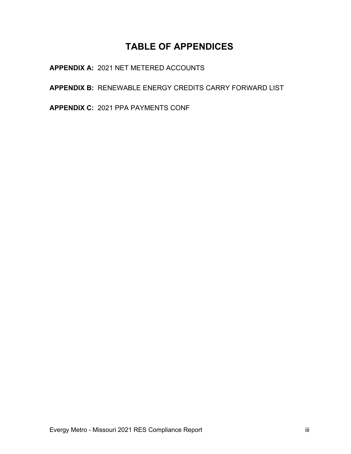# **TABLE OF APPENDICES**

**APPENDIX A:** 2021 NET METERED ACCOUNTS

**APPENDIX B:** RENEWABLE ENERGY CREDITS CARRY FORWARD LIST

**APPENDIX C:** 2021 PPA PAYMENTS CONF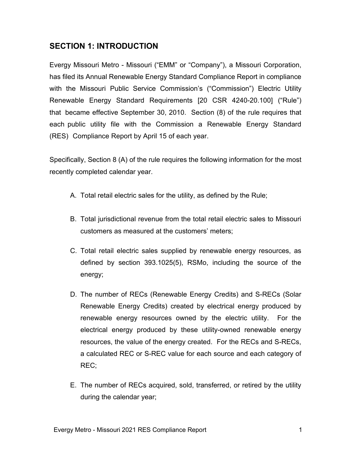#### <span id="page-4-0"></span>**SECTION 1: INTRODUCTION**

Evergy Missouri Metro - Missouri ("EMM" or "Company"), a Missouri Corporation, has filed its Annual Renewable Energy Standard Compliance Report in compliance with the Missouri Public Service Commission's ("Commission") Electric Utility Renewable Energy Standard Requirements [20 CSR 4240-20.100] ("Rule") that became effective September 30, 2010. Section (8) of the rule requires that each public utility file with the Commission a Renewable Energy Standard (RES) Compliance Report by April 15 of each year.

Specifically, Section 8 (A) of the rule requires the following information for the most recently completed calendar year.

- A. Total retail electric sales for the utility, as defined by the Rule;
- B. Total jurisdictional revenue from the total retail electric sales to Missouri customers as measured at the customers' meters;
- C. Total retail electric sales supplied by renewable energy resources, as defined by section 393.1025(5), RSMo, including the source of the energy;
- D. The number of RECs (Renewable Energy Credits) and S-RECs (Solar Renewable Energy Credits) created by electrical energy produced by renewable energy resources owned by the electric utility. For the electrical energy produced by these utility-owned renewable energy resources, the value of the energy created. For the RECs and S-RECs, a calculated REC or S-REC value for each source and each category of REC;
- E. The number of RECs acquired, sold, transferred, or retired by the utility during the calendar year;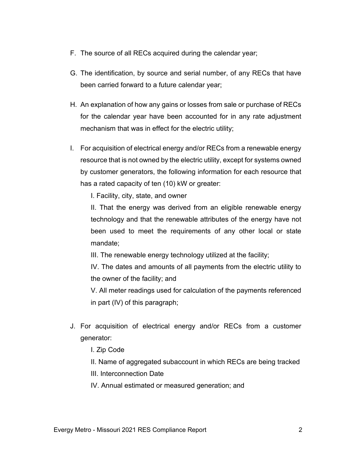- F. The source of all RECs acquired during the calendar year;
- G. The identification, by source and serial number, of any RECs that have been carried forward to a future calendar year;
- H. An explanation of how any gains or losses from sale or purchase of RECs for the calendar year have been accounted for in any rate adjustment mechanism that was in effect for the electric utility;
- I. For acquisition of electrical energy and/or RECs from a renewable energy resource that is not owned by the electric utility, except for systems owned by customer generators, the following information for each resource that has a rated capacity of ten (10) kW or greater:

I. Facility, city, state, and owner

II. That the energy was derived from an eligible renewable energy technology and that the renewable attributes of the energy have not been used to meet the requirements of any other local or state mandate;

III. The renewable energy technology utilized at the facility;

IV. The dates and amounts of all payments from the electric utility to the owner of the facility; and

V. All meter readings used for calculation of the payments referenced in part (IV) of this paragraph;

- J. For acquisition of electrical energy and/or RECs from a customer generator:
	- I. Zip Code
	- II. Name of aggregated subaccount in which RECs are being tracked
	- III. Interconnection Date

IV. Annual estimated or measured generation; and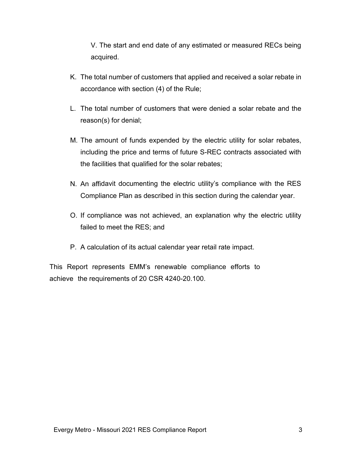V. The start and end date of any estimated or measured RECs being acquired.

- K. The total number of customers that applied and received a solar rebate in accordance with section (4) of the Rule;
- L. The total number of customers that were denied a solar rebate and the reason(s) for denial;
- M. The amount of funds expended by the electric utility for solar rebates, including the price and terms of future S-REC contracts associated with the facilities that qualified for the solar rebates;
- N. An affidavit documenting the electric utility's compliance with the RES Compliance Plan as described in this section during the calendar year.
- O. If compliance was not achieved, an explanation why the electric utility failed to meet the RES; and
- P. A calculation of its actual calendar year retail rate impact.

This Report represents EMM's renewable compliance efforts to achieve the requirements of 20 CSR 4240-20.100.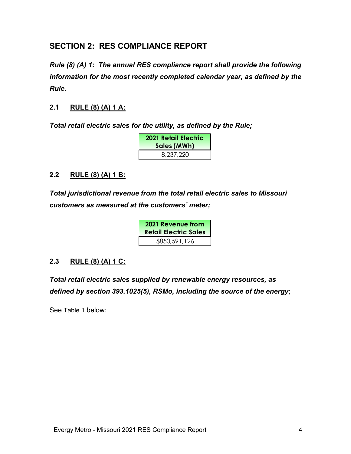#### <span id="page-7-0"></span>**SECTION 2: RES COMPLIANCE REPORT**

*Rule (8) (A) 1: The annual RES compliance report shall provide the following information for the most recently completed calendar year, as defined by the Rule.*

#### <span id="page-7-1"></span>**2.1 RULE (8) (A) 1 A:**

*Total retail electric sales for the utility, as defined by the Rule;* 

| 2021 Retail Electric<br>Sales (MWh) |
|-------------------------------------|
| 8,237,220                           |

#### <span id="page-7-2"></span>**2.2 RULE (8) (A) 1 B:**

*Total jurisdictional revenue from the total retail electric sales to Missouri customers as measured at the customers' meter;*

| 2021 Revenue from<br><b>Retail Electric Sales</b> |
|---------------------------------------------------|
| \$850,591,126                                     |

#### <span id="page-7-3"></span>**2.3 RULE (8) (A) 1 C:**

*Total retail electric sales supplied by renewable energy resources, as defined by section 393.1025(5), RSMo, including the source of the energy***;** 

See [Table 1](#page-8-1) below: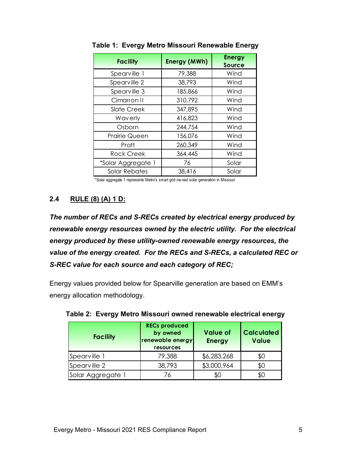| <b>Facility</b>      | <b>Energy (MWh)</b> | <b>Energy</b><br><b>Source</b> |
|----------------------|---------------------|--------------------------------|
| Spearville 1         | 79,388              | Wind                           |
| Spearville 2         | 38,793              | Wind                           |
| Spearville 3         | 185,866             | Wind                           |
| Cimarron II          | 310,792             | Wind                           |
| <b>Slate Creek</b>   | 347,895             | Wind                           |
| Waverly              | 416,823             | Wind                           |
| Osborn               | 244,754             | Wind                           |
| <b>Prairie Queen</b> | 156,076             | Wind                           |
| Pratt                | 260,349             | Wind                           |
| <b>Rock Creek</b>    | 364,445             | Wind                           |
| *Solar Aggregate 1   | 76                  | Solar                          |
| <b>Solar Rebates</b> | 38,416              | Solar                          |

<span id="page-8-1"></span>**Table 1: Evergy Metro Missouri Renewable Energy**

\*Solar aggregate 1 represents Metro's smart grid ow ned solar generation in Missouri

#### <span id="page-8-0"></span>**2.4 RULE (8) (A) 1 D:**

*The number of RECs and S-RECs created by electrical energy produced by renewable energy resources owned by the electric utility. For the electrical energy produced by these utility-owned renewable energy resources, the value of the energy created. For the RECs and S-RECs, a calculated REC or S-REC value for each source and each category of REC;*

Energy values provided below for Spearville generation are based on EMM's energy allocation methodology.

| <b>Facility</b>   | <b>RECs produced</b><br>by owned<br>renewable energy<br>resources | <b>Value of</b><br><b>Energy</b> | <b>Calculated</b><br><b>Value</b> |
|-------------------|-------------------------------------------------------------------|----------------------------------|-----------------------------------|
| Spearville 1      | 79,388                                                            | \$6,283,268                      | \$0                               |
| Spearville 2      | 38,793                                                            | \$3,000,964                      | \$0                               |
| Solar Aggregate 1 | 76                                                                | \$0                              | \$0                               |

<span id="page-8-2"></span>

|  |  |  | Table 2: Evergy Metro Missouri owned renewable electrical energy |  |  |
|--|--|--|------------------------------------------------------------------|--|--|
|--|--|--|------------------------------------------------------------------|--|--|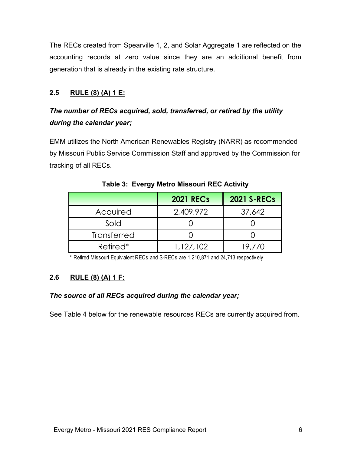The RECs created from Spearville 1, 2, and Solar Aggregate 1 are reflected on the accounting records at zero value since they are an additional benefit from generation that is already in the existing rate structure.

#### <span id="page-9-0"></span>**2.5 RULE (8) (A) 1 E:**

### *The number of RECs acquired, sold, transferred, or retired by the utility during the calendar year;*

EMM utilizes the North American Renewables Registry (NARR) as recommended by Missouri Public Service Commission Staff and approved by the Commission for tracking of all RECs.

<span id="page-9-2"></span>

|                      | <b>2021 RECs</b> | <b>2021 S-RECs</b> |
|----------------------|------------------|--------------------|
| Acquired             | 2,409,972        | 37,642             |
| Sold                 |                  |                    |
| Transferred          |                  |                    |
| Retired <sup>*</sup> | 1,127,102        | 19.770             |

**Table 3: Evergy Metro Missouri REC Activity**

\* Retired Missouri Equiv alent RECs and S-RECs are 1,210,871 and 24,713 respectiv ely

#### <span id="page-9-1"></span>**2.6 RULE (8) (A) 1 F:**

#### *The source of all RECs acquired during the calendar year;*

See [Table 4](#page-10-1) below for the renewable resources RECs are currently acquired from.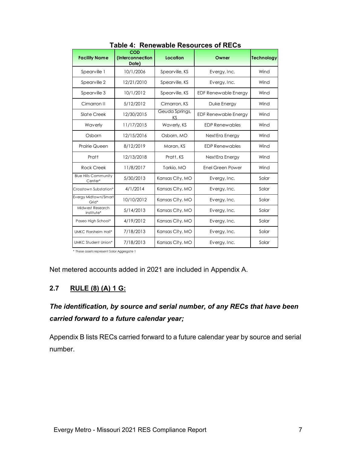<span id="page-10-1"></span>

| <b>Facility Name</b>                   | <b>COD</b><br>(Interconnection | Location             | Owner                       | <b>Technology</b> |
|----------------------------------------|--------------------------------|----------------------|-----------------------------|-------------------|
|                                        | Date)                          |                      |                             |                   |
| Spearville 1                           | 10/1/2006                      | Spearville, KS       | Evergy, Inc.                | Wind              |
| Spearville 2                           | 12/21/2010                     | Spearville, KS       | Evergy, Inc.                | Wind              |
| Spearville 3                           | 10/1/2012                      | Spearville, KS       | <b>EDF Renewable Energy</b> | Wind              |
| Cimarron II                            | 5/12/2012                      | Cimarron, KS         | Duke Energy                 | Wind              |
| Slate Creek                            | 12/30/2015                     | Geuda Springs,<br>ΚS | <b>EDF Renewable Energy</b> | Wind              |
| Waverly                                | 11/17/2015                     | Waverly, KS          | <b>EDP Renewables</b>       | Wind              |
| Osborn                                 | 12/15/2016                     | Osborn, MO           | Next Era Energy             | Wind              |
| <b>Prairie Queen</b>                   | 8/12/2019                      | Moran, KS            | <b>EDP Renewables</b>       | Wind              |
| Pratt                                  | 12/13/2018                     | Pratt, KS            | Next Era Energy             | Wind              |
| <b>Rock Creek</b>                      | 11/8/2017                      | Tarkio, MO           | Enel Green Power            | Wind              |
| <b>Blue Hills Community</b><br>Center* | 5/30/2013                      | Kansas City, MO      | Evergy, Inc.                | Solar             |
| Crosstown Substation*                  | 4/1/2014                       | Kansas City, MO      | Evergy, Inc.                | Solar             |
| Evergy Midtown/Smart<br>Grid*          | 10/10/2012                     | Kansas City, MO      | Evergy, Inc.                | Solar             |
| Midwest Research<br>Institute*         | 5/14/2013                      | Kansas City, MO      | Evergy, Inc.                | Solar             |
| Paseo High School*                     | 4/19/2012                      | Kansas City, MO      | Evergy, Inc.                | Solar             |
| <b>UMKC Flarsheim Hall*</b>            | 7/18/2013                      | Kansas City, MO      | Evergy, Inc.                | Solar             |
| <b>UMKC Student Union*</b>             | 7/18/2013                      | Kansas City, MO      | Evergy, Inc.                | Solar             |

**Table 4: Renewable Resources of RECs**

\* These assets represent Solar Aggregate 1

Net metered accounts added in 2021 are included in Appendix A.

#### <span id="page-10-0"></span>**2.7 RULE (8) (A) 1 G:**

### *The identification, by source and serial number, of any RECs that have been carried forward to a future calendar year;*

Appendix B lists RECs carried forward to a future calendar year by source and serial number.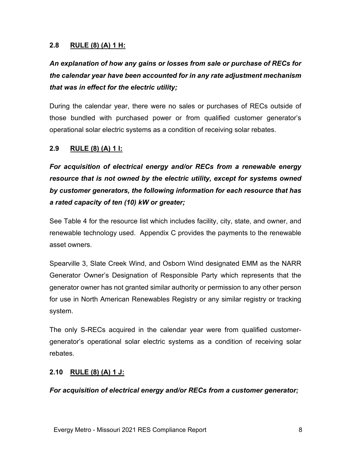#### <span id="page-11-0"></span>**2.8 RULE (8) (A) 1 H:**

# *An explanation of how any gains or losses from sale or purchase of RECs for the calendar year have been accounted for in any rate adjustment mechanism that was in effect for the electric utility;*

During the calendar year, there were no sales or purchases of RECs outside of those bundled with purchased power or from qualified customer generator's operational solar electric systems as a condition of receiving solar rebates.

#### <span id="page-11-1"></span>**2.9 RULE (8) (A) 1 I:**

*For acquisition of electrical energy and/or RECs from a renewable energy resource that is not owned by the electric utility, except for systems owned by customer generators, the following information for each resource that has a rated capacity of ten (10) kW or greater;* 

See [Table 4](#page-10-1) for the resource list which includes facility, city, state, and owner, and renewable technology used. Appendix C provides the payments to the renewable asset owners.

Spearville 3, Slate Creek Wind, and Osborn Wind designated EMM as the NARR Generator Owner's Designation of Responsible Party which represents that the generator owner has not granted similar authority or permission to any other person for use in North American Renewables Registry or any similar registry or tracking system.

The only S-RECs acquired in the calendar year were from qualified customergenerator's operational solar electric systems as a condition of receiving solar rebates.

#### <span id="page-11-2"></span>**2.10 RULE (8) (A) 1 J:**

*For acquisition of electrical energy and/or RECs from a customer generator;*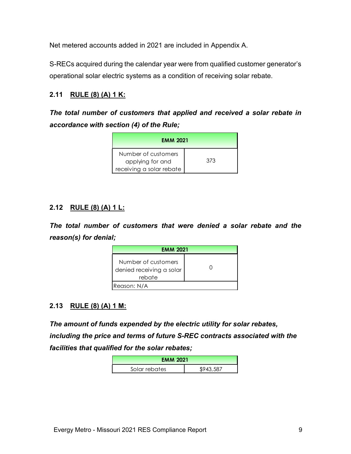Net metered accounts added in 2021 are included in Appendix A.

S-RECs acquired during the calendar year were from qualified customer generator's operational solar electric systems as a condition of receiving solar rebate.

#### <span id="page-12-0"></span>**2.11 RULE (8) (A) 1 K:**

*The total number of customers that applied and received a solar rebate in accordance with section (4) of the Rule;* 

| <b>EMM 2021</b>                                                     |     |
|---------------------------------------------------------------------|-----|
| Number of customers<br>applying for and<br>receiving a solar rebate | 373 |

#### <span id="page-12-1"></span>**2.12 RULE (8) (A) 1 L:**

*The total number of customers that were denied a solar rebate and the reason(s) for denial;* 

| <b>EMM 2021</b>                                           |  |  |
|-----------------------------------------------------------|--|--|
| Number of customers<br>denied receiving a solar<br>rebate |  |  |
| Reason: N/A                                               |  |  |

#### <span id="page-12-2"></span>**2.13 RULE (8) (A) 1 M:**

*The amount of funds expended by the electric utility for solar rebates, including the price and terms of future S-REC contracts associated with the facilities that qualified for the solar rebates;*

| <b>EMM 2021</b> |           |  |
|-----------------|-----------|--|
| Solar rebates   | \$943,587 |  |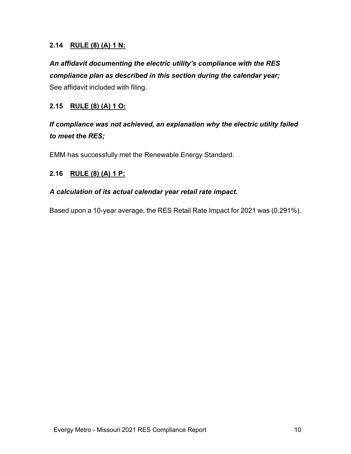#### <span id="page-13-0"></span>**2.14 RULE (8) (A) 1 N:**

*An affidavit documenting the electric utility's compliance with the RES compliance plan as described in this section during the calendar year;* See affidavit included with filing.

#### <span id="page-13-1"></span>**2.15 RULE (8) (A) 1 O:**

*If compliance was not achieved, an explanation why the electric utility failed to meet the RES;*

EMM has successfully met the Renewable Energy Standard.

#### <span id="page-13-2"></span>**2.16 RULE (8) (A) 1 P:**

#### *A calculation of its actual calendar year retail rate impact.*

Based upon a 10-year average, the RES Retail Rate Impact for 2021 was (0.291%).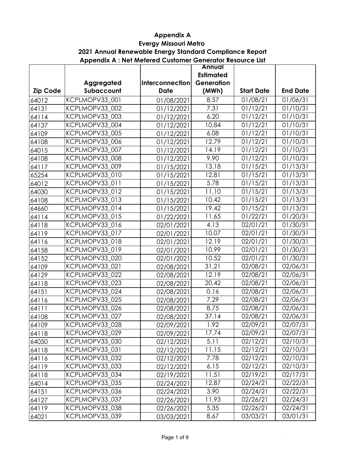#### **Evergy Missouri Metro Appendix A**

#### **Appendix A : Net Metered Customer Generator Resource List 2021 Annual Renewable Energy Standard Compliance Report**

|                 |                |                 | <b>Annual</b>    |                   |                        |
|-----------------|----------------|-----------------|------------------|-------------------|------------------------|
|                 |                |                 | <b>Estimated</b> |                   |                        |
|                 | Aggregated     | Interconnection | Generation       |                   |                        |
| <b>Zip Code</b> | Subaccount     | <b>Date</b>     | (MWh)            | <b>Start Date</b> | <b>End Date</b>        |
| 64012           | KCPLMOPV33 001 | 01/08/2021      | 8.57             | 01/08/21          | 01/06/31               |
| 64131           | KCPLMOPV33 002 | 01/12/2021      | 7.31             | 01/12/21          | $\overline{0}1/10/31$  |
| 64114           | KCPLMOPV33_003 | 01/12/2021      | 6.20             | 01/12/21          | 01/10/31               |
| 64137           | KCPLMOPV33_004 | 01/12/2021      | 10.84            | 01/12/21          | 01/10/31               |
| 64109           | KCPLMOPV33_005 | 01/12/2021      | 6.08             | 01/12/21          | 01/10/31               |
| 64108           | KCPLMOPV33_006 | 01/12/2021      | 12.79            | 01/12/21          | 01/10/31               |
| 64015           | KCPLMOPV33 007 | 01/12/2021      | 14.19            | 01/12/21          | 01/10/31               |
| 64108           | KCPLMOPV33_008 | 01/12/2021      | 9.90             | 01/12/21          | 01/10/31               |
| 64117           | KCPLMOPV33_009 | 01/15/2021      | 13.18            | 01/15/21          | 01/13/31               |
| 65254           | KCPLMOPV33_010 | 01/15/2021      | 12.81            | 01/15/21          | 01/13/31               |
| 64012           | KCPLMOPV33 011 | 01/15/2021      | 5.78             | 01/15/21          | 01/13/31               |
| 64030           | KCPLMOPV33 012 | 01/15/2021      | 11.10            | 01/15/21          | 01/13/31               |
| 64108           | KCPLMOPV33_013 | 01/15/2021      | 10.42            | 01/15/21          | 01/13/31               |
| 64660           | KCPLMOPV33 014 | 01/15/2021      | 19.42            | 01/15/21          | 01/13/31               |
| 64114           | KCPLMOPV33 015 | 01/22/2021      | 11.65            | 01/22/21          | 01/20/31               |
| 64118           | KCPLMOPV33_016 | 02/01/2021      | 4.13             | 02/01/21          | 01/30/31               |
| 64119           | KCPLMOPV33_017 | 02/01/2021      | 10.07            | 02/01/21          | 01/30/31               |
| 64116           | KCPLMOPV33_018 | 02/01/2021      | 12.19            | 02/01/21          | 01/30/31               |
| 64158           | KCPLMOPV33_019 | 02/01/2021      | 10.99            | 02/01/21          | 01/30/31               |
| 64152           | KCPLMOPV33_020 | 02/01/2021      | 10.52            | 02/01/21          | 01/30/31               |
| 64109           | KCPLMOPV33_021 | 02/08/2021      | 31.21            | 02/08/21          | 02/06/31               |
| 64129           | KCPLMOPV33 022 | 02/08/2021      | 12.19            | 02/08/21          | 02/06/31               |
| 64118           | KCPLMOPV33_023 | 02/08/2021      | 20.42            | 02/08/21          | 02/06/31               |
| 64151           | KCPLMOPV33_024 | 02/08/2021      | 0.16             | 02/08/21          | 02/06/31               |
| 64116           | KCPLMOPV33_025 | 02/08/2021      | 7.29             | 02/08/21          | 02/06/31               |
| 64111           | KCPLMOPV33_026 | 02/08/2021      | 8.75             | 02/08/21          | 02/06/31               |
| 64108           | KCPLMOPV33 027 | 02/08/2021      | 37.14            | $\sqrt{02}/08/21$ | $\overline{0}$ 2/06/31 |
| 64109           | KCPLMOPV33_028 | 02/09/2021      | 1.92             | 02/09/21          | 02/07/31               |
| 64118           | KCPLMOPV33_029 | 02/09/2021      | 17.74            | 02/09/21          | 02/07/31               |
| 64050           | KCPLMOPV33_030 | 02/12/2021      | 5.11             | 02/12/21          | 02/10/31               |
| 64118           | KCPLMOPV33_031 | 02/12/2021      | 11.15            | 02/12/21          | 02/10/31               |
| 64116           | KCPLMOPV33_032 | 02/12/2021      | 7.78             | 02/12/21          | 02/10/31               |
| 64119           | KCPLMOPV33 033 | 02/12/2021      | 6.15             | 02/12/21          | 02/10/31               |
| 64118           | KCPLMOPV33_034 | 02/19/2021      | 11.51            | 02/19/21          | 02/17/31               |
| 64014           | KCPLMOPV33_035 | 02/24/2021      | 12.87            | 02/24/21          | 02/22/31               |
| 64151           | KCPLMOPV33_036 | 02/24/2021      | 3.90             | 02/24/21          | 02/22/31               |
| 64127           | KCPLMOPV33_037 | 02/26/2021      | 11.93            | 02/26/21          | 02/24/31               |
| 64119           | KCPLMOPV33_038 | 02/26/2021      | 5.35             | 02/26/21          | 02/24/31               |
| 64021           | KCPLMOPV33_039 | 03/03/2021      | 8.67             | 03/03/21          | 03/01/31               |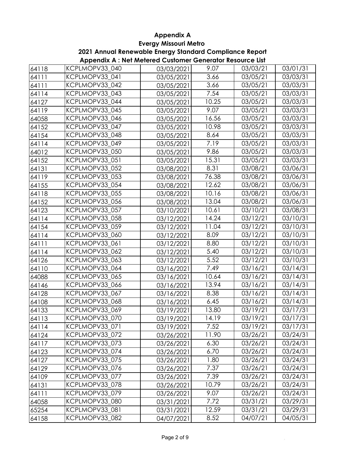**2021 Annual Renewable Energy Standard Compliance Report**

| Appendix A: Net Metered Customer Generator Resource List |  |  |
|----------------------------------------------------------|--|--|
|----------------------------------------------------------|--|--|

| 64118 | KCPLMOPV33_040 | 03/03/2021 | 9.07  | 03/03/21 | 03/01/31              |
|-------|----------------|------------|-------|----------|-----------------------|
| 64111 | KCPLMOPV33 041 | 03/05/2021 | 3.66  | 03/05/21 | 03/03/31              |
| 64111 | KCPLMOPV33 042 | 03/05/2021 | 3.66  | 03/05/21 | 03/03/31              |
| 64114 | KCPLMOPV33_043 | 03/05/2021 | 7.54  | 03/05/21 | 03/03/31              |
| 64127 | KCPLMOPV33 044 | 03/05/2021 | 10.25 | 03/05/21 | 03/03/31              |
| 64119 | KCPLMOPV33_045 | 03/05/2021 | 9.07  | 03/05/21 | 03/03/31              |
| 64058 | KCPLMOPV33_046 | 03/05/2021 | 16.56 | 03/05/21 | 03/03/31              |
| 64152 | KCPLMOPV33 047 | 03/05/2021 | 10.98 | 03/05/21 | 03/03/31              |
| 64154 | KCPLMOPV33 048 | 03/05/2021 | 8.64  | 03/05/21 | 03/03/31              |
| 64114 | KCPLMOPV33_049 | 03/05/2021 | 7.19  | 03/05/21 | 03/03/31              |
| 64012 | KCPLMOPV33_050 | 03/05/2021 | 9.86  | 03/05/21 | 03/03/31              |
| 64152 | KCPLMOPV33 051 | 03/05/2021 | 15.31 | 03/05/21 | 03/03/31              |
| 64131 | KCPLMOPV33_052 | 03/08/2021 | 8.31  | 03/08/21 | $\overline{0}3/06/31$ |
| 64119 | KCPLMOPV33_053 | 03/08/2021 | 76.38 | 03/08/21 | 03/06/31              |
| 64155 | KCPLMOPV33_054 | 03/08/2021 | 12.62 | 03/08/21 | 03/06/31              |
| 64118 | KCPLMOPV33_055 | 03/08/2021 | 10.16 | 03/08/21 | 03/06/31              |
| 64152 | KCPLMOPV33_056 | 03/08/2021 | 13.04 | 03/08/21 | 03/06/31              |
| 64123 | KCPLMOPV33_057 | 03/10/2021 | 10.61 | 03/10/21 | 03/08/31              |
| 64114 | KCPLMOPV33_058 | 03/12/2021 | 14.24 | 03/12/21 | 03/10/31              |
| 64154 | KCPLMOPV33 059 | 03/12/2021 | 11.04 | 03/12/21 | 03/10/31              |
| 64114 | KCPLMOPV33_060 | 03/12/2021 | 8.09  | 03/12/21 | 03/10/31              |
| 64111 | KCPLMOPV33_061 | 03/12/2021 | 8.80  | 03/12/21 | 03/10/31              |
| 64114 | KCPLMOPV33_062 | 03/12/2021 | 5.40  | 03/12/21 | 03/10/31              |
| 64126 | KCPLMOPV33_063 | 03/12/2021 | 5.52  | 03/12/21 | 03/10/31              |
| 64110 | KCPLMOPV33_064 | 03/16/2021 | 7.49  | 03/16/21 | 03/14/31              |
| 64088 | KCPLMOPV33_065 | 03/16/2021 | 10.64 | 03/16/21 | 03/14/31              |
| 64146 | KCPLMOPV33_066 | 03/16/2021 | 13.94 | 03/16/21 | 03/14/31              |
| 64128 | KCPLMOPV33_067 | 03/16/2021 | 8.38  | 03/16/21 | 03/14/31              |
| 64108 | KCPLMOPV33_068 | 03/16/2021 | 6.45  | 03/16/21 | 03/14/31              |
| 64133 | KCPLMOPV33_069 | 03/19/2021 | 13.80 | 03/19/21 | 03/17/31              |
| 64113 | KCPLMOPV33_070 | 03/19/2021 | 14.19 | 03/19/21 | 03/17/31              |
| 64114 | KCPLMOPV33_071 | 03/19/2021 | 7.52  | 03/19/21 | 03/17/31              |
| 64124 | KCPLMOPV33 072 | 03/26/2021 | 11.90 | 03/26/21 | 03/24/31              |
| 64117 | KCPLMOPV33_073 | 03/26/2021 | 6.30  | 03/26/21 | 03/24/31              |
| 64123 | KCPLMOPV33_074 | 03/26/2021 | 6.70  | 03/26/21 | 03/24/31              |
| 64127 | KCPLMOPV33 075 | 03/26/2021 | 1.80  | 03/26/21 | 03/24/31              |
| 64129 | KCPLMOPV33 076 | 03/26/2021 | 7.37  | 03/26/21 | 03/24/31              |
| 64109 | KCPLMOPV33_077 | 03/26/2021 | 7.39  | 03/26/21 | 03/24/31              |
| 64131 | KCPLMOPV33 078 | 03/26/2021 | 10.79 | 03/26/21 | 03/24/31              |
| 64111 | KCPLMOPV33_079 | 03/26/2021 | 9.07  | 03/26/21 | 03/24/31              |
| 64058 | KCPLMOPV33_080 | 03/31/2021 | 7.72  | 03/31/21 | 03/29/31              |
| 65254 | KCPLMOPV33_081 | 03/31/2021 | 12.59 | 03/31/21 | 03/29/31              |
| 64158 | KCPLMOPV33_082 | 04/07/2021 | 8.52  | 04/07/21 | 04/05/31              |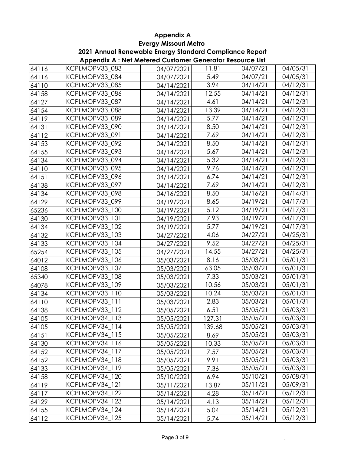#### **Evergy Missouri Metro 2021 Annual Renewable Energy Standard Compliance Report**

|       | . .            |            |        |          |          |
|-------|----------------|------------|--------|----------|----------|
| 64116 | KCPLMOPV33_083 | 04/07/2021 | 11.81  | 04/07/21 | 04/05/31 |
| 64116 | KCPLMOPV33 084 | 04/07/2021 | 5.49   | 04/07/21 | 04/05/31 |
| 64110 | KCPLMOPV33 085 | 04/14/2021 | 3.94   | 04/14/21 | 04/12/31 |
| 64158 | KCPLMOPV33_086 | 04/14/2021 | 12.55  | 04/14/21 | 04/12/31 |
| 64127 | KCPLMOPV33 087 | 04/14/2021 | 4.61   | 04/14/21 | 04/12/31 |
| 64154 | KCPLMOPV33_088 | 04/14/2021 | 13.39  | 04/14/21 | 04/12/31 |
| 64119 | KCPLMOPV33_089 | 04/14/2021 | 5.77   | 04/14/21 | 04/12/31 |
| 64131 | KCPLMOPV33 090 | 04/14/2021 | 8.50   | 04/14/21 | 04/12/31 |
| 64112 | KCPLMOPV33_091 | 04/14/2021 | 7.69   | 04/14/21 | 04/12/31 |
| 64153 | KCPLMOPV33_092 | 04/14/2021 | 8.50   | 04/14/21 | 04/12/31 |
| 64155 | KCPLMOPV33_093 | 04/14/2021 | 5.67   | 04/14/21 | 04/12/31 |
| 64134 | KCPLMOPV33 094 | 04/14/2021 | 5.32   | 04/14/21 | 04/12/31 |
| 64110 | KCPLMOPV33_095 | 04/14/2021 | 9.76   | 04/14/21 | 04/12/31 |
| 64151 | KCPLMOPV33 096 | 04/14/2021 | 6.74   | 04/14/21 | 04/12/31 |
| 64138 | KCPLMOPV33_097 | 04/14/2021 | 7.69   | 04/14/21 | 04/12/31 |
| 64134 | KCPLMOPV33 098 | 04/16/2021 | 8.50   | 04/16/21 | 04/14/31 |
| 64129 | KCPLMOPV33_099 | 04/19/2021 | 8.65   | 04/19/21 | 04/17/31 |
| 65236 | KCPLMOPV33_100 | 04/19/2021 | 5.12   | 04/19/21 | 04/17/31 |
| 64130 | KCPLMOPV33 101 | 04/19/2021 | 7.93   | 04/19/21 | 04/17/31 |
| 64134 | KCPLMOPV33_102 | 04/19/2021 | 5.77   | 04/19/21 | 04/17/31 |
| 64132 | KCPLMOPV33_103 | 04/27/2021 | 4.06   | 04/27/21 | 04/25/31 |
| 64133 | KCPLMOPV33_104 | 04/27/2021 | 9.52   | 04/27/21 | 04/25/31 |
| 65254 | KCPLMOPV33_105 | 04/27/2021 | 14.55  | 04/27/21 | 04/25/31 |
| 64012 | KCPLMOPV33_106 | 05/03/2021 | 8.16   | 05/03/21 | 05/01/31 |
| 64108 | KCPLMOPV33_107 | 05/03/2021 | 63.05  | 05/03/21 | 05/01/31 |
| 65340 | KCPLMOPV33 108 | 05/03/2021 | 7.33   | 05/03/21 | 05/01/31 |
| 64078 | KCPLMOPV33 109 | 05/03/2021 | 10.56  | 05/03/21 | 05/01/31 |
| 64134 | KCPLMOPV33_110 | 05/03/2021 | 10.24  | 05/03/21 | 05/01/31 |
| 64110 | KCPLMOPV33 111 | 05/03/2021 | 2.83   | 05/03/21 | 05/01/31 |
| 64138 | KCPLMOPV33 112 | 05/05/2021 | 6.51   | 05/05/21 | 05/03/31 |
| 64105 | KCPLMOPV34 113 | 05/05/2021 | 127.31 | 05/05/21 | 05/03/31 |
| 64105 | KCPLMOPV34_114 | 05/05/2021 | 139.68 | 05/05/21 | 05/03/31 |
| 64151 | KCPLMOPV34 115 | 05/05/2021 | 8.69   | 05/05/21 | 05/03/31 |
| 64130 | KCPLMOPV34 116 | 05/05/2021 | 10.33  | 05/05/21 | 05/03/31 |
| 64152 | KCPLMOPV34_117 | 05/05/2021 | 7.57   | 05/05/21 | 05/03/31 |
| 64152 | KCPLMOPV34_118 | 05/05/2021 | 9.91   | 05/05/21 | 05/03/31 |
| 64133 | KCPLMOPV34_119 | 05/05/2021 | 7.36   | 05/05/21 | 05/03/31 |
| 64158 | KCPLMOPV34_120 | 05/10/2021 | 6.94   | 05/10/21 | 05/08/31 |
| 64119 | KCPLMOPV34_121 | 05/11/2021 | 13.87  | 05/11/21 | 05/09/31 |
| 64117 | KCPLMOPV34 122 | 05/14/2021 | 4.28   | 05/14/21 | 05/12/31 |
| 64129 | KCPLMOPV34_123 | 05/14/2021 | 4.13   | 05/14/21 | 05/12/31 |
| 64155 | KCPLMOPV34_124 | 05/14/2021 | 5.04   | 05/14/21 | 05/12/31 |
| 64112 | KCPLMOPV34_125 | 05/14/2021 | 5.74   | 05/14/21 | 05/12/31 |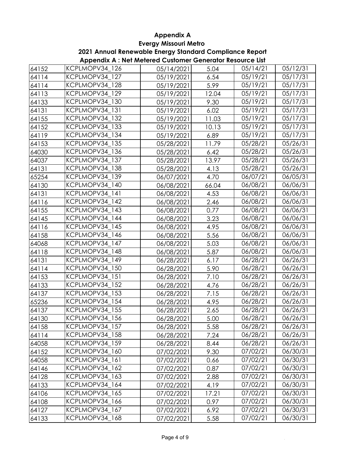**2021 Annual Renewable Energy Standard Compliance Report**

| 64152 | KCPLMOPV34_126 | 05/14/2021 | 5.04  | 05/14/21 | 05/12/31 |
|-------|----------------|------------|-------|----------|----------|
| 64114 | KCPLMOPV34 127 | 05/19/2021 | 6.54  | 05/19/21 | 05/17/31 |
| 64114 | KCPLMOPV34 128 | 05/19/2021 | 5.99  | 05/19/21 | 05/17/31 |
| 64113 | KCPLMOPV34_129 | 05/19/2021 | 12.04 | 05/19/21 | 05/17/31 |
| 64133 | KCPLMOPV34 130 | 05/19/2021 | 9.30  | 05/19/21 | 05/17/31 |
| 64131 | KCPLMOPV34_131 | 05/19/2021 | 6.02  | 05/19/21 | 05/17/31 |
| 64155 | KCPLMOPV34 132 | 05/19/2021 | 11.03 | 05/19/21 | 05/17/31 |
| 64152 | KCPLMOPV34 133 | 05/19/2021 | 10.13 | 05/19/21 | 05/17/31 |
| 64119 | KCPLMOPV34 134 | 05/19/2021 | 6.89  | 05/19/21 | 05/17/31 |
| 64153 | KCPLMOPV34_135 | 05/28/2021 | 11.79 | 05/28/21 | 05/26/31 |
| 64030 | KCPLMOPV34_136 | 05/28/2021 | 6.42  | 05/28/21 | 05/26/31 |
| 64037 | KCPLMOPV34 137 | 05/28/2021 | 13.97 | 05/28/21 | 05/26/31 |
| 64131 | KCPLMOPV34_138 | 05/28/2021 | 4.13  | 05/28/21 | 05/26/31 |
| 65254 | KCPLMOPV34 139 | 06/07/2021 | 4.70  | 06/07/21 | 06/05/31 |
| 64130 | KCPLMOPV34_140 | 06/08/2021 | 66.04 | 06/08/21 | 06/06/31 |
| 64131 | KCPLMOPV34 141 | 06/08/2021 | 4.53  | 06/08/21 | 06/06/31 |
| 64116 | KCPLMOPV34 142 | 06/08/2021 | 2.46  | 06/08/21 | 06/06/31 |
| 64155 | KCPLMOPV34_143 | 06/08/2021 | 0.77  | 06/08/21 | 06/06/31 |
| 64145 | KCPLMOPV34 144 | 06/08/2021 | 3.23  | 06/08/21 | 06/06/31 |
| 64116 | KCPLMOPV34 145 | 06/08/2021 | 4.95  | 06/08/21 | 06/06/31 |
| 64158 | KCPLMOPV34_146 | 06/08/2021 | 5.56  | 06/08/21 | 06/06/31 |
| 64068 | KCPLMOPV34 147 | 06/08/2021 | 5.03  | 06/08/21 | 06/06/31 |
| 64118 | KCPLMOPV34 148 | 06/08/2021 | 5.87  | 06/08/21 | 06/06/31 |
| 64131 | KCPLMOPV34_149 | 06/28/2021 | 6.17  | 06/28/21 | 06/26/31 |
| 64114 | KCPLMOPV34_150 | 06/28/2021 | 5.90  | 06/28/21 | 06/26/31 |
| 64153 | KCPLMOPV34 151 | 06/28/2021 | 7.10  | 06/28/21 | 06/26/31 |
| 64133 | KCPLMOPV34 152 | 06/28/2021 | 4.76  | 06/28/21 | 06/26/31 |
| 64137 | KCPLMOPV34_153 | 06/28/2021 | 7.15  | 06/28/21 | 06/26/31 |
| 65236 | KCPLMOPV34 154 | 06/28/2021 | 4.95  | 06/28/21 | 06/26/31 |
| 64137 | KCPLMOPV34_155 | 06/28/2021 | 2.65  | 06/28/21 | 06/26/31 |
| 64130 | KCPLMOPV34_156 | 06/28/2021 | 5.00  | 06/28/21 | 06/26/31 |
| 64158 | KCPLMOPV34_157 | 06/28/2021 | 5.58  | 06/28/21 | 06/26/31 |
| 64114 | KCPLMOPV34_158 | 06/28/2021 | 7.24  | 06/28/21 | 06/26/31 |
| 64058 | KCPLMOPV34 159 | 06/28/2021 | 8.44  | 06/28/21 | 06/26/31 |
| 64152 | KCPLMOPV34 160 | 07/02/2021 | 9.30  | 07/02/21 | 06/30/31 |
| 64058 | KCPLMOPV34_161 | 07/02/2021 | 0.66  | 07/02/21 | 06/30/31 |
| 64146 | KCPLMOPV34 162 | 07/02/2021 | 0.87  | 07/02/21 | 06/30/31 |
| 64128 | KCPLMOPV34 163 | 07/02/2021 | 2.88  | 07/02/21 | 06/30/31 |
| 64133 | KCPLMOPV34 164 | 07/02/2021 | 4.19  | 07/02/21 | 06/30/31 |
| 64106 | KCPLMOPV34 165 | 07/02/2021 | 17.21 | 07/02/21 | 06/30/31 |
| 64108 | KCPLMOPV34_166 | 07/02/2021 | 0.97  | 07/02/21 | 06/30/31 |
| 64127 | KCPLMOPV34_167 | 07/02/2021 | 6.92  | 07/02/21 | 06/30/31 |
| 64133 | KCPLMOPV34_168 | 07/02/2021 | 5.58  | 07/02/21 | 06/30/31 |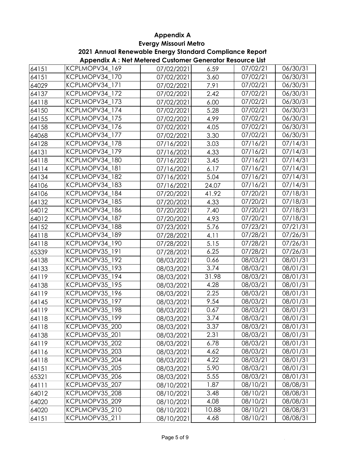**2021 Annual Renewable Energy Standard Compliance Report**

|       | . .            |            |       |          |          |
|-------|----------------|------------|-------|----------|----------|
| 64151 | KCPLMOPV34_169 | 07/02/2021 | 6.59  | 07/02/21 | 06/30/31 |
| 64151 | KCPLMOPV34 170 | 07/02/2021 | 3.60  | 07/02/21 | 06/30/31 |
| 64029 | KCPLMOPV34 171 | 07/02/2021 | 7.91  | 07/02/21 | 06/30/31 |
| 64137 | KCPLMOPV34 172 | 07/02/2021 | 2.42  | 07/02/21 | 06/30/31 |
| 64118 | KCPLMOPV34 173 | 07/02/2021 | 6.00  | 07/02/21 | 06/30/31 |
| 64150 | KCPLMOPV34_174 | 07/02/2021 | 5.28  | 07/02/21 | 06/30/31 |
| 64155 | KCPLMOPV34 175 | 07/02/2021 | 4.99  | 07/02/21 | 06/30/31 |
| 64158 | KCPLMOPV34 176 | 07/02/2021 | 4.05  | 07/02/21 | 06/30/31 |
| 64068 | KCPLMOPV34_177 | 07/02/2021 | 3.30  | 07/02/21 | 06/30/31 |
| 64128 | KCPLMOPV34 178 | 07/16/2021 | 3.03  | 07/16/21 | 07/14/31 |
| 64131 | KCPLMOPV34_179 | 07/16/2021 | 4.33  | 07/16/21 | 07/14/31 |
| 64118 | KCPLMOPV34 180 | 07/16/2021 | 3.45  | 07/16/21 | 07/14/31 |
| 64114 | KCPLMOPV34_181 | 07/16/2021 | 6.17  | 07/16/21 | 07/14/31 |
| 64134 | KCPLMOPV34_182 | 07/16/2021 | 5.04  | 07/16/21 | 07/14/31 |
| 64106 | KCPLMOPV34_183 | 07/16/2021 | 24.07 | 07/16/21 | 07/14/31 |
| 64106 | KCPLMOPV34 184 | 07/20/2021 | 41.92 | 07/20/21 | 07/18/31 |
| 64132 | KCPLMOPV34_185 | 07/20/2021 | 4.33  | 07/20/21 | 07/18/31 |
| 64012 | KCPLMOPV34_186 | 07/20/2021 | 7.40  | 07/20/21 | 07/18/31 |
| 64012 | KCPLMOPV34 187 | 07/20/2021 | 4.93  | 07/20/21 | 07/18/31 |
| 64152 | KCPLMOPV34 188 | 07/23/2021 | 5.76  | 07/23/21 | 07/21/31 |
| 64118 | KCPLMOPV34_189 | 07/28/2021 | 4.11  | 07/28/21 | 07/26/31 |
| 64118 | KCPLMOPV34_190 | 07/28/2021 | 5.15  | 07/28/21 | 07/26/31 |
| 65339 | KCPLMOPV35 191 | 07/28/2021 | 6.25  | 07/28/21 | 07/26/31 |
| 64138 | KCPLMOPV35_192 | 08/03/2021 | 0.66  | 08/03/21 | 08/01/31 |
| 64133 | KCPLMOPV35_193 | 08/03/2021 | 3.74  | 08/03/21 | 08/01/31 |
| 64119 | KCPLMOPV35 194 | 08/03/2021 | 31.98 | 08/03/21 | 08/01/31 |
| 64138 | KCPLMOPV35 195 | 08/03/2021 | 4.28  | 08/03/21 | 08/01/31 |
| 64119 | KCPLMOPV35_196 | 08/03/2021 | 2.25  | 08/03/21 | 08/01/31 |
| 64145 | KCPLMOPV35 197 | 08/03/2021 | 9.54  | 08/03/21 | 08/01/31 |
| 64119 | KCPLMOPV35 198 | 08/03/2021 | 0.67  | 08/03/21 | 08/01/31 |
| 64118 | KCPLMOPV35 199 | 08/03/2021 | 3.74  | 08/03/21 | 08/01/31 |
| 64118 | KCPLMOPV35_200 | 08/03/2021 | 3.37  | 08/03/21 | 08/01/31 |
| 64138 | KCPLMOPV35 201 | 08/03/2021 | 2.31  | 08/03/21 | 08/01/31 |
| 64119 | KCPLMOPV35_202 | 08/03/2021 | 6.78  | 08/03/21 | 08/01/31 |
| 64116 | KCPLMOPV35 203 | 08/03/2021 | 4.62  | 08/03/21 | 08/01/31 |
| 64118 | KCPLMOPV35 204 | 08/03/2021 | 4.22  | 08/03/21 | 08/01/31 |
| 64151 | KCPLMOPV35_205 | 08/03/2021 | 5.90  | 08/03/21 | 08/01/31 |
| 65321 | KCPLMOPV35_206 | 08/03/2021 | 5.55  | 08/03/21 | 08/01/31 |
| 64111 | KCPLMOPV35_207 | 08/10/2021 | 1.87  | 08/10/21 | 08/08/31 |
| 64012 | KCPLMOPV35_208 | 08/10/2021 | 3.48  | 08/10/21 | 08/08/31 |
| 64020 | KCPLMOPV35 209 | 08/10/2021 | 4.08  | 08/10/21 | 08/08/31 |
| 64020 | KCPLMOPV35_210 | 08/10/2021 | 10.88 | 08/10/21 | 08/08/31 |
| 64151 | KCPLMOPV35_211 | 08/10/2021 | 4.68  | 08/10/21 | 08/08/31 |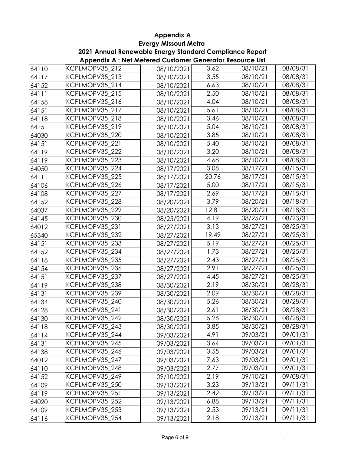**2021 Annual Renewable Energy Standard Compliance Report**

| 64110 | KCPLMOPV35 212 | 08/10/2021 | 3.62              | 08/10/21              | 08/08/31          |
|-------|----------------|------------|-------------------|-----------------------|-------------------|
| 64117 | KCPLMOPV35 213 | 08/10/2021 | 3.55              | 08/10/21              | 08/08/31          |
| 64152 | KCPLMOPV35_214 | 08/10/2021 | 6.63              | 08/10/21              | 08/08/31          |
| 64111 | KCPLMOPV35_215 | 08/10/2021 | 2.50              | 08/10/21              | 08/08/31          |
| 64158 | KCPLMOPV35 216 | 08/10/2021 | 4.04              | 08/10/21              | 08/08/31          |
| 64151 | KCPLMOPV35_217 | 08/10/2021 | 5.61              | 08/10/21              | 08/08/31          |
| 64118 | KCPLMOPV35_218 | 08/10/2021 | 3.46              | 08/10/21              | 08/08/31          |
| 64151 | KCPLMOPV35 219 | 08/10/2021 | 5.04              | 08/10/21              | 08/08/31          |
| 64030 | KCPLMOPV35 220 | 08/10/2021 | 3.85              | 08/10/21              | 08/08/31          |
| 64151 | KCPLMOPV35_221 | 08/10/2021 | $\overline{5.40}$ | 08/10/21              | 08/08/31          |
| 64119 | KCPLMOPV35_222 | 08/10/2021 | 3.20              | 08/10/21              | 08/08/31          |
| 64119 | KCPLMOPV35 223 | 08/10/2021 | 4.68              | 08/10/21              | 08/08/31          |
| 64050 | KCPLMOPV35 224 | 08/17/2021 | 3.08              | 08/17/21              | 08/15/31          |
| 64111 | KCPLMOPV35_225 | 08/17/2021 | 20.76             | 08/17/21              | 08/15/31          |
| 64106 | KCPLMOPV35 226 | 08/17/2021 | 5.00              | 08/17/21              | 08/15/31          |
| 64108 | KCPLMOPV35_227 | 08/17/2021 | 2.69              | 08/17/21              | 08/15/31          |
| 64152 | KCPLMOPV35_228 | 08/20/2021 | 3.79              | 08/20/21              | 08/18/31          |
| 64037 | KCPLMOPV35_229 | 08/20/2021 | 12.81             | 08/20/21              | 08/18/31          |
| 64145 | KCPLMOPV35 230 | 08/25/2021 | 4.19              | 08/25/21              | 08/23/31          |
| 64012 | KCPLMOPV35 231 | 08/27/2021 | 3.13              | 08/27/21              | 08/25/31          |
| 65340 | KCPLMOPV35_232 | 08/27/2021 | 19.49             | 08/27/21              | 08/25/31          |
| 64151 | KCPLMOPV35_233 | 08/27/2021 | 5.19              | 08/27/21              | 08/25/31          |
| 64152 | KCPLMOPV35 234 | 08/27/2021 | 1.73              | $\overline{0}8/27/21$ | 08/25/31          |
| 64118 | KCPLMOPV35_235 | 08/27/2021 | 2.43              | 08/27/21              | 08/25/31          |
| 64154 | KCPLMOPV35 236 | 08/27/2021 | 2.91              | 08/27/21              | 08/25/31          |
| 64151 | KCPLMOPV35 237 | 08/27/2021 | 4.45              | 08/27/21              | 08/25/31          |
| 64119 | KCPLMOPV35 238 | 08/30/2021 | 2.19              | 08/30/21              | 08/28/31          |
| 64131 | KCPLMOPV35_239 | 08/30/2021 | 2.09              | 08/30/21              | 08/28/31          |
| 64134 | KCPLMOPV35 240 | 08/30/2021 | 5.26              | 08/30/21              | 08/28/31          |
| 64128 | KCPLMOPV35_241 | 08/30/2021 | 2.61              | 08/30/21              | 08/28/31          |
| 64130 | KCPLMOPV35 242 | 08/30/2021 | 5.26              | 08/30/21              | 08/28/31          |
| 64118 | KCPLMOPV35_243 | 08/30/2021 | 3.85              | 08/30/21              | 08/28/31          |
| 64114 | KCPLMOPV35_244 | 09/03/2021 | 4.91              | 09/03/21              | 09/01/31          |
| 64131 | KCPLMOPV35 245 | 09/03/2021 | 3.64              | 09/03/21              | 09/01/31          |
| 64138 | KCPLMOPV35_246 | 09/03/2021 | 3.55              | 09/03/21              | 09/01/31          |
| 64012 | KCPLMOPV35_247 | 09/03/2021 | 7.63              | 09/03/21              | 09/01/31          |
| 64110 | KCPLMOPV35_248 | 09/03/2021 | 2.77              | 09/03/21              | 09/01/31          |
| 64152 | KCPLMOPV35_249 | 09/10/2021 | 2.19              | 09/10/21              | $\sqrt{09/08/31}$ |
| 64109 | KCPLMOPV35 250 | 09/13/2021 | 3.23              | 09/13/21              | 09/11/31          |
| 64119 | KCPLMOPV35_251 | 09/13/2021 | 2.42              | 09/13/21              | 09/11/31          |
| 64020 | KCPLMOPV35_252 | 09/13/2021 | 6.88              | 09/13/21              | 09/11/31          |
| 64109 | KCPLMOPV35_253 | 09/13/2021 | 2.53              | 09/13/21              | 09/11/31          |
| 64116 | KCPLMOPV35_254 | 09/13/2021 | 2.18              | 09/13/21              | 09/11/31          |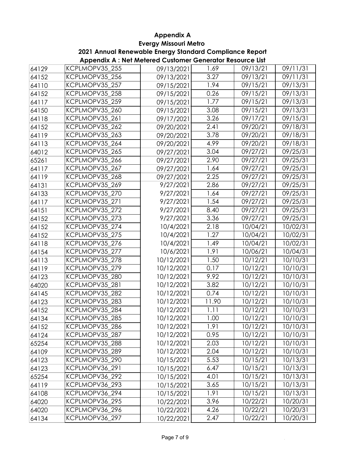**2021 Annual Renewable Energy Standard Compliance Report**

| 64129 | KCPLMOPV35 255 | 09/13/2021 | 1.69  | 09/13/21 | 09/11/31 |
|-------|----------------|------------|-------|----------|----------|
| 64152 | KCPLMOPV35 256 | 09/13/2021 | 3.27  | 09/13/21 | 09/11/31 |
| 64110 | KCPLMOPV35_257 | 09/15/2021 | 1.94  | 09/15/21 | 09/13/31 |
| 64152 | KCPLMOPV35 258 | 09/15/2021 | 0.26  | 09/15/21 | 09/13/31 |
| 64117 | KCPLMOPV35 259 | 09/15/2021 | 1.77  | 09/15/21 | 09/13/31 |
| 64150 | KCPLMOPV35_260 | 09/15/2021 | 3.08  | 09/15/21 | 09/13/31 |
| 64118 | KCPLMOPV35 261 | 09/17/2021 | 3.26  | 09/17/21 | 09/15/31 |
| 64152 | KCPLMOPV35 262 | 09/20/2021 | 2.41  | 09/20/21 | 09/18/31 |
| 64119 | KCPLMOPV35 263 | 09/20/2021 | 3.78  | 09/20/21 | 09/18/31 |
| 64113 | KCPLMOPV35_264 | 09/20/2021 | 4.99  | 09/20/21 | 09/18/31 |
| 64012 | KCPLMOPV35_265 | 09/27/2021 | 3.04  | 09/27/21 | 09/25/31 |
| 65261 | KCPLMOPV35 266 | 09/27/2021 | 2.90  | 09/27/21 | 09/25/31 |
| 64117 | KCPLMOPV35 267 | 09/27/2021 | 1.64  | 09/27/21 | 09/25/31 |
| 64119 | KCPLMOPV35 268 | 09/27/2021 | 2.25  | 09/27/21 | 09/25/31 |
| 64131 | KCPLMOPV35 269 | 9/27/2021  | 2.86  | 09/27/21 | 09/25/31 |
| 64133 | KCPLMOPV35 270 | 9/27/2021  | 1.64  | 09/27/21 | 09/25/31 |
| 64117 | KCPLMOPV35_271 | 9/27/2021  | 1.54  | 09/27/21 | 09/25/31 |
| 64151 | KCPLMOPV35_272 | 9/27/2021  | 8.40  | 09/27/21 | 09/25/31 |
| 64152 | KCPLMOPV35 273 | 9/27/2021  | 3.36  | 09/27/21 | 09/25/31 |
| 64152 | KCPLMOPV35 274 | 10/4/2021  | 2.18  | 10/04/21 | 10/02/31 |
| 64152 | KCPLMOPV35_275 | 10/4/2021  | 1.27  | 10/04/21 | 10/02/31 |
| 64118 | KCPLMOPV35 276 | 10/4/2021  | 1.49  | 10/04/21 | 10/02/31 |
| 64154 | KCPLMOPV35 277 | 10/6/2021  | 1.91  | 10/06/21 | 10/04/31 |
| 64113 | KCPLMOPV35 278 | 10/12/2021 | 1.50  | 10/12/21 | 10/10/31 |
| 64119 | KCPLMOPV35 279 | 10/12/2021 | 0.17  | 10/12/21 | 10/10/31 |
| 64123 | KCPLMOPV35 280 | 10/12/2021 | 9.92  | 10/12/21 | 10/10/31 |
| 64020 | KCPLMOPV35 281 | 10/12/2021 | 3.82  | 10/12/21 | 10/10/31 |
| 64145 | KCPLMOPV35_282 | 10/12/2021 | 0.74  | 10/12/21 | 10/10/31 |
| 64123 | KCPLMOPV35_283 | 10/12/2021 | 11.90 | 10/12/21 | 10/10/31 |
| 64152 | KCPLMOPV35_284 | 10/12/2021 | 1.11  | 10/12/21 | 10/10/31 |
| 64134 | KCPLMOPV35 285 | 10/12/2021 | 1.00  | 10/12/21 | 10/10/31 |
| 64152 | KCPLMOPV35_286 | 10/12/2021 | 1.91  | 10/12/21 | 10/10/31 |
| 64124 | KCPLMOPV35_287 | 10/12/2021 | 0.95  | 10/12/21 | 10/10/31 |
| 65254 | KCPLMOPV35 288 | 10/12/2021 | 2.03  | 10/12/21 | 10/10/31 |
| 64109 | KCPLMOPV35 289 | 10/12/2021 | 2.04  | 10/12/21 | 10/10/31 |
| 64123 | KCPLMOPV35 290 | 10/15/2021 | 5.53  | 10/15/21 | 10/13/31 |
| 64123 | KCPLMOPV36 291 | 10/15/2021 | 6.47  | 10/15/21 | 10/13/31 |
| 65254 | KCPLMOPV36_292 | 10/15/2021 | 4.01  | 10/15/21 | 10/13/31 |
| 64119 | KCPLMOPV36_293 | 10/15/2021 | 3.65  | 10/15/21 | 10/13/31 |
| 64108 | KCPLMOPV36_294 | 10/15/2021 | 1.91  | 10/15/21 | 10/13/31 |
| 64020 | KCPLMOPV36 295 | 10/22/2021 | 3.96  | 10/22/21 | 10/20/31 |
| 64020 | KCPLMOPV36_296 | 10/22/2021 | 4.26  | 10/22/21 | 10/20/31 |
| 64134 | KCPLMOPV36_297 | 10/22/2021 | 2.47  | 10/22/21 | 10/20/31 |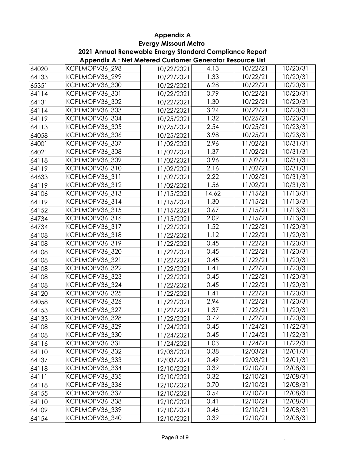**2021 Annual Renewable Energy Standard Compliance Report**

| 64020 | KCPLMOPV36_298 | 10/22/2021 | 4.13  | 10/22/21 | 10/20/31              |
|-------|----------------|------------|-------|----------|-----------------------|
| 64133 | KCPLMOPV36 299 | 10/22/2021 | 1.33  | 10/22/21 | 10/20/31              |
| 65351 | KCPLMOPV36_300 | 10/22/2021 | 6.28  | 10/22/21 | 10/20/31              |
| 64114 | KCPLMOPV36_301 | 10/22/2021 | 0.79  | 10/22/21 | 10/20/31              |
| 64131 | KCPLMOPV36_302 | 10/22/2021 | 1.30  | 10/22/21 | 10/20/31              |
| 64114 | KCPLMOPV36_303 | 10/22/2021 | 3.24  | 10/22/21 | 10/20/31              |
| 64119 | KCPLMOPV36_304 | 10/25/2021 | 1.32  | 10/25/21 | 10/23/31              |
| 64113 | KCPLMOPV36 305 | 10/25/2021 | 2.54  | 10/25/21 | 10/23/31              |
| 64058 | KCPLMOPV36_306 | 10/25/2021 | 3.98  | 10/25/21 | 10/23/31              |
| 64001 | KCPLMOPV36_307 | 11/02/2021 | 2.96  | 11/02/21 | 10/31/31              |
| 64021 | KCPLMOPV36_308 | 11/02/2021 | 1.37  | 11/02/21 | 10/31/31              |
| 64118 | KCPLMOPV36_309 | 11/02/2021 | 0.96  | 11/02/21 | 10/31/31              |
| 64119 | KCPLMOPV36_310 | 11/02/2021 | 2.16  | 11/02/21 | 10/31/31              |
| 64633 | KCPLMOPV36_311 | 11/02/2021 | 2.22  | 11/02/21 | 10/31/31              |
| 64119 | KCPLMOPV36_312 | 11/02/2021 | 1.56  | 11/02/21 | 10/31/31              |
| 64106 | KCPLMOPV36_313 | 11/15/2021 | 14.62 | 11/15/21 | 11/13/31              |
| 64119 | KCPLMOPV36_314 | 11/15/2021 | 1.30  | 11/15/21 | 11/13/31              |
| 64152 | KCPLMOPV36_315 | 11/15/2021 | 0.67  | 11/15/21 | 11/13/31              |
| 64734 | KCPLMOPV36_316 | 11/15/2021 | 2.09  | 11/15/21 | 11/13/31              |
| 64734 | KCPLMOPV36_317 | 11/22/2021 | 1.52  | 11/22/21 | 11/20/31              |
| 64108 | KCPLMOPV36_318 | 11/22/2021 | 1.12  | 11/22/21 | 11/20/31              |
| 64108 | KCPLMOPV36_319 | 11/22/2021 | 0.45  | 11/22/21 | 11/20/31              |
| 64108 | KCPLMOPV36_320 | 11/22/2021 | 0.45  | 11/22/21 | 11/20/31              |
| 64108 | KCPLMOPV36_321 | 11/22/2021 | 0.45  | 11/22/21 | 11/20/31              |
| 64108 | KCPLMOPV36_322 | 11/22/2021 | 1.41  | 11/22/21 | 11/20/31              |
| 64108 | KCPLMOPV36_323 | 11/22/2021 | 0.45  | 11/22/21 | 11/20/31              |
| 64108 | KCPLMOPV36_324 | 11/22/2021 | 0.45  | 11/22/21 | 11/20/31              |
| 64120 | KCPLMOPV36 325 | 11/22/2021 | 1.41  | 11/22/21 | 11/20/31              |
| 64058 | KCPLMOPV36_326 | 11/22/2021 | 2.94  | 11/22/21 | 11/20/31              |
| 64153 | KCPLMOPV36_327 | 11/22/2021 | 1.37  | 11/22/21 | 11/20/31              |
| 64133 | KCPLMOPV36 328 | 11/22/2021 | 0.79  | 11/22/21 | $\frac{1}{1}$ 1/20/31 |
| 64108 | KCPLMOPV36_329 | 11/24/2021 | 0.45  | 11/24/21 | 11/22/31              |
| 64108 | KCPLMOPV36_330 | 11/24/2021 | 0.45  | 11/24/21 | 11/22/31              |
| 64116 | KCPLMOPV36_331 | 11/24/2021 | 1.03  | 11/24/21 | 11/22/31              |
| 64110 | KCPLMOPV36_332 | 12/03/2021 | 0.38  | 12/03/21 | 12/01/31              |
| 64137 | KCPLMOPV36_333 | 12/03/2021 | 0.49  | 12/03/21 | 12/01/31              |
| 64118 | KCPLMOPV36_334 | 12/10/2021 | 0.39  | 12/10/21 | 12/08/31              |
| 64111 | KCPLMOPV36_335 | 12/10/2021 | 0.32  | 12/10/21 | 12/08/31              |
| 64118 | KCPLMOPV36_336 | 12/10/2021 | 0.70  | 12/10/21 | 12/08/31              |
| 64155 | KCPLMOPV36_337 | 12/10/2021 | 0.54  | 12/10/21 | 12/08/31              |
| 64110 | KCPLMOPV36_338 | 12/10/2021 | 0.41  | 12/10/21 | 12/08/31              |
| 64109 | KCPLMOPV36_339 | 12/10/2021 | 0.46  | 12/10/21 | 12/08/31              |
| 64154 | KCPLMOPV36_340 | 12/10/2021 | 0.39  | 12/10/21 | 12/08/31              |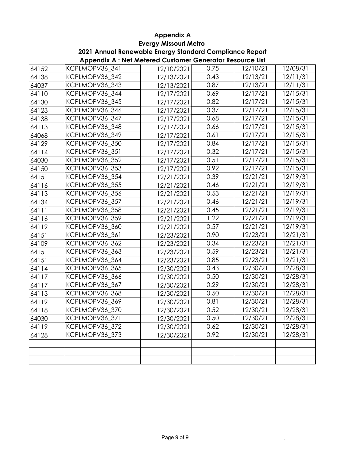#### **Evergy Missouri Metro Appendix A**

#### **Appendix A : Net Metered Customer Generator Resource List 2021 Annual Renewable Energy Standard Compliance Report**

|       | <b>Appendix A</b> , Net Metered Costonier Cenerator Resource Est |            |      |          |          |
|-------|------------------------------------------------------------------|------------|------|----------|----------|
| 64152 | KCPLMOPV36 341                                                   | 12/10/2021 | 0.75 | 12/10/21 | 12/08/31 |
| 64138 | KCPLMOPV36_342                                                   | 12/13/2021 | 0.43 | 12/13/21 | 12/11/31 |
| 64037 | KCPLMOPV36_343                                                   | 12/13/2021 | 0.87 | 12/13/21 | 12/11/31 |
| 64110 | KCPLMOPV36_344                                                   | 12/17/2021 | 0.69 | 12/17/21 | 12/15/31 |
| 64130 | KCPLMOPV36_345                                                   | 12/17/2021 | 0.82 | 12/17/21 | 12/15/31 |
| 64123 | KCPLMOPV36_346                                                   | 12/17/2021 | 0.37 | 12/17/21 | 12/15/31 |
| 64138 | KCPLMOPV36_347                                                   | 12/17/2021 | 0.68 | 12/17/21 | 12/15/31 |
| 64113 | KCPLMOPV36 348                                                   | 12/17/2021 | 0.66 | 12/17/21 | 12/15/31 |
| 64068 | KCPLMOPV36_349                                                   | 12/17/2021 | 0.61 | 12/17/21 | 12/15/31 |
| 64129 | KCPLMOPV36_350                                                   | 12/17/2021 | 0.84 | 12/17/21 | 12/15/31 |
| 64114 | KCPLMOPV36_351                                                   | 12/17/2021 | 0.32 | 12/17/21 | 12/15/31 |
| 64030 | KCPLMOPV36_352                                                   | 12/17/2021 | 0.51 | 12/17/21 | 12/15/31 |
| 64150 | KCPLMOPV36_353                                                   | 12/17/2021 | 0.92 | 12/17/21 | 12/15/31 |
| 64151 | KCPLMOPV36_354                                                   | 12/21/2021 | 0.39 | 12/21/21 | 12/19/31 |
| 64116 | KCPLMOPV36 355                                                   | 12/21/2021 | 0.46 | 12/21/21 | 12/19/31 |
| 64113 | KCPLMOPV36_356                                                   | 12/21/2021 | 0.53 | 12/21/21 | 12/19/31 |
| 64134 | KCPLMOPV36 357                                                   | 12/21/2021 | 0.46 | 12/21/21 | 12/19/31 |
| 64111 | KCPLMOPV36_358                                                   | 12/21/2021 | 0.45 | 12/21/21 | 12/19/31 |
| 64116 | KCPLMOPV36_359                                                   | 12/21/2021 | 1.22 | 12/21/21 | 12/19/31 |
| 64119 | KCPLMOPV36_360                                                   | 12/21/2021 | 0.57 | 12/21/21 | 12/19/31 |
| 64151 | KCPLMOPV36_361                                                   | 12/23/2021 | 0.90 | 12/23/21 | 12/21/31 |
| 64109 | KCPLMOPV36_362                                                   | 12/23/2021 | 0.34 | 12/23/21 | 12/21/31 |
| 64151 | KCPLMOPV36_363                                                   | 12/23/2021 | 0.59 | 12/23/21 | 12/21/31 |
| 64151 | KCPLMOPV36_364                                                   | 12/23/2021 | 0.85 | 12/23/21 | 12/21/31 |
| 64114 | KCPLMOPV36_365                                                   | 12/30/2021 | 0.43 | 12/30/21 | 12/28/31 |
| 64117 | KCPLMOPV36_366                                                   | 12/30/2021 | 0.50 | 12/30/21 | 12/28/31 |
| 64117 | KCPLMOPV36_367                                                   | 12/30/2021 | 0.29 | 12/30/21 | 12/28/31 |
| 64113 | KCPLMOPV36_368                                                   | 12/30/2021 | 0.50 | 12/30/21 | 12/28/31 |
| 64119 | KCPLMOPV36_369                                                   | 12/30/2021 | 0.81 | 12/30/21 | 12/28/31 |
| 64118 | KCPLMOPV36_370                                                   | 12/30/2021 | 0.52 | 12/30/21 | 12/28/31 |
| 64030 | KCPLMOPV36_371                                                   | 12/30/2021 | 0.50 | 12/30/21 | 12/28/31 |
| 64119 | KCPLMOPV36_372                                                   | 12/30/2021 | 0.62 | 12/30/21 | 12/28/31 |
| 64128 | KCPLMOPV36_373                                                   | 12/30/2021 | 0.92 | 12/30/21 | 12/28/31 |
|       |                                                                  |            |      |          |          |
|       |                                                                  |            |      |          |          |
|       |                                                                  |            |      |          |          |
|       |                                                                  |            |      |          |          |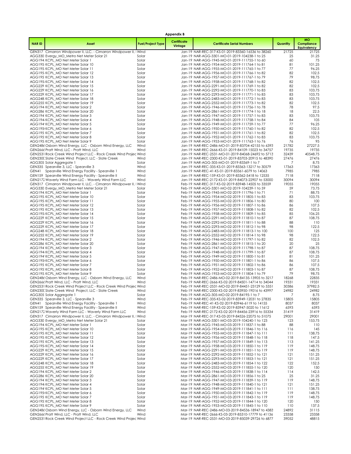|              |                                                                                                                          |                          | Appendix B             |                                                                                                           |                |                                        |
|--------------|--------------------------------------------------------------------------------------------------------------------------|--------------------------|------------------------|-----------------------------------------------------------------------------------------------------------|----------------|----------------------------------------|
| <b>NARID</b> | Asset                                                                                                                    | <b>Fuel/Project Type</b> | Certificate<br>Vintage | <b>Certificate Serial Numbers</b>                                                                         | Quantity       | <b>MO</b><br>Compliance<br>Equivalency |
|              | GEN317 Cimarron Windpower II, LLC. - Cimarron Windpower II, I Wind                                                       |                          |                        | Jan-19 NAR-REC-317-KS-01-2019-83360-16536 to 38260                                                        | 21725          | 21725                                  |
|              | AGG330 Evergy_MO_Metro Net Meter Solar 21                                                                                | Solar                    |                        | Jan-19 NAR-AGG-3301-MO-01-2019-104238-1 to 25                                                             | 25             | 31.25                                  |
|              | AGG194 KCPL MO Net Meter Solar 1<br>AGG195 KCPL_MO Net Meter Solar 10                                                    | Solar<br>Solar           |                        | Jan-19 NAR-AGG-1945-MO-01-2019-111755-1 to 60<br>Jan-19 NAR-AGG-1954-MO-01-2019-111764-1 to 81            | 60<br>81       | 75<br>101.25                           |
|              | AGG195 KCPL_MO Net Meter Solar 11                                                                                        | Solar                    |                        | Jan-19 NAR-AGG-1955-MO-01-2019-111765-1 to 77                                                             | 77             | 96.25                                  |
|              | AGG195 KCPL_MO Net Meter Solar 12                                                                                        | Solar                    |                        | Jan-19 NAR-AGG-1956-MO-01-2019-111766-1 to 82                                                             | 82             | 102.5                                  |
|              | AGG195 KCPL_MO Net Meter Solar 13                                                                                        | Solar                    |                        | Jan-19 NAR-AGG-1957-MO-01-2019-111767-1 to 79                                                             | 79             | 98.75                                  |
|              | AGG195 KCPL_MO Net Meter Solar 14<br>AGG229 KCPL_MO Net Meter Solar 15                                                   | Solar<br>Solar           |                        | Jan-19 NAR-AGG-1958-MO-01-2019-111768-1 to 82<br>Jan-19 NAR-AGG-2291-MO-01-2019-111769-1 to 82            | 82<br>82       | 102.5<br>102.5                         |
|              | AGG229: KCPL_MO Net Meter Solar 16                                                                                       | Solar                    |                        | Jan-19 NAR-AGG-2292-MO-01-2019-111770-1 to 83                                                             | 83             | 103.75                                 |
|              | AGG229 KCPL MO Net Meter Solar 17                                                                                        | Solar                    |                        | Jan-19 NAR-AGG-2293-MO-01-2019-111771-1 to 83                                                             | 83             | 103.75                                 |
|              | AGG248 KCPL_MO Net Meter Solar 18                                                                                        | Solar                    |                        | Jan-19 NAR-AGG-2483-MO-01-2019-111772-1 to 83                                                             | 83             | 103.75                                 |
|              | AGG255: KCPL_MO Net Meter Solar 19                                                                                       | Solar                    |                        | Jan-19 NAR-AGG-2552-MO-01-2019-111773-1 to 82                                                             | 82             | 102.5                                  |
|              | AGG194 KCPL MO Net Meter Solar 2<br>AGG286 KCPL MO Net Meter Solar 20                                                    | Solar<br>Solar           |                        | Jan-19 NAR-AGG-1946-MO-01-2019-111756-1 to 78<br>Jan-19 NAR-AGG-2861-MO-01-2019-111774-1 to 18            | 78<br>18       | 97.5<br>22.5                           |
|              | AGG194 KCPL_MO Net Meter Solar 3                                                                                         | Solar                    |                        | Jan-19 NAR-AGG-1947-MO-01-2019-111757-1 to 83                                                             | 83             | 103.75                                 |
|              | AGG194 KCPL_MO Net Meter Solar 4                                                                                         | Solar                    |                        | Jan-19 NAR-AGG-1948-MO-01-2019-111758-1 to 84                                                             | 84             | 105                                    |
|              | AGG194' KCPL_MO Net Meter Solar 5                                                                                        | Solar                    |                        | Jan-19 NAR-AGG-1949-MO-01-2019-111759-1 to 77                                                             | 77             | 96.25                                  |
|              | AGG195 KCPL_MO Net Meter Solar 6                                                                                         | Solar                    |                        | Jan-19 NAR-AGG-1950-MO-01-2019-111760-1 to 82                                                             | 82             | 102.5                                  |
|              | AGG195 KCPL_MO Net Meter Solar 7<br>AGG195 KCPL_MO Net Meter Solar 8                                                     | Solar<br>Solar           |                        | Jan-19 NAR-AGG-1951-MO-01-2019-111761-1 to 82<br>Jan-19 NAR-AGG-1952-MO-01-2019-111762-1 to 83            | 82<br>83       | 102.5<br>103.75                        |
|              | AGG195: KCPL_MO Net Meter Solar 9                                                                                        | Solar                    |                        | Jan-19 NAR-AGG-1953-MO-01-2019-111763-1 to 76                                                             | 76             | 95                                     |
|              | GEN2486 Osborn Wind Energy, LLC - Osborn Wind Energy, LLC                                                                | Wind                     |                        | Jan-19 NAR-REC-2486-MO-01-2019-83704-42155 to 6393                                                        | 21782          | 27227.5                                |
|              | GEN2666 Pratt Wind, LLC - Pratt Wind, LLC                                                                                | Wind                     |                        | Jan-19 NAR-REC-2666-KS-01-2019-84109-15023 to 34757                                                       | 19735          | 19735                                  |
|              | GEN2531 Rock Creek Wind Project LLC - Rock Creek Wind Projec Wind                                                        |                          |                        | Jan-19 NAR-REC-2531-MO-01-2019-84068-24692 to 5713                                                        | 32439          | 40548.75                               |
|              | GEN230C Slate Creek Wind Project, LLC - Slate Creek<br>AGG305 Solar Aggregate 1                                          | Wind<br>Solar            |                        | Jan-19 NAR-REC-2300-KS-01-2019-83703-20915 to 48390<br>Jan-19 NAR-AGG-305-MO-01-2019-83369-1 to 7         | 27476<br>7     | 27476<br>8.75                          |
|              | GEN335 Spearville 3, LLC - Spearville 3                                                                                  | Wind                     |                        | Jan-19 NAR-REC-335-KS-01-2019-83363-13217 to 30579                                                        | 17363          | 17363                                  |
|              | GEN41 Spearville Wind Energy Facility - Spearville 1                                                                     | Wind                     |                        | Jan-19 NAR-REC-41-KS-01-2019-83361-6079 to 14063                                                          | 7985           | 7985                                   |
|              | GEN159 Spearville Wind Energy Facility - Spearville II                                                                   | Wind                     |                        | Jan-19 NAR-REC-159-KS-01-2019-83362-5418 to 12535                                                         | 7118           | 7118                                   |
|              | GEN2172 Waverly Wind Farm LLC - Waverly Wind Farm LLC                                                                    | Wind                     |                        | Jan-19 NAR-REC-2172-KS-01-2019-84073-22907 to 53000                                                       | 30094          | 30094                                  |
|              | GEN317 Cimarron Windpower II, LLC. - Cimarron Windpower II, I Wind                                                       |                          |                        | Feb-19 NAR-REC-317-KS-02-2019-83948-14505 to 33559                                                        | 19055          | 19055<br>73.75                         |
|              | AGG330 Evergy_MO_Metro Net Meter Solar 21<br>AGG194 KCPL_MO Net Meter Solar 1                                            | Solar<br>Solar           |                        | Feb-19 NAR-AGG-3301-MO-02-2019-104239-1 to 59<br>Feb-19 NAR-AGG-1945-MO-02-2019-111796-1 to 71            | 59<br>71       | 88.75                                  |
|              | AGG195 KCPL MO Net Meter Solar 10                                                                                        | Solar                    |                        | Feb-19 NAR-AGG-1954-MO-02-2019-111805-1 to 83                                                             | 83             | 103.75                                 |
|              | AGG195 KCPL_MO Net Meter Solar 11                                                                                        | Solar                    |                        | Feb-19 NAR-AGG-1955-MO-02-2019-111806-1 to 80                                                             | 80             | 100                                    |
|              | AGG195 KCPL_MO Net Meter Solar 12                                                                                        | Solar                    |                        | Feb-19 NAR-AGG-1956-MO-02-2019-111807-1 to 86                                                             | 86             | 107.5                                  |
|              | AGG195 KCPL_MO Net Meter Solar 13<br>AGG195 KCPL_MO Net Meter Solar 14                                                   | Solar<br>Solar           |                        | Feb-19 NAR-AGG-1957-MO-02-2019-111808-1 to 82<br>Feb-19 NAR-AGG-1958-MO-02-2019-111809-1 to 85            | 82<br>85       | 102.5<br>106.25                        |
|              | AGG229 KCPL_MO Net Meter Solar 15                                                                                        | Solar                    |                        | Feb-19 NAR-AGG-2291-MO-02-2019-111810-1 to 87                                                             | 87             | 108.75                                 |
|              | AGG229: KCPL_MO Net Meter Solar 16                                                                                       | Solar                    |                        | Feb-19 NAR-AGG-2292-MO-02-2019-111811-1 to 88                                                             | 88             | 110                                    |
|              | AGG229 KCPL_MO Net Meter Solar 17                                                                                        | Solar                    |                        | Feb-19 NAR-AGG-2293-MO-02-2019-111812-1 to 98                                                             | 98             | 122.5                                  |
|              | AGG248 KCPL_MO Net Meter Solar 18                                                                                        | Solar                    |                        | Feb-19 NAR-AGG-2483-MO-02-2019-111813-1 to 100                                                            | 100            | 125                                    |
|              | AGG255: KCPL_MO Net Meter Solar 19<br>AGG194 KCPL_MO Net Meter Solar 2                                                   | Solar<br>Solar           |                        | Feb-19 NAR-AGG-2552-MO-02-2019-111814-1 to 98<br>Feb-19 NAR-AGG-1946-MO-02-2019-111797-1 to 82            | 98<br>82       | 122.5<br>102.5                         |
|              | AGG286 KCPL_MO Net Meter Solar 20                                                                                        | Solar                    |                        | Feb-19 NAR-AGG-2861-MO-02-2019-111815-1 to 20                                                             | 20             | 25                                     |
|              | AGG194 KCPL_MO Net Meter Solar 3                                                                                         | Solar                    |                        | Feb-19 NAR-AGG-1947-MO-02-2019-111798-1 to 87                                                             | 87             | 108.75                                 |
|              | AGG194 KCPL_MO Net Meter Solar 4                                                                                         | Solar                    |                        | Feb-19 NAR-AGG-1948-MO-02-2019-111799-1 to 87                                                             | 87             | 108.75                                 |
|              | AGG194' KCPL_MO Net Meter Solar 5                                                                                        | Solar                    |                        | Feb-19 NAR-AGG-1949-MO-02-2019-111800-1 to 81<br>Feb-19 NAR-AGG-1950-MO-02-2019-111801-1 to 86            | 81             | 101.25                                 |
|              | AGG195 KCPL_MO Net Meter Solar 6<br>AGG195 KCPL_MO Net Meter Solar 7                                                     | Solar<br>Solar           |                        | Feb-19 NAR-AGG-1951-MO-02-2019-111802-1 to 86                                                             | 86<br>86       | 107.5<br>107.5                         |
|              | AGG195 KCPL_MO Net Meter Solar 8                                                                                         | Solar                    |                        | Feb-19 NAR-AGG-1952-MO-02-2019-111803-1 to 87                                                             | 87             | 108.75                                 |
|              | AGG195 KCPL MO Net Meter Solar 9                                                                                         | Solar                    |                        | Feb-19 NAR-AGG-1953-MO-02-2019-111804-1 to 79                                                             | 79             | 98.75                                  |
|              | GEN2486 Osborn Wind Energy, LLC - Osborn Wind Energy, LLC                                                                | Wind                     |                        | Feb-19 NAR-REC-2486-MO-02-2019-84135-13905 to 3217                                                        | 18268          | 22835                                  |
|              | GEN2666 Pratt Wind, LLC - Pratt Wind, LLC                                                                                | Wind                     |                        | Feb-19 NAR-REC-2666-KS-02-2019-84501-14714 to 34044                                                       | 19331<br>30386 | 19331<br>37982.5                       |
|              | GEN2531 Rock Creek Wind Project LLC - Rock Creek Wind Projec Wind<br>GEN230C Slate Creek Wind Project, LLC - Slate Creek | Wind                     |                        | Feb-19 NAR-REC-2531-MO-02-2019-84451-23129 to 5351<br>Feb-19 NAR-REC-2300-KS-02-2019-83950-19016 to 43997 | 24982          | 24982                                  |
|              | AGG305 Solar Aggregate 1                                                                                                 | Solar                    |                        | Feb-19 NAR-AGG-305-MO-02-2019-84195-1 to 7                                                                | 7              | 8.75                                   |
|              | GEN335 Spearville 3, LLC - Spearville 3                                                                                  | Wind                     |                        | Feb-19 NAR-REC-335-KS-02-2019-83949-12031 to 27835                                                        | 15805          | 15805                                  |
|              | GEN41 Spearville Wind Energy Facility - Spearville 1                                                                     | Wind                     |                        | Feb-19 NAR-REC-41-KS-02-2019-83946-6119 to 14155                                                          | 8037           | 8037                                   |
|              | GEN159 Spearville Wind Energy Facility - Spearville II<br>GEN2172 Waverly Wind Farm LLC - Waverly Wind Farm LLC          | Wind<br>Wind             |                        | Feb-19 NAR-REC-159-KS-02-2019-83947-5020 to 11612<br>Feb-19 NAR-REC-2172-KS-02-2019-84456-23916 to 55334  | 6593<br>31419  | 6593<br>31419                          |
|              | GEN317 Cimarron Windpower II, LLC. - Cimarron Windpower II, I Wind                                                       |                          |                        | Mar-19 NAR-REC-317-KS-03-2019-84526-22075 to 51075                                                        | 29001          | 29001                                  |
|              | AGG330 Evergy_MO_Metro Net Meter Solar 21                                                                                | Solar                    |                        | Mar-19 NAR-AGG-3301-MO-03-2019-104240-1 to 123                                                            | 123            | 153.75                                 |
|              | AGG194 KCPL MO Net Meter Solar 1                                                                                         | Solar                    |                        | Mar-19 NAR-AGG-1945-MO-03-2019-111837-1 to 88                                                             | 88             | 110                                    |
|              | AGG195 KCPL_MO Net Meter Solar 10                                                                                        | Solar                    |                        | Mar-19 NAR-AGG-1954-MO-03-2019-111846-1 to 116                                                            | 116            | 145                                    |
|              | AGG195 KCPL MO Net Meter Solar 11<br>AGG195 KCPL MO Net Meter Solar 12                                                   | Solar<br>Solar           |                        | Mar-19 NAR-AGG-1955-MO-03-2019-111847-1 to 111<br>Mar-19 NAR-AGG-1956-MO-03-2019-111848-1 to 118          | 111<br>118     | 138.75<br>147.5                        |
|              | AGG195 KCPL_MO Net Meter Solar 13                                                                                        | Solar                    |                        | Mar-19 NAR-AGG-1957-MO-03-2019-111849-1 to 113                                                            | 113            | 141.25                                 |
|              | AGG195 KCPL MO Net Meter Solar 14                                                                                        | Solar                    |                        | Mar-19 NAR-AGG-1958-MO-03-2019-111850-1 to 119                                                            | 119            | 148.75                                 |
|              | AGG229 KCPL MO Net Meter Solar 15                                                                                        | Solar                    |                        | Mar-19 NAR-AGG-2291-MO-03-2019-111851-1 to 119                                                            | 119            | 148.75                                 |
|              | AGG229: KCPL MO Net Meter Solar 16<br>AGG229 KCPL MO Net Meter Solar 17                                                  | Solar<br>Solar           |                        | Mar-19 NAR-AGG-2292-MO-03-2019-111852-1 to 121<br>Mar-19 NAR-AGG-2293-MO-03-2019-111853-1 to 121          | 121<br>121     | 151.25<br>151.25                       |
|              | AGG248 KCPL_MO Net Meter Solar 18                                                                                        | Solar                    |                        | Mar-19 NAR-AGG-2483-MO-03-2019-111854-1 to 122                                                            | 122            | 152.5                                  |
|              | AGG255: KCPL_MO Net Meter Solar 19                                                                                       | Solar                    |                        | Mar-19 NAR-AGG-2552-MO-03-2019-111855-1 to 120                                                            | 120            | 150                                    |
|              | AGG194 KCPL_MO Net Meter Solar 2                                                                                         | Solar                    |                        | Mar-19 NAR-AGG-1946-MO-03-2019-111838-1 to 114                                                            | 114            | 142.5                                  |
|              | AGG286 KCPL_MO Net Meter Solar 20                                                                                        | Solar                    |                        | Mar-19 NAR-AGG-2861-MO-03-2019-111856-1 to 25                                                             | 25             | 31.25                                  |
|              | AGG194 KCPL MO Net Meter Solar 3                                                                                         | Solar                    |                        | Mar-19 NAR-AGG-1947-MO-03-2019-111839-1 to 119                                                            | 119<br>121     | 148.75                                 |
|              | AGG194 KCPL_MO Net Meter Solar 4<br>AGG194 KCPL_MO Net Meter Solar 5                                                     | Solar<br>Solar           |                        | Mar-19 NAR-AGG-1948-MO-03-2019-111840-1 to 121<br>Mar-19 NAR-AGG-1949-MO-03-2019-111841-1 to 111          | 111            | 151.25<br>138.75                       |
|              | AGG195 KCPL_MO Net Meter Solar 6                                                                                         | Solar                    |                        | Mar-19 NAR-AGG-1950-MO-03-2019-111842-1 to 119                                                            | 119            | 148.75                                 |
|              | AGG195 KCPL_MO Net Meter Solar 7                                                                                         | Solar                    |                        | Mar-19 NAR-AGG-1951-MO-03-2019-111843-1 to 119                                                            | 119            | 148.75                                 |
|              | AGG195 KCPL_MO Net Meter Solar 8                                                                                         | Solar                    |                        | Mar-19 NAR-AGG-1952-MO-03-2019-111844-1 to 120                                                            | 120            | 150                                    |
|              | AGG195 KCPL MO Net Meter Solar 9<br>GEN2486 Osborn Wind Energy, LLC - Osborn Wind Energy, LLC                            | Solar<br>Wind            |                        | Mar-19 NAR-AGG-1953-MO-03-2019-111845-1 to 110<br>Mar-19 NAR-REC-2486-MO-03-2019-84536-18947 to 4383      | 110<br>24892   | 137.5<br>31115                         |
|              | GEN2666 Pratt Wind, LLC - Pratt Wind, LLC                                                                                | Wind                     |                        | Mar-19 NAR-REC-2666-KS-03-2019-85310-17779 to 41136                                                       | 23358          | 23358                                  |
|              | GEN2531 Rock Creek Wind Project LLC - Rock Creek Wind Projec Wind                                                        |                          |                        | Mar-19 NAR-REC-2531-MO-03-2019-85039-29726 to 6877                                                        | 39052          | 48815                                  |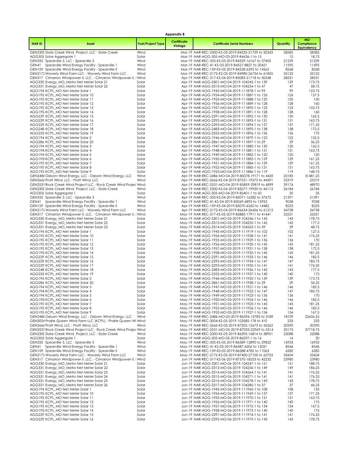|              |                                                                                                                 |                          | <b>Appendix B</b>      |                                                                                                           |                |                                               |
|--------------|-----------------------------------------------------------------------------------------------------------------|--------------------------|------------------------|-----------------------------------------------------------------------------------------------------------|----------------|-----------------------------------------------|
| <b>NARID</b> | Asset                                                                                                           | <b>Fuel/Project Type</b> | Certificate<br>Vintage | <b>Certificate Serial Numbers</b>                                                                         | Quantity       | <b>MO</b><br>Compliance<br><b>Equivalency</b> |
|              | GEN230C Slate Creek Wind Project, LLC - Slate Creek                                                             | Wind                     |                        | Mar-19 NAR-REC-2300-KS-03-2019-84535-21759 to 50343                                                       | 28585          | 28585                                         |
|              | AGG305 Solar Aggregate 1                                                                                        | Solar                    |                        | Mar-19 NAR-AGG-305-MO-03-2019-84636-1 to 15                                                               | 15             | 18.75                                         |
|              | GEN335 Spearville 3, LLC - Spearville 3<br>GEN41 Spearville Wind Energy Facility - Spearville 1                 | Wind<br>Wind             |                        | Mar-19 NAR-REC-335-KS-03-2019-84529-16167 to 37405<br>Mar-19 NAR-REC-41-KS-03-2019-84527-8827 to 20421    | 21239<br>11595 | 21239<br>11595                                |
|              | GEN159 Spearville Wind Energy Facility - Spearville II                                                          | Wind                     |                        | Mar-19 NAR-REC-159-KS-03-2019-84528-6295 to 14562                                                         | 8268           | 8268                                          |
|              | GEN2172 Waverly Wind Farm LLC - Waverly Wind Farm LLC                                                           | Wind                     |                        | Mar-19 NAR-REC-2172-KS-03-2019-84980-26734 to 61855                                                       | 35122          | 35122                                         |
|              | GEN317 Cimarron Windpower II, LLC. - Cimarron Windpower II, I Wind                                              |                          |                        | Apr-19 NAR-REC-317-KS-04-2019-85083-21718 to 50248                                                        | 28531          | 28531                                         |
|              | AGG330 Evergy_MO_Metro Net Meter Solar 21                                                                       | Solar<br>Solar           |                        | Apr-19 NAR-AGG-3301-MO-04-2019-104245-1 to 139<br>Apr-19 NAR-AGG-3313-MO-04-2019-104254-1 to 47           | 139<br>47      | 173.75<br>58.75                               |
|              | AGG331: Evergy_MO_Metro Net Meter Solar 22<br>AGG194 KCPL_MO Net Meter Solar 1                                  | Solar                    |                        | Apr-19 NAR-AGG-1945-MO-04-2019-111878-1 to 99                                                             | 99             | 123.75                                        |
|              | AGG195 KCPL_MO Net Meter Solar 10                                                                               | Solar                    |                        | Apr-19 NAR-AGG-1954-MO-04-2019-111887-1 to 126                                                            | 126            | 157.5                                         |
|              | AGG195 KCPL MO Net Meter Solar 11                                                                               | Solar                    |                        | Apr-19 NAR-AGG-1955-MO-04-2019-111888-1 to 120                                                            | 120            | 150                                           |
|              | AGG195 KCPL_MO Net Meter Solar 12                                                                               | Solar                    |                        | Apr-19 NAR-AGG-1956-MO-04-2019-111889-1 to 128                                                            | 128            | 160                                           |
|              | AGG195 KCPL MO Net Meter Solar 13<br>AGG195 KCPL_MO Net Meter Solar 14                                          | Solar<br>Solar           |                        | Apr-19 NAR-AGG-1957-MO-04-2019-111890-1 to 123<br>Apr-19 NAR-AGG-1958-MO-04-2019-111891-1 to 128          | 123<br>128     | 153.75<br>160                                 |
|              | AGG229 KCPL_MO Net Meter Solar 15                                                                               | Solar                    |                        | Apr-19 NAR-AGG-2291-MO-04-2019-111892-1 to 130                                                            | 130            | 162.5                                         |
|              | AGG229: KCPL_MO Net Meter Solar 16                                                                              | Solar                    |                        | Apr-19 NAR-AGG-2292-MO-04-2019-111893-1 to 131                                                            | 131            | 163.75                                        |
|              | AGG229 KCPL_MO Net Meter Solar 17                                                                               | Solar                    |                        | Apr-19 NAR-AGG-2293-MO-04-2019-111894-1 to 137                                                            | 137            | 171.25                                        |
|              | AGG248 KCPL MO Net Meter Solar 18<br>AGG255 KCPL_MO Net Meter Solar 19                                          | Solar<br>Solar           |                        | Apr-19 NAR-AGG-2483-MO-04-2019-111895-1 to 138<br>Apr-19 NAR-AGG-2552-MO-04-2019-111896-1 to 136          | 138<br>136     | 172.5<br>170                                  |
|              | AGG194 KCPL_MO Net Meter Solar 2                                                                                | Solar                    |                        | Apr-19 NAR-AGG-1946-MO-04-2019-111879-1 to 122                                                            | 122            | 152.5                                         |
|              | AGG286 KCPL_MO Net Meter Solar 20                                                                               | Solar                    |                        | Apr-19 NAR-AGG-2861-MO-04-2019-111897-1 to 29                                                             | 29             | 36.25                                         |
|              | AGG194 KCPL_MO Net Meter Solar 3                                                                                | Solar                    |                        | Apr-19 NAR-AGG-1947-MO-04-2019-111880-1 to 130                                                            | 130            | 162.5                                         |
|              | AGG194 KCPL_MO Net Meter Solar 4                                                                                | Solar                    |                        | Apr-19 NAR-AGG-1948-MO-04-2019-111881-1 to 131                                                            | 131            | 163.75                                        |
|              | AGG194' KCPL_MO Net Meter Solar 5<br>AGG195 KCPL_MO Net Meter Solar 6                                           | Solar<br>Solar           |                        | Apr-19 NAR-AGG-1949-MO-04-2019-111882-1 to 120<br>Apr-19 NAR-AGG-1950-MO-04-2019-111883-1 to 129          | 120<br>129     | 150<br>161.25                                 |
|              | AGG195 KCPL_MO Net Meter Solar 7                                                                                | Solar                    |                        | Apr-19 NAR-AGG-1951-MO-04-2019-111884-1 to 129                                                            | 129            | 161.25                                        |
|              | AGG195 KCPL_MO Net Meter Solar 8                                                                                | Solar                    |                        | Apr-19 NAR-AGG-1952-MO-04-2019-111885-1 to 131                                                            | 131            | 163.75                                        |
|              | AGG195 KCPL_MO Net Meter Solar 9                                                                                | Solar                    |                        | Apr-19 NAR-AGG-1953-MO-04-2019-111886-1 to 119                                                            | 119            | 148.75                                        |
|              | GEN2486 Osborn Wind Energy, LLC - Osborn Wind Energy, LLC<br>GEN2666 Pratt Wind, LLC - Pratt Wind, LLC          | Wind<br>Wind             |                        | Apr-19 NAR-REC-2486-MO-04-2019-85078-19171 to 4435<br>Apr-19 NAR-REC-2666-KS-04-2019-87531-19273 to 44591 | 25185<br>25319 | 31481.25<br>25319                             |
|              | GEN2531 Rock Creek Wind Project LLC - Rock Creek Wind Projec Wind                                               |                          |                        | Apr-19 NAR-REC-2531-MO-04-2019-85859-29819 to 6899                                                        | 39176          | 48970                                         |
|              | GEN230C Slate Creek Wind Project, LLC - Slate Creek                                                             | Wind                     |                        | Apr-19 NAR-REC-2300-KS-04-2019-85077-19930 to 46113                                                       | 26184          | 26184                                         |
|              | AGG305 Solar Aggregate 1                                                                                        | Solar                    |                        | Apr-19 NAR-AGG-305-MO-04-2019-85401-1 to 20                                                               | 20             | 25                                            |
|              | GEN335 Spearville 3, LLC - Spearville 3                                                                         | Wind                     |                        | Apr-19 NAR-REC-335-KS-04-2019-85071-16282 to 37672                                                        | 21391          | 21391                                         |
|              | GEN41 Spearville Wind Energy Facility - Spearville 1<br>GEN159 Spearville Wind Energy Facility - Spearville II  | Wind<br>Wind             |                        | Apr-19 NAR-REC-41-KS-04-2019-85069-6895 to 15952<br>Apr-19 NAR-REC-159-KS-04-2019-85070-6260 to 14482     | 9058<br>8223   | 9058<br>8223                                  |
|              | GEN2172 Waverly Wind Farm LLC - Waverly Wind Farm LLC                                                           | Wind                     |                        | Apr-19 NAR-REC-2172-KS-04-2019-86634-26456 to 61213                                                       | 34758          | 34758                                         |
|              | GEN317 Cimarron Windpower II, LLC. - Cimarron Windpower II, I Wind                                              |                          |                        | May-19 NAR-REC-317-KS-05-2019-85885-17911 to 41441                                                        | 23531          | 23531                                         |
|              | AGG330 Evergy_MO_Metro Net Meter Solar 21                                                                       | Solar                    |                        | May-19 NAR-AGG-3301-MO-05-2019-104246-1 to 143                                                            | 143            | 178.75                                        |
|              | AGG331 Evergy_MO_Metro Net Meter Solar 22<br>AGG331 Evergy_MO_Metro Net Meter Solar 23                          | Solar<br>Solar           |                        | May-19 NAR-AGG-3313-MO-05-2019-104255-1 to 142<br>May-19 NAR-AGG-3314-MO-05-2019-104263-1 to 39           | 142<br>39      | 177.5<br>48.75                                |
|              | AGG194 KCPL_MO Net Meter Solar 1                                                                                | Solar                    |                        | May-19 NAR-AGG-1945-MO-05-2019-111919-1 to 102                                                            | 102            | 127.5                                         |
|              | AGG195 KCPL MO Net Meter Solar 10                                                                               | Solar                    |                        | May-19 NAR-AGG-1954-MO-05-2019-111928-1 to 141                                                            | 141            | 176.25                                        |
|              | AGG195 KCPL_MO Net Meter Solar 11                                                                               | Solar                    |                        | May-19 NAR-AGG-1955-MO-05-2019-111929-1 to 136                                                            | 136            | 170                                           |
|              | AGG195 KCPL_MO Net Meter Solar 12                                                                               | Solar                    |                        | May-19 NAR-AGG-1956-MO-05-2019-111930-1 to 145                                                            | 145<br>138     | 181.25<br>172.5                               |
|              | AGG195 KCPL_MO Net Meter Solar 13<br>AGG195 KCPL_MO Net Meter Solar 14                                          | Solar<br>Solar           |                        | May-19 NAR-AGG-1957-MO-05-2019-111931-1 to 138<br>May-19 NAR-AGG-1958-MO-05-2019-111932-1 to 145          | 145            | 181.25                                        |
|              | AGG229 KCPL MO Net Meter Solar 15                                                                               | Solar                    |                        | May-19 NAR-AGG-2291-MO-05-2019-111933-1 to 146                                                            | 146            | 182.5                                         |
|              | AGG229: KCPL_MO Net Meter Solar 16                                                                              | Solar                    |                        | May-19 NAR-AGG-2292-MO-05-2019-111934-1 to 147                                                            | 147            | 183.75                                        |
|              | AGG229 KCPL MO Net Meter Solar 17                                                                               | Solar                    |                        | May-19 NAR-AGG-2293-MO-05-2019-111935-1 to 141                                                            | 141            | 176.25                                        |
|              | AGG248 KCPL_MO Net Meter Solar 18<br>AGG255 KCPL_MO Net Meter Solar 19                                          | Solar<br>Solar           |                        | May-19 NAR-AGG-2483-MO-05-2019-111936-1 to 142<br>May-19 NAR-AGG-2552-MO-05-2019-111937-1 to 140          | 142<br>140     | 177.5<br>175                                  |
|              | AGG194 KCPL_MO Net Meter Solar 2                                                                                | Solar                    |                        | May-19 NAR-AGG-1946-MO-05-2019-111920-1 to 139                                                            | 139            | 173.75                                        |
|              | AGG286 KCPL_MO Net Meter Solar 20                                                                               | Solar                    |                        | May-19 NAR-AGG-2861-MO-05-2019-111938-1 to 29                                                             | 29             | 36.25                                         |
|              | AGG194 KCPL_MO Net Meter Solar 3                                                                                | Solar                    |                        | May-19 NAR-AGG-1947-MO-05-2019-111921-1 to 146                                                            | 146            | 182.5                                         |
|              | AGG194 KCPL_MO Net Meter Solar 4<br>AGG194 KCPL MO Net Meter Solar 5                                            | Solar<br>Solar           |                        | May-19 NAR-AGG-1948-MO-05-2019-111922-1 to 147<br>May-19 NAR-AGG-1949-MO-05-2019-111923-1 to 136          | 147<br>136     | 183.75<br>170                                 |
|              | AGG195 KCPL_MO Net Meter Solar 6                                                                                | Solar                    |                        | May-19 NAR-AGG-1950-MO-05-2019-111924-1 to 146                                                            | 146            | 182.5                                         |
|              | AGG195 KCPL_MO Net Meter Solar 7                                                                                | Solar                    |                        | May-19 NAR-AGG-1951-MO-05-2019-111925-1 to 145                                                            | 145            | 181.25                                        |
|              | AGG195 KCPL_MO Net Meter Solar 8                                                                                | Solar                    |                        | May-19 NAR-AGG-1952-MO-05-2019-111926-1 to 146                                                            | 146            | 182.5                                         |
|              | AGG195 KCPL_MO Net Meter Solar 9<br>GEN2486 Osborn Wind Energy, LLC - Osborn Wind Energy, LLC                   | Solar<br>Wind            |                        | May-19 NAR-AGG-1953-MO-05-2019-111927-1 to 134<br>May-19 NAR-REC-2486-MO-05-2019-86596-13785 to 3189      | 134<br>18109   | 167.5<br>22636.25                             |
|              | GEN3004 Prairie Queen Wind Farm LLC (KCPL) - Prairie Queen Wi Wind                                              |                          |                        | May-19 NAR-REC-3004-KS-05-2019-103585-178 to 410                                                          | 233            | 233                                           |
|              | GEN2666 Pratt Wind, LLC - Pratt Wind, LLC                                                                       | Wind                     |                        | May-19 NAR-REC-2666-KS-05-2019-87205-15673 to 36262                                                       | 20590          | 20590                                         |
|              | GEN2531 Rock Creek Wind Project LLC - Rock Creek Wind Projec Wind                                               |                          |                        | May-19 NAR-REC-2531-MO-05-2019-87033-22969 to 5314                                                        | 30175          | 37718.75                                      |
|              | GEN230C Slate Creek Wind Project, LLC - Slate Creek<br>AGG305 Solar Aggregate 1                                 | Wind<br>Solar            |                        | May-19 NAR-REC-2300-KS-05-2019-86595-16814 to 38901<br>May-19 NAR-AGG-305-MO-05-2019-86597-1 to 16        | 22088<br>16    | 22088<br>20                                   |
|              | GEN335 Spearville 3, LLC - Spearville 3                                                                         | Wind                     |                        | May-19 NAR-REC-335-KS-05-2019-86589-12890 to 29822                                                        | 16933          | 16933                                         |
| GEN41        | Spearville Wind Energy Facility - Spearville 1                                                                  | Wind                     |                        | May-19 NAR-REC-41-KS-05-2019-86587-6506 to 15051                                                          | 8546           | 8546                                          |
|              | GEN159 Spearville Wind Energy Facility - Spearville II                                                          | Wind                     |                        | May-19 NAR-REC-159-KS-05-2019-86588-4782 to 11063                                                         | 6282           | 6282                                          |
|              | GEN2172 Waverly Wind Farm LLC - Waverly Wind Farm LLC                                                           | Wind                     |                        | May-19 NAR-REC-2172-KS-05-2019-87400-27100 to 62703                                                       | 35604          | 35604                                         |
|              | GEN317 Cimarron Windpower II, LLC. - Cimarron Windpower II, I Wind<br>AGG330 Evergy_MO_Metro Net Meter Solar 21 | Solar                    |                        | Jun-19 NAR-REC-317-KS-06-2019-87570-18253 to 42232<br>Jun-19 NAR-AGG-3301-MO-06-2019-104247-1 to 151      | 23980<br>151   | 23980<br>188.75                               |
|              | AGG331 Evergy_MO_Metro Net Meter Solar 22                                                                       | Solar                    |                        | Jun-19 NAR-AGG-3313-MO-06-2019-104256-1 to 149                                                            | 149            | 186.25                                        |
|              | AGG331 Evergy_MO_Metro Net Meter Solar 23                                                                       | Solar                    |                        | Jun-19 NAR-AGG-3314-MO-06-2019-104264-1 to 141                                                            | 141            | 176.25                                        |
|              | AGG331 Evergy_MO_Metro Net Meter Solar 24                                                                       | Solar                    |                        | Jun-19 NAR-AGG-3315-MO-06-2019-104271-1 to 141                                                            | 141            | 176.25                                        |
|              | AGG331 Evergy_MO_Metro Net Meter Solar 25<br>AGG331 Evergy_MO_Metro Net Meter Solar 26                          | Solar<br>Solar           |                        | Jun-19 NAR-AGG-3316-MO-06-2019-104278-1 to 143<br>Jun-19 NAR-AGG-3317-MO-06-2019-104285-1 to 37           | 143<br>37      | 178.75<br>46.25                               |
|              | AGG194 KCPL_MO Net Meter Solar 1                                                                                | Solar                    |                        | Jun-19 NAR-AGG-1945-MO-06-2019-111960-1 to 108                                                            | 108            | 135                                           |
|              | AGG195 KCPL_MO Net Meter Solar 10                                                                               | Solar                    |                        | Jun-19 NAR-AGG-1954-MO-06-2019-111969-1 to 137                                                            | 137            | 171.25                                        |
|              | AGG195 KCPL_MO Net Meter Solar 11                                                                               | Solar                    |                        | Jun-19 NAR-AGG-1955-MO-06-2019-111970-1 to 131                                                            | 131            | 163.75                                        |
|              | AGG195 KCPL_MO Net Meter Solar 12<br>AGG195 KCPL_MO Net Meter Solar 13                                          | Solar<br>Solar           |                        | Jun-19 NAR-AGG-1956-MO-06-2019-111971-1 to 140<br>Jun-19 NAR-AGG-1957-MO-06-2019-111972-1 to 134          | 140<br>134     | 175<br>167.5                                  |
|              | AGG195 KCPL_MO Net Meter Solar 14                                                                               | Solar                    |                        | Jun-19 NAR-AGG-1958-MO-06-2019-111973-1 to 140                                                            | 140            | 175                                           |
|              | AGG229 KCPL_MO Net Meter Solar 15                                                                               | Solar                    |                        | Jun-19 NAR-AGG-2291-MO-06-2019-111974-1 to 141                                                            | 141            | 176.25                                        |
|              | AGG229: KCPL_MO Net Meter Solar 16                                                                              | Solar                    |                        | Jun-19 NAR-AGG-2292-MO-06-2019-111975-1 to 143                                                            | 143            | 178.75                                        |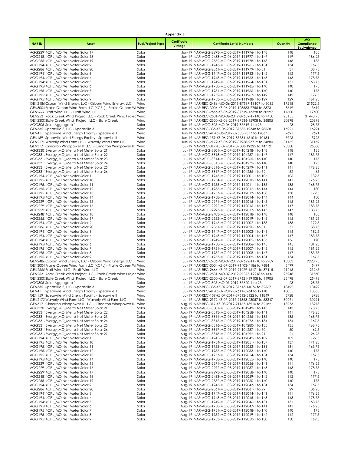|              |                                                                                                                          |                          | <b>Appendix B</b>      |                                                                                                           |                |                                               |
|--------------|--------------------------------------------------------------------------------------------------------------------------|--------------------------|------------------------|-----------------------------------------------------------------------------------------------------------|----------------|-----------------------------------------------|
| <b>NARID</b> | Asset                                                                                                                    | <b>Fuel/Project Type</b> | Certificate<br>Vintage | <b>Certificate Serial Numbers</b>                                                                         | Quantity       | <b>MO</b><br>Compliance<br><b>Equivalency</b> |
|              | AGG229: KCPL_MO Net Meter Solar 17                                                                                       | Solar                    |                        | Jun-19 NAR-AGG-2293-MO-06-2019-111976-1 to 148                                                            | 148            | 185                                           |
|              | AGG248 KCPL_MO Net Meter Solar 18                                                                                        | Solar<br>Solar           |                        | Jun-19 NAR-AGG-2483-MO-06-2019-111977-1 to 149<br>Jun-19 NAR-AGG-2552-MO-06-2019-111978-1 to 148          | 149<br>148     | 186.25<br>185                                 |
|              | AGG255 KCPL_MO Net Meter Solar 19<br>AGG194 KCPL MO Net Meter Solar 2                                                    | Solar                    |                        | Jun-19 NAR-AGG-1946-MO-06-2019-111961-1 to 134                                                            | 134            | 167.5                                         |
|              | AGG286 KCPL_MO Net Meter Solar 20                                                                                        | Solar                    |                        | Jun-19 NAR-AGG-2861-MO-06-2019-111979-1 to 31                                                             | 31             | 38.75                                         |
|              | AGG194 KCPL_MO Net Meter Solar 3                                                                                         | Solar                    |                        | Jun-19 NAR-AGG-1947-MO-06-2019-111962-1 to 142                                                            | 142            | 177.5                                         |
|              | AGG194 KCPL MO Net Meter Solar 4<br>AGG194' KCPL_MO Net Meter Solar 5                                                    | Solar<br>Solar           |                        | Jun-19 NAR-AGG-1948-MO-06-2019-111963-1 to 143<br>Jun-19 NAR-AGG-1949-MO-06-2019-111964-1 to 131          | 143<br>131     | 178.75<br>163.75                              |
|              | AGG195 KCPL_MO Net Meter Solar 6                                                                                         | Solar                    |                        | Jun-19 NAR-AGG-1950-MO-06-2019-111965-1 to 140                                                            | 140            | 175                                           |
|              | AGG195 KCPL_MO Net Meter Solar 7                                                                                         | Solar                    |                        | Jun-19 NAR-AGG-1951-MO-06-2019-111966-1 to 140                                                            | 140            | 175                                           |
|              | AGG195 KCPL_MO Net Meter Solar 8<br>AGG195 KCPL_MO Net Meter Solar 9                                                     | Solar<br>Solar           |                        | Jun-19 NAR-AGG-1952-MO-06-2019-111967-1 to 142<br>Jun-19 NAR-AGG-1953-MO-06-2019-111968-1 to 129          | 142<br>129     | 177.5<br>161.25                               |
|              | GEN2486 Osborn Wind Energy, LLC - Osborn Wind Energy, LLC                                                                | Wind                     |                        | Jun-19 NAR-REC-2486-MO-06-2019-87537-13107 to 3032                                                        | 17218          | 21522.5                                       |
|              | GEN3004 Prairie Queen Wind Farm LLC (KCPL) - Prairie Queen Wi Wind                                                       |                          |                        | Jun-19 NAR-REC-3004-KS-06-2019-103583-2755 to 6373                                                        | 3619           | 3619                                          |
|              | GEN2666 Pratt Wind, LLC - Pratt Wind, LLC<br>GEN2531 Rock Creek Wind Project LLC - Rock Creek Wind Projec Wind           | Wind                     |                        | Jun-19 NAR-REC-2666-KS-06-2019-87719-13398 to 30997<br>Jun-19 NAR-REC-2531-MO-06-2019-87639-19148 to 4430 | 17600<br>25155 | 17600<br>31443.75                             |
|              | GEN230C Slate Creek Wind Project, LLC - Slate Creek                                                                      | Wind                     |                        | Jun-19 NAR-REC-2300-KS-06-2019-87536-15908 to 36805                                                       | 20898          | 20898                                         |
|              | AGG305 Solar Aggregate 1                                                                                                 | Solar                    |                        | Jun-19 NAR-AGG-305-MO-06-2019-87619-1 to 23                                                               | 23             | 28.75                                         |
|              | GEN335 Spearville 3, LLC - Spearville 3                                                                                  | Wind                     |                        | Jun-19 NAR-REC-335-KS-06-2019-87535-12348 to 28568                                                        | 16221          | 16221                                         |
|              | GEN41 Spearville Wind Energy Facility - Spearville 1<br>GEN159 Spearville Wind Energy Facility - Spearville II           | Wind<br>Wind             |                        | Jun-19 NAR-REC-41-KS-06-2019-87533-7377 to 17067<br>Jun-19 NAR-REC-159-KS-06-2019-87534-4510 to 10434     | 9691<br>5925   | 9691<br>5925                                  |
|              | GEN2172 Waverly Wind Farm LLC - Waverly Wind Farm LLC                                                                    | Wind                     |                        | Jun-19 NAR-REC-2172-KS-06-2019-87958-23719 to 54880                                                       | 31162          | 31162                                         |
|              | GEN317 Cimarron Windpower II, LLC. - Cimarron Windpower II, I Wind                                                       |                          |                        | Jul-19 NAR-REC-317-KS-07-2019-87588-19325 to 44712                                                        | 25388          | 25388                                         |
|              | AGG330 Evergy_MO_Metro Net Meter Solar 21<br>AGG331: Evergy_MO_Metro Net Meter Solar 22                                  | Solar<br>Solar           |                        | Jul-19 NAR-AGG-3301-MO-07-2019-104248-1 to 148<br>Jul-19 NAR-AGG-3313-MO-07-2019-104257-1 to 147          | 148<br>147     | 185<br>183.75                                 |
|              | AGG331 Evergy_MO_Metro Net Meter Solar 23                                                                                | Solar                    |                        | Jul-19 NAR-AGG-3314-MO-07-2019-104265-1 to 140                                                            | 140            | 175                                           |
|              | AGG331 Evergy_MO_Metro Net Meter Solar 24                                                                                | Solar                    |                        | Jul-19 NAR-AGG-3315-MO-07-2019-104272-1 to 140                                                            | 140            | 175                                           |
|              | AGG331 Evergy_MO_Metro Net Meter Solar 25<br>AGG331 Evergy_MO_Metro Net Meter Solar 26                                   | Solar<br>Solar           |                        | Jul-19 NAR-AGG-3316-MO-07-2019-104279-1 to 141<br>Jul-19 NAR-AGG-3317-MO-07-2019-104286-1 to 52           | 141<br>52      | 176.25<br>65                                  |
|              | AGG194 KCPL_MO Net Meter Solar 1                                                                                         | Solar                    |                        | Jul-19 NAR-AGG-1945-MO-07-2019-112001-1 to 106                                                            | 106            | 132.5                                         |
|              | AGG195 KCPL_MO Net Meter Solar 10                                                                                        | Solar                    |                        | Jul-19 NAR-AGG-1954-MO-07-2019-112010-1 to 141                                                            | 141            | 176.25                                        |
|              | AGG195 KCPL MO Net Meter Solar 11                                                                                        | Solar                    |                        | Jul-19 NAR-AGG-1955-MO-07-2019-112011-1 to 135                                                            | 135            | 168.75                                        |
|              | AGG195 KCPL MO Net Meter Solar 12<br>AGG195 KCPL_MO Net Meter Solar 13                                                   | Solar<br>Solar           |                        | Jul-19 NAR-AGG-1956-MO-07-2019-112012-1 to 144<br>Jul-19 NAR-AGG-1957-MO-07-2019-112013-1 to 138          | 144<br>138     | 180<br>172.5                                  |
|              | AGG195 KCPL_MO Net Meter Solar 14                                                                                        | Solar                    |                        | Jul-19 NAR-AGG-1958-MO-07-2019-112014-1 to 144                                                            | 144            | 180                                           |
|              | AGG229 KCPL_MO Net Meter Solar 15                                                                                        | Solar                    |                        | Jul-19 NAR-AGG-2291-MO-07-2019-112015-1 to 145                                                            | 145            | 181.25                                        |
|              | AGG229: KCPL_MO Net Meter Solar 16<br>AGG229: KCPL_MO Net Meter Solar 17                                                 | Solar<br>Solar           |                        | Jul-19 NAR-AGG-2292-MO-07-2019-112016-1 to 147<br>Jul-19 NAR-AGG-2293-MO-07-2019-112017-1 to 147          | 147<br>147     | 183.75<br>183.75                              |
|              | AGG248 KCPL_MO Net Meter Solar 18                                                                                        | Solar                    |                        | Jul-19 NAR-AGG-2483-MO-07-2019-112018-1 to 148                                                            | 148            | 185                                           |
|              | AGG255: KCPL_MO Net Meter Solar 19                                                                                       | Solar                    |                        | Jul-19 NAR-AGG-2552-MO-07-2019-112019-1 to 145                                                            | 145            | 181.25                                        |
|              | AGG194 KCPL_MO Net Meter Solar 2<br>AGG286 KCPL_MO Net Meter Solar 20                                                    | Solar<br>Solar           |                        | Jul-19 NAR-AGG-1946-MO-07-2019-112002-1 to 138<br>Jul-19 NAR-AGG-2861-MO-07-2019-112020-1 to 31           | 138<br>31      | 172.5<br>38.75                                |
|              | AGG194 KCPL_MO Net Meter Solar 3                                                                                         | Solar                    |                        | Jul-19 NAR-AGG-1947-MO-07-2019-112003-1 to 146                                                            | 146            | 182.5                                         |
|              | AGG194 KCPL_MO Net Meter Solar 4                                                                                         | Solar                    |                        | Jul-19 NAR-AGG-1948-MO-07-2019-112004-1 to 147                                                            | 147            | 183.75                                        |
|              | AGG194' KCPL_MO Net Meter Solar 5<br>AGG195 KCPL_MO Net Meter Solar 6                                                    | Solar<br>Solar           |                        | Jul-19 NAR-AGG-1949-MO-07-2019-112005-1 to 136<br>Jul-19 NAR-AGG-1950-MO-07-2019-112006-1 to 145          | 136<br>145     | 170<br>181.25                                 |
|              | AGG195 KCPL_MO Net Meter Solar 7                                                                                         | Solar                    |                        | Jul-19 NAR-AGG-1951-MO-07-2019-112007-1 to 145                                                            | 145            | 181.25                                        |
|              | AGG195 KCPL_MO Net Meter Solar 8                                                                                         | Solar                    |                        | Jul-19 NAR-AGG-1952-MO-07-2019-112008-1 to 147                                                            | 147            | 183.75                                        |
|              | AGG195 KCPL_MO Net Meter Solar 9<br>GEN2486 Osborn Wind Energy, LLC - Osborn Wind Energy, LLC                            | Solar<br>Wind            |                        | Jul-19 NAR-AGG-1953-MO-07-2019-112009-1 to 134<br>Jul-19 NAR-REC-2486-MO-07-2019-87622-11710 to 2709      | 134<br>15383   | 167.5<br>19228.75                             |
|              | GEN3004 Prairie Queen Wind Farm LLC (KCPL) - Prairie Queen Wi Wind                                                       |                          |                        | Jul-19 NAR-REC-3004-KS-07-2019-91403-4186 to 9684                                                         | 5499           | 5499                                          |
|              | GEN2666 Pratt Wind, LLC - Pratt Wind, LLC                                                                                | Wind                     |                        | Jul-19 NAR-REC-2666-KS-07-2019-91229-16171 to 37415                                                       | 21245          | 21245                                         |
|              | GEN2531 Rock Creek Wind Project LLC - Rock Creek Wind Projec Wind<br>GEN230C Slate Creek Wind Project, LLC - Slate Creek | Wind                     |                        | Jul-19 NAR-REC-2531-MO-07-2019-91375-19218 to 4446<br>Jul-19 NAR-REC-2300-KS-07-2019-87621-19408 to 44905 | 25248<br>25498 | 31560<br>25498                                |
|              | AGG305 Solar Aggregate 1                                                                                                 | Solar                    |                        | Jul-19 NAR-AGG-305-MO-07-2019-87620-1 to 23                                                               | 23             | 28.75                                         |
|              | GEN335 Spearville 3, LLC - Spearville 3                                                                                  | Wind                     |                        | Jul-19 NAR-REC-335-KS-07-2019-87613-14076 to 32567                                                        | 18492          | 18492                                         |
|              | GEN41 Spearville Wind Energy Facility - Spearville 1<br>GEN159 Spearville Wind Energy Facility - Spearville II           | Wind<br>Wind             |                        | Jul-19 NAR-REC-41-KS-07-2019-87611-8264 to 19118<br>Jul-19 NAR-REC-159-KS-07-2019-87612-5122 to 11849     | 10855<br>6728  | 10855<br>6728                                 |
|              | GEN2172 Waverly Wind Farm LLC - Waverly Wind Farm LLC                                                                    | Wind                     |                        | Jul-19 NAR-REC-2172-KS-07-2019-91363-23057 to 53347                                                       | 30291          | 30291                                         |
|              | GEN317 Cimarron Windpower II, LLC. - Cimarron Windpower II, I Wind                                                       |                          |                        | Aug-19 NAR-REC-317-KS-08-2019-91167-13910 to 32182                                                        | 18273          | 18273                                         |
|              | AGG330 Evergy MO Metro Net Meter Solar 21<br>AGG331: Evergy_MO_Metro Net Meter Solar 22                                  | Solar<br>Solar           |                        | Aug-19 NAR-AGG-3301-MO-08-2019-104249-1 to 143<br>Aug-19 NAR-AGG-3313-MO-08-2019-104258-1 to 141          | 143<br>141     | 178.75<br>176.25                              |
|              | AGG331 Evergy_MO_Metro Net Meter Solar 23                                                                                | Solar                    |                        | Aug-19 NAR-AGG-3314-MO-08-2019-104266-1 to 135                                                            | 135            | 168.75                                        |
|              | AGG331 Evergy_MO_Metro Net Meter Solar 24                                                                                | Solar                    |                        | Aug-19 NAR-AGG-3315-MO-08-2019-104273-1 to 134                                                            | 134            | 167.5                                         |
|              | AGG331 Evergy_MO_Metro Net Meter Solar 25<br>AGG331 Evergy_MO_Metro Net Meter Solar 26                                   | Solar<br>Solar           |                        | Aug-19 NAR-AGG-3316-MO-08-2019-104280-1 to 135<br>Aug-19 NAR-AGG-3317-MO-08-2019-104287-1 to 50           | 135<br>50      | 168.75<br>62.5                                |
|              | AGG331 Evergy_MO_Metro Net Meter Solar 27                                                                                | Solar                    |                        | Aug-19 NAR-AGG-3318-MO-08-2019-104292-1 to 21                                                             | 21             | 26.25                                         |
|              | AGG194 KCPL_MO Net Meter Solar 1                                                                                         | Solar                    |                        | Aug-19 NAR-AGG-1945-MO-08-2019-112042-1 to 102                                                            | 102            | 127.5                                         |
|              | AGG195 KCPL_MO Net Meter Solar 10<br>AGG195 KCPL_MO Net Meter Solar 11                                                   | Solar                    |                        | Aug-19 NAR-AGG-1954-MO-08-2019-112051-1 to 137<br>Aug-19 NAR-AGG-1955-MO-08-2019-112052-1 to 131          | 137            | 171.25                                        |
|              | AGG195 KCPL_MO Net Meter Solar 12                                                                                        | Solar<br>Solar           |                        | Aug-19 NAR-AGG-1956-MO-08-2019-112053-1 to 140                                                            | 131<br>140     | 163.75<br>175                                 |
|              | AGG195 KCPL MO Net Meter Solar 13                                                                                        | Solar                    |                        | Aug-19 NAR-AGG-1957-MO-08-2019-112054-1 to 134                                                            | 134            | 167.5                                         |
|              | AGG195 KCPL MO Net Meter Solar 14                                                                                        | Solar                    |                        | Aug-19 NAR-AGG-1958-MO-08-2019-112055-1 to 140                                                            | 140            | 175                                           |
|              | AGG229 KCPL_MO Net Meter Solar 15<br>AGG229: KCPL_MO Net Meter Solar 16                                                  | Solar<br>Solar           |                        | Aug-19 NAR-AGG-2291-MO-08-2019-112056-1 to 141<br>Aug-19 NAR-AGG-2292-MO-08-2019-112057-1 to 143          | 141<br>143     | 176.25<br>178.75                              |
|              | AGG229: KCPL_MO Net Meter Solar 17                                                                                       | Solar                    |                        | Aug-19 NAR-AGG-2293-MO-08-2019-112058-1 to 140                                                            | 140            | 175                                           |
|              | AGG248 KCPL_MO Net Meter Solar 18                                                                                        | Solar                    |                        | Aug-19 NAR-AGG-2483-MO-08-2019-112059-1 to 142                                                            | 142            | 177.5                                         |
|              | AGG255 KCPL_MO Net Meter Solar 19<br>AGG194 KCPL_MO Net Meter Solar 2                                                    | Solar<br>Solar           |                        | Aug-19 NAR-AGG-2552-MO-08-2019-112060-1 to 140<br>Aug-19 NAR-AGG-1946-MO-08-2019-112043-1 to 134          | 140<br>134     | 175<br>167.5                                  |
|              | AGG286 KCPL_MO Net Meter Solar 20                                                                                        | Solar                    |                        | Aug-19 NAR-AGG-2861-MO-08-2019-112061-1 to 29                                                             | 29             | 36.25                                         |
|              | AGG194 KCPL_MO Net Meter Solar 3                                                                                         | Solar                    |                        | Aug-19 NAR-AGG-1947-MO-08-2019-112044-1 to 141                                                            | 141            | 176.25                                        |
|              | AGG194 KCPL MO Net Meter Solar 4<br>AGG194' KCPL_MO Net Meter Solar 5                                                    | Solar<br>Solar           |                        | Aug-19 NAR-AGG-1948-MO-08-2019-112045-1 to 143<br>Aug-19 NAR-AGG-1949-MO-08-2019-112046-1 to 131          | 143<br>131     | 178.75<br>163.75                              |
|              | AGG195 KCPL_MO Net Meter Solar 6                                                                                         | Solar                    |                        | Aug-19 NAR-AGG-1950-MO-08-2019-112047-1 to 141                                                            | 141            | 176.25                                        |
|              | AGG195 KCPL_MO Net Meter Solar 7                                                                                         | Solar                    |                        | Aug-19 NAR-AGG-1951-MO-08-2019-112048-1 to 140                                                            | 140            | 175                                           |
|              | AGG195 KCPL_MO Net Meter Solar 8<br>AGG195: KCPL_MO Net Meter Solar 9                                                    | Solar<br>Solar           |                        | Aug-19 NAR-AGG-1952-MO-08-2019-112049-1 to 142<br>Aug-19 NAR-AGG-1953-MO-08-2019-112050-1 to 130          | 142<br>130     | 177.5<br>162.5                                |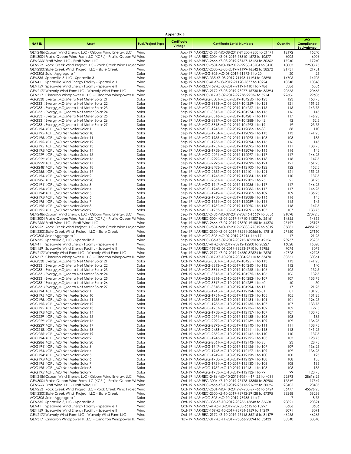|              |                                                                                                                 |                          | <b>Appendix B</b>      |                                                                                                           |                |                                               |
|--------------|-----------------------------------------------------------------------------------------------------------------|--------------------------|------------------------|-----------------------------------------------------------------------------------------------------------|----------------|-----------------------------------------------|
| <b>NARID</b> | Asset                                                                                                           | <b>Fuel/Project Type</b> | Certificate<br>Vintage | <b>Certificate Serial Numbers</b>                                                                         | Quantity       | <b>MO</b><br>Compliance<br><b>Equivalency</b> |
|              | GEN2486 Osborn Wind Energy, LLC - Osborn Wind Energy, LLC                                                       | Wind                     |                        | Aug-19 NAR-REC-2486-MO-08-2019-91200-9280 to 21471                                                        | 12192          | 15240                                         |
|              | GEN3004 Prairie Queen Wind Farm LLC (KCPL) - Prairie Queen Wi Wind<br>GEN2666 Pratt Wind, LLC - Pratt Wind, LLC | Wind                     |                        | Aug-19 NAR-REC-3004-KS-08-2019-93310-4572 to 10577<br>Aug-19 NAR-REC-2666-KS-08-2019-93167-13123 to 30362 | 6006<br>17240  | 6006<br>17240                                 |
|              | GEN2531 Rock Creek Wind Project LLC - Rock Creek Wind Projec Wind                                               |                          |                        | Aug-19 NAR-REC-2531-MO-08-2019-92988-13704 to 3170                                                        | 18003          | 22503.75                                      |
|              | GEN230C Slate Creek Wind Project, LLC - Slate Creek                                                             | Wind                     |                        | Aug-19 NAR-REC-2300-KS-08-2019-91199-16542 to 38272                                                       | 21731          | 21731                                         |
|              | AGG305 Solar Aggregate 1                                                                                        | Solar                    |                        | Aug-19 NAR-AGG-305-MO-08-2019-91192-1 to 20                                                               | 20             | 25                                            |
|              | GEN335 Spearville 3, LLC - Spearville 3<br>GEN41 Spearville Wind Energy Facility - Spearville 1                 | Wind<br>Wind             |                        | Aug-19 NAR-REC-335-KS-08-2019-91193-11194 to 25898<br>Aug-19 NAR-REC-41-KS-08-2019-91190-7877 to 18224    | 14705<br>10348 | 14705<br>10348                                |
|              | GEN159 Spearville Wind Energy Facility - Spearville II                                                          | Wind                     |                        | Aug-19 NAR-REC-159-KS-08-2019-91191-4101 to 9486                                                          | 5386           | 5386                                          |
|              | GEN2172 Waverly Wind Farm LLC - Waverly Wind Farm LLC                                                           | Wind                     |                        | Aug-19 NAR-REC-2172-KS-08-2019-93277-15730 to 36394                                                       | 20665          | 20665                                         |
|              | GEN317 Cimarron Windpower II, LLC. - Cimarron Windpower II, I Wind                                              |                          |                        | Sep-19 NAR-REC-317-KS-09-2019-92978-22536 to 52141                                                        | 29606          | 29606                                         |
|              | AGG330 Evergy MO Metro Net Meter Solar 21<br>AGG331: Evergy_MO_Metro Net Meter Solar 22                         | Solar<br>Solar           |                        | Sep-19 NAR-AGG-3301-MO-09-2019-104250-1 to 123<br>Sep-19 NAR-AGG-3313-MO-09-2019-104259-1 to 121          | 123<br>121     | 153.75<br>151.25                              |
|              | AGG331 Evergy_MO_Metro Net Meter Solar 23                                                                       | Solar                    |                        | Sep-19 NAR-AGG-3314-MO-09-2019-104267-1 to 115                                                            | 115            | 143.75                                        |
|              | AGG331 Evergy_MO_Metro Net Meter Solar 24                                                                       | Solar                    |                        | Sep-19 NAR-AGG-3315-MO-09-2019-104274-1 to 116                                                            | 116            | 145                                           |
|              | AGG331 Evergy_MO_Metro Net Meter Solar 25                                                                       | Solar                    |                        | Sep-19 NAR-AGG-3316-MO-09-2019-104281-1 to 117                                                            | 117            | 146.25                                        |
|              | AGG331 Evergy_MO_Metro Net Meter Solar 26<br>AGG331 Evergy_MO_Metro Net Meter Solar 27                          | Solar<br>Solar           |                        | Sep-19 NAR-AGG-3317-MO-09-2019-104288-1 to 42<br>Sep-19 NAR-AGG-3318-MO-09-2019-104293-1 to 19            | 42<br>19       | 52.5<br>23.75                                 |
|              | AGG194 KCPL_MO Net Meter Solar 1                                                                                | Solar                    |                        | Sep-19 NAR-AGG-1945-MO-09-2019-112083-1 to 88                                                             | 88             | 110                                           |
|              | AGG195 KCPL_MO Net Meter Solar 10                                                                               | Solar                    |                        | Sep-19 NAR-AGG-1954-MO-09-2019-112092-1 to 113                                                            | 113            | 141.25                                        |
|              | AGG195 KCPL_MO Net Meter Solar 11                                                                               | Solar                    |                        | Sep-19 NAR-AGG-1955-MO-09-2019-112093-1 to 108                                                            | 108            | 135                                           |
|              | AGG195 KCPL_MO Net Meter Solar 12<br>AGG195 KCPL MO Net Meter Solar 13                                          | Solar<br>Solar           |                        | Sep-19 NAR-AGG-1956-MO-09-2019-112094-1 to 116<br>Sep-19 NAR-AGG-1957-MO-09-2019-112095-1 to 111          | 116<br>111     | 145<br>138.75                                 |
|              | AGG195 KCPL MO Net Meter Solar 14                                                                               | Solar                    |                        | Sep-19 NAR-AGG-1958-MO-09-2019-112096-1 to 116                                                            | 116            | 145                                           |
|              | AGG229 KCPL_MO Net Meter Solar 15                                                                               | Solar                    |                        | Sep-19 NAR-AGG-2291-MO-09-2019-112097-1 to 117                                                            | 117            | 146.25                                        |
|              | AGG229: KCPL_MO Net Meter Solar 16                                                                              | Solar                    |                        | Sep-19 NAR-AGG-2292-MO-09-2019-112098-1 to 118                                                            | 118            | 147.5                                         |
|              | AGG229: KCPL_MO Net Meter Solar 17                                                                              | Solar                    |                        | Sep-19 NAR-AGG-2293-MO-09-2019-112099-1 to 121                                                            | 121            | 151.25<br>152.5                               |
|              | AGG248 KCPL MO Net Meter Solar 18<br>AGG255 KCPL MO Net Meter Solar 19                                          | Solar<br>Solar           |                        | Sep-19 NAR-AGG-2483-MO-09-2019-112100-1 to 122<br>Sep-19 NAR-AGG-2552-MO-09-2019-112101-1 to 121          | 122<br>121     | 151.25                                        |
|              | AGG194 KCPL_MO Net Meter Solar 2                                                                                | Solar                    |                        | Sep-19 NAR-AGG-1946-MO-09-2019-112084-1 to 110                                                            | 110            | 137.5                                         |
|              | AGG286 KCPL_MO Net Meter Solar 20                                                                               | Solar                    |                        | Sep-19 NAR-AGG-2861-MO-09-2019-112102-1 to 25                                                             | 25             | 31.25                                         |
|              | AGG194 KCPL MO Net Meter Solar 3                                                                                | Solar                    |                        | Sep-19 NAR-AGG-1947-MO-09-2019-112085-1 to 117                                                            | 117            | 146.25                                        |
|              | AGG194 KCPL_MO Net Meter Solar 4<br>AGG194' KCPL_MO Net Meter Solar 5                                           | Solar<br>Solar           |                        | Sep-19 NAR-AGG-1948-MO-09-2019-112086-1 to 117<br>Sep-19 NAR-AGG-1949-MO-09-2019-112087-1 to 109          | 117<br>109     | 146.25<br>136.25                              |
|              | AGG195 KCPL_MO Net Meter Solar 6                                                                                | Solar                    |                        | Sep-19 NAR-AGG-1950-MO-09-2019-112088-1 to 116                                                            | 116            | 145                                           |
|              | AGG195 KCPL_MO Net Meter Solar 7                                                                                | Solar                    |                        | Sep-19 NAR-AGG-1951-MO-09-2019-112089-1 to 116                                                            | 116            | 145                                           |
|              | AGG195 KCPL_MO Net Meter Solar 8                                                                                | Solar                    |                        | Sep-19 NAR-AGG-1952-MO-09-2019-112090-1 to 118                                                            | 118            | 147.5                                         |
|              | AGG195 KCPL_MO Net Meter Solar 9<br>GEN2486 Osborn Wind Energy, LLC - Osborn Wind Energy, LLC                   | Solar<br>Wind            |                        | Sep-19 NAR-AGG-1953-MO-09-2019-112091-1 to 107<br>Sep-19 NAR-REC-2486-MO-09-2019-93246-16669 to 3856      | 107<br>21898   | 133.75<br>27372.5                             |
|              | GEN3004 Prairie Queen Wind Farm LLC (KCPL) - Prairie Queen Wi Wind                                              |                          |                        | Sep-19 NAR-REC-3004-KS-09-2019-94710-11307 to 26161                                                       | 14855          | 14855                                         |
|              | GEN2666 Pratt Wind, LLC - Pratt Wind, LLC                                                                       | Wind                     |                        | Sep-19 NAR-REC-2666-KS-09-2019-93820-19180 to 44376                                                       | 25197          | 25197                                         |
|              | GEN2531 Rock Creek Wind Project LLC - Rock Creek Wind Projec Wind                                               |                          |                        | Sep-19 NAR-REC-2531-MO-09-2019-93833-27312 to 6319                                                        | 35881          | 44851.25                                      |
|              | GEN230C Slate Creek Wind Project, LLC - Slate Creek                                                             | Wind                     |                        | Sep-19 NAR-REC-2300-KS-09-2019-93244-20666 to 47815                                                       | 27150          | 27150                                         |
|              | AGG305 Solar Aggregate 1<br>GEN335 Spearville 3, LLC - Spearville 3                                             | Solar<br>Wind            |                        | Sep-19 NAR-AGG-305-MO-09-2019-93214-1 to 17<br>Sep-19 NAR-REC-335-KS-09-2019-93215-18220 to 42156         | 17<br>23937    | 21.25<br>23937                                |
|              | GEN41 Spearville Wind Energy Facility - Spearville 1                                                            | Wind                     |                        | Sep-19 NAR-REC-41-KS-09-2019-93212-12200 to 28227                                                         | 16028          | 16028                                         |
|              | GEN159 Spearville Wind Energy Facility - Spearville II                                                          | Wind                     |                        | Sep-19 NAR-REC-159-KS-09-2019-93213-6910 to 15985                                                         | 9076           | 9076                                          |
|              | GEN2172 Waverly Wind Farm LLC - Waverly Wind Farm LLC                                                           | Wind                     |                        | Sep-19 NAR-REC-2172-KS-09-2019-94680-32524 to 75251                                                       | 42728          | 42728                                         |
|              | GEN317 Cimarron Windpower II, LLC. - Cimarron Windpower II, I Wind<br>AGG330 Evergy_MO_Metro Net Meter Solar 21 | Solar                    |                        | Oct-19 NAR-REC-317-KS-10-2019-93804-23110 to 53470<br>Oct-19 NAR-AGG-3301-MO-10-2019-104251-1 to 113      | 30361<br>113   | 30361<br>141.25                               |
|              | AGG331 Evergy MO Metro Net Meter Solar 22                                                                       | Solar                    |                        | Oct-19 NAR-AGG-3313-MO-10-2019-104260-1 to 112                                                            | 112            | 140                                           |
|              | AGG331 Evergy_MO_Metro Net Meter Solar 23                                                                       | Solar                    |                        | Oct-19 NAR-AGG-3314-MO-10-2019-104268-1 to 106                                                            | 106            | 132.5                                         |
|              | AGG331 Evergy_MO_Metro Net Meter Solar 24                                                                       | Solar                    |                        | Oct-19 NAR-AGG-3315-MO-10-2019-104275-1 to 106                                                            | 106            | 132.5                                         |
|              | AGG331 Evergy_MO_Metro Net Meter Solar 25<br>AGG331 Evergy_MO_Metro Net Meter Solar 26                          | Solar<br>Solar           |                        | Oct-19 NAR-AGG-3316-MO-10-2019-104282-1 to 107<br>Oct-19 NAR-AGG-3317-MO-10-2019-104289-1 to 40           | 107<br>40      | 133.75<br>50                                  |
|              | AGG331 Evergy_MO_Metro Net Meter Solar 27                                                                       | Solar                    |                        | Oct-19 NAR-AGG-3318-MO-10-2019-104294-1 to 17                                                             | 17             | 21.25                                         |
|              | AGG194 KCPL MO Net Meter Solar 1                                                                                | Solar                    |                        | Oct-19 NAR-AGG-1945-MO-10-2019-112124-1 to 81                                                             | 81             | 101.25                                        |
|              | AGG195 KCPL_MO Net Meter Solar 10                                                                               | Solar                    |                        | Oct-19 NAR-AGG-1954-MO-10-2019-112133-1 to 105                                                            | 105            | 131.25                                        |
|              | AGG195 KCPL_MO Net Meter Solar 11<br>AGG195 KCPL MO Net Meter Solar 12                                          | Solar<br>Solar           |                        | Oct-19 NAR-AGG-1955-MO-10-2019-112134-1 to 101<br>Oct-19 NAR-AGG-1956-MO-10-2019-112135-1 to 107          | 101<br>107     | 126.25<br>133.75                              |
|              | AGG195 KCPL MO Net Meter Solar 13                                                                               | Solar                    |                        | Oct-19 NAR-AGG-1957-MO-10-2019-112136-1 to 102                                                            | 102            | 127.5                                         |
|              | AGG195 KCPL_MO Net Meter Solar 14                                                                               | Solar                    |                        | Oct-19 NAR-AGG-1958-MO-10-2019-112137-1 to 107                                                            | 107            | 133.75                                        |
|              | AGG229 KCPL MO Net Meter Solar 15                                                                               | Solar                    |                        | Oct-19 NAR-AGG-2291-MO-10-2019-112138-1 to 108                                                            | 108            | 135                                           |
|              | AGG229: KCPL_MO Net Meter Solar 16<br>AGG229 KCPL MO Net Meter Solar 17                                         | Solar<br>Solar           |                        | Oct-19 NAR-AGG-2292-MO-10-2019-112139-1 to 109<br>Oct-19 NAR-AGG-2293-MO-10-2019-112140-1 to 111          | 109<br>111     | 136.25<br>138.75                              |
|              | AGG248 KCPL MO Net Meter Solar 18                                                                               | Solar                    |                        | Oct-19 NAR-AGG-2483-MO-10-2019-112141-1 to 113                                                            | 113            | 141.25                                        |
|              | AGG255 KCPL_MO Net Meter Solar 19                                                                               | Solar                    |                        | Oct-19 NAR-AGG-2552-MO-10-2019-112142-1 to 110                                                            | 110            | 137.5                                         |
|              | AGG194 KCPL_MO Net Meter Solar 2                                                                                | Solar                    |                        | Oct-19 NAR-AGG-1946-MO-10-2019-112125-1 to 103                                                            | 103            | 128.75                                        |
|              | AGG286 KCPL_MO Net Meter Solar 20<br>AGG194 KCPL MO Net Meter Solar 3                                           | Solar<br>Solar           |                        | Oct-19 NAR-AGG-2861-MO-10-2019-112143-1 to 23<br>Oct-19 NAR-AGG-1947-MO-10-2019-112126-1 to 109           | 23<br>109      | 28.75<br>136.25                               |
|              | AGG194 KCPL MO Net Meter Solar 4                                                                                | Solar                    |                        | Oct-19 NAR-AGG-1948-MO-10-2019-112127-1 to 109                                                            | 109            | 136.25                                        |
|              | AGG194 KCPL MO Net Meter Solar 5                                                                                | Solar                    |                        | Oct-19 NAR-AGG-1949-MO-10-2019-112128-1 to 100                                                            | 100            | 125                                           |
|              | AGG195 KCPL_MO Net Meter Solar 6                                                                                | Solar                    |                        | Oct-19 NAR-AGG-1950-MO-10-2019-112129-1 to 108                                                            | 108            | 135                                           |
|              | AGG195 KCPL_MO Net Meter Solar 7<br>AGG195 KCPL MO Net Meter Solar 8                                            | Solar<br>Solar           |                        | Oct-19 NAR-AGG-1951-MO-10-2019-112130-1 to 108<br>Oct-19 NAR-AGG-1952-MO-10-2019-112131-1 to 108          | 108<br>108     | 135<br>135                                    |
|              | AGG195 KCPL_MO Net Meter Solar 9                                                                                | Solar                    |                        | Oct-19 NAR-AGG-1953-MO-10-2019-112132-1 to 99                                                             | 99             | 123.75                                        |
|              | GEN2486 Osborn Wind Energy, LLC - Osborn Wind Energy, LLC                                                       | Wind                     |                        | Oct-19 NAR-REC-2486-MO-10-2019-93944-17425 to 4031                                                        | 22893          | 28616.25                                      |
|              | GEN3004 Prairie Queen Wind Farm LLC (KCPL) - Prairie Queen Wi Wind                                              |                          |                        | Oct-19 NAR-REC-3004-KS-10-2019-95178-13358 to 30906                                                       | 17549          | 17549                                         |
|              | GEN2666 Pratt Wind, LLC - Pratt Wind, LLC<br>GEN2531 Rock Creek Wind Project LLC - Rock Creek Wind Projec Wind  | Wind                     |                        | Oct-19 NAR-REC-2666-KS-10-2019-95113-21622 to 50026<br>Oct-19 NAR-REC-2531-MO-10-2019-94980-27766 to 6424 | 28405          | 28405<br>45596.25                             |
|              | GEN230C Slate Creek Wind Project, LLC - Slate Creek                                                             | Wind                     |                        | Oct-19 NAR-REC-2300-KS-10-2019-93942-29128 to 67395                                                       | 36477<br>38268 | 38268                                         |
|              | AGG305 Solar Aggregate 1                                                                                        | Solar                    |                        | Oct-19 NAR-AGG-305-MO-10-2019-93935-1 to 7                                                                | 7              | 8.75                                          |
|              | GEN335 Spearville 3, LLC - Spearville 3                                                                         | Wind                     |                        | Oct-19 NAR-REC-335-KS-10-2019-93936-15848 to 36668                                                        | 20821          | 20821                                         |
|              | GEN41 Spearville Wind Energy Facility - Spearville 1                                                            | Wind                     |                        | Oct-19 NAR-REC-41-KS-10-2019-93933-6612 to 15297                                                          | 8686           | 8686                                          |
|              | GEN159 Spearville Wind Energy Facility - Spearville II<br>GEN2172 Waverly Wind Farm LLC - Waverly Wind Farm LLC | Wind<br>Wind             |                        | Oct-19 NAR-REC-159-KS-10-2019-93934-6159 to 14249<br>Oct-19 NAR-REC-2172-KS-10-2019-95145-35215 to 81479  | 8091<br>46265  | 8091<br>46265                                 |
|              | GEN317 Cimarron Windpower II, LLC. - Cimarron Windpower II, I Wind                                              |                          |                        | Nov-19 NAR-REC-317-KS-11-2019-95066-23094 to 53433                                                        | 30340          | 30340                                         |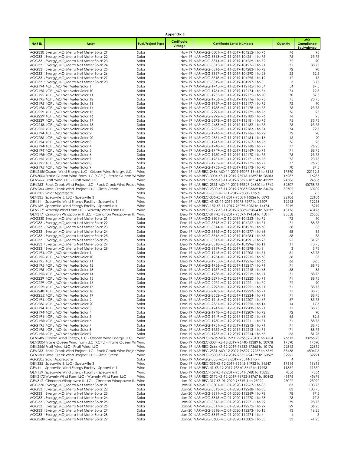|              |                                                                                                                 |                          | Appendix B             |                                                                                                            |                |                                        |
|--------------|-----------------------------------------------------------------------------------------------------------------|--------------------------|------------------------|------------------------------------------------------------------------------------------------------------|----------------|----------------------------------------|
| <b>NARID</b> | Asset                                                                                                           | <b>Fuel/Project Type</b> | Certificate<br>Vintage | <b>Certificate Serial Numbers</b>                                                                          | Quantity       | <b>MO</b><br>Compliance<br>Equivalency |
|              | AGG330 Evergy_MO_Metro Net Meter Solar 21                                                                       | Solar                    |                        | Nov-19 NAR-AGG-3301-MO-11-2019-104252-1 to 76                                                              | 76             | 95                                     |
|              | AGG331 Evergy_MO_Metro Net Meter Solar 22                                                                       | Solar<br>Solar           |                        | Nov-19 NAR-AGG-3313-MO-11-2019-104261-1 to 75<br>Nov-19 NAR-AGG-3314-MO-11-2019-104269-1 to 72             | 75<br>72       | 93.75<br>90                            |
|              | AGG331 Evergy_MO_Metro Net Meter Solar 23<br>AGG331 Evergy_MO_Metro Net Meter Solar 24                          | Solar                    |                        | Nov-19 NAR-AGG-3315-MO-11-2019-104276-1 to 71                                                              | 71             | 88.75                                  |
|              | AGG331 Evergy_MO_Metro Net Meter Solar 25                                                                       | Solar                    |                        | Nov-19 NAR-AGG-3316-MO-11-2019-104283-1 to 72                                                              | 72             | 90                                     |
|              | AGG331 Evergy_MO_Metro Net Meter Solar 26                                                                       | Solar                    |                        | Nov-19 NAR-AGG-3317-MO-11-2019-104290-1 to 26                                                              | 26             | 32.5                                   |
|              | AGG331 Evergy MO Metro Net Meter Solar 27<br>AGG331' Evergy_MO_Metro Net Meter Solar 28                         | Solar<br>Solar           |                        | Nov-19 NAR-AGG-3318-MO-11-2019-104295-1 to 12<br>Nov-19 NAR-AGG-3319-MO-11-2019-104297-1 to 3              | 12<br>3        | 15<br>3.75                             |
|              | AGG194 KCPL_MO Net Meter Solar 1                                                                                | Solar                    |                        | Nov-19 NAR-AGG-1945-MO-11-2019-112165-1 to 54                                                              | 54             | 67.5                                   |
|              | AGG195 KCPL_MO Net Meter Solar 10                                                                               | Solar                    |                        | Nov-19 NAR-AGG-1954-MO-11-2019-112174-1 to 74                                                              | 74             | 92.5                                   |
|              | AGG195 KCPL MO Net Meter Solar 11                                                                               | Solar                    |                        | Nov-19 NAR-AGG-1955-MO-11-2019-112175-1 to 70                                                              | 70             | 87.5                                   |
|              | AGG195 KCPL_MO Net Meter Solar 12<br>AGG195 KCPL MO Net Meter Solar 13                                          | Solar<br>Solar           |                        | Nov-19 NAR-AGG-1956-MO-11-2019-112176-1 to 75<br>Nov-19 NAR-AGG-1957-MO-11-2019-112177-1 to 72             | 75<br>72       | 93.75<br>90                            |
|              | AGG195 KCPL MO Net Meter Solar 14                                                                               | Solar                    |                        | Nov-19 NAR-AGG-1958-MO-11-2019-112178-1 to 75                                                              | 75             | 93.75                                  |
|              | AGG229 KCPL_MO Net Meter Solar 15                                                                               | Solar                    |                        | Nov-19 NAR-AGG-2291-MO-11-2019-112179-1 to 76                                                              | 76             | 95                                     |
|              | AGG229: KCPL_MO Net Meter Solar 16<br>AGG229: KCPL_MO Net Meter Solar 17                                        | Solar<br>Solar           |                        | Nov-19 NAR-AGG-2292-MO-11-2019-112180-1 to 76<br>Nov-19 NAR-AGG-2293-MO-11-2019-112181-1 to 75             | 76<br>75       | 95<br>93.75                            |
|              | AGG248 KCPL_MO Net Meter Solar 18                                                                               | Solar                    |                        | Nov-19 NAR-AGG-2483-MO-11-2019-112182-1 to 75                                                              | 75             | 93.75                                  |
|              | AGG255 KCPL_MO Net Meter Solar 19                                                                               | Solar                    |                        | Nov-19 NAR-AGG-2552-MO-11-2019-112183-1 to 74                                                              | 74             | 92.5                                   |
|              | AGG194 KCPL_MO Net Meter Solar 2                                                                                | Solar                    |                        | Nov-19 NAR-AGG-1946-MO-11-2019-112166-1 to 72                                                              | 72             | 90                                     |
|              | AGG286 KCPL_MO Net Meter Solar 20<br>AGG194 KCPL MO Net Meter Solar 3                                           | Solar<br>Solar           |                        | Nov-19 NAR-AGG-2861-MO-11-2019-112184-1 to 16<br>Nov-19 NAR-AGG-1947-MO-11-2019-112167-1 to 76             | 16<br>76       | 20<br>95                               |
|              | AGG194 KCPL MO Net Meter Solar 4                                                                                | Solar                    |                        | Nov-19 NAR-AGG-1948-MO-11-2019-112168-1 to 77                                                              | 77             | 96.25                                  |
|              | AGG194' KCPL_MO Net Meter Solar 5                                                                               | Solar                    |                        | Nov-19 NAR-AGG-1949-MO-11-2019-112169-1 to 71                                                              | 71             | 88.75                                  |
|              | AGG195 KCPL_MO Net Meter Solar 6                                                                                | Solar                    |                        | Nov-19 NAR-AGG-1950-MO-11-2019-112170-1 to 75                                                              | 75             | 93.75                                  |
|              | AGG195 KCPL_MO Net Meter Solar 7<br>AGG195: KCPL_MO Net Meter Solar 8                                           | Solar<br>Solar           |                        | Nov-19 NAR-AGG-1951-MO-11-2019-112171-1 to 75<br>Nov-19 NAR-AGG-1952-MO-11-2019-112172-1 to 77             | 75<br>77       | 93.75<br>96.25                         |
|              | AGG195 KCPL MO Net Meter Solar 9                                                                                | Solar                    |                        | Nov-19 NAR-AGG-1953-MO-11-2019-112173-1 to 70                                                              | 70             | 87.5                                   |
|              | GEN2486 Osborn Wind Energy, LLC - Osborn Wind Energy, LLC                                                       | Wind                     |                        | Nov-19 NAR-REC-2486-MO-11-2019-95077-13466 to 3115                                                         | 17690          | 22112.5                                |
|              | GEN3004 Prairie Queen Wind Farm LLC (KCPL) - Prairie Queen Wi Wind                                              |                          |                        | Nov-19 NAR-REC-3004-KS-11-2019-95915-12397 to 28683                                                        | 16287          | 16287                                  |
|              | GEN2666 Pratt Wind, LLC - Pratt Wind, LLC<br>GEN2531 Rock Creek Wind Project LLC - Rock Creek Wind Projec Wind  | Wind                     |                        | Nov-19 NAR-REC-2666-KS-11-2019-95621-18714 to 43299<br>Nov-19 NAR-REC-2531-MO-11-2019-95527-24820 to 5742  | 24586<br>32607 | 24586<br>40758.75                      |
|              | GEN230C Slate Creek Wind Project, LLC - Slate Creek                                                             | Wind                     |                        | Nov-19 NAR-REC-2300-KS-11-2019-95087-23369 to 54070                                                        | 30702          | 30702                                  |
|              | AGG305 Solar Aggregate 1                                                                                        | Solar                    |                        | Nov-19 NAR-AGG-305-MO-11-2019-95080-1 to 6                                                                 | 6              | 7.5                                    |
|              | GEN335 Spearville 3, LLC - Spearville 3                                                                         | Wind                     |                        | Nov-19 NAR-REC-335-KS-11-2019-95081-16826 to 38931                                                         | 22106<br>12213 | 22106                                  |
|              | GEN41 Spearville Wind Energy Facility - Spearville 1<br>GEN159 Spearville Wind Energy Facility - Spearville II  | Wind<br>Wind             |                        | Nov-19 NAR-REC-41-KS-11-2019-95078-9297 to 21509<br>Nov-19 NAR-REC-159-KS-11-2019-95079-6256 to 14474      | 8219           | 12213<br>8219                          |
|              | GEN2172 Waverly Wind Farm LLC - Waverly Wind Farm LLC                                                           | Wind                     |                        | Nov-19 NAR-REC-2172-KS-11-2019-95882-32864 to 76039                                                        | 43176          | 43176                                  |
|              | GEN317 Cimarron Windpower II, LLC. - Cimarron Windpower II, I Wind                                              |                          |                        | Dec-19 NAR-REC-317-KS-12-2019-95597-19454 to 45011                                                         | 25558          | 25558                                  |
|              | AGG330 Evergy_MO_Metro Net Meter Solar 21<br>AGG331: Evergy_MO_Metro Net Meter Solar 22                         | Solar<br>Solar           |                        | Dec-19 NAR-AGG-3301-MO-12-2019-104253-1 to 72<br>Dec-19 NAR-AGG-3313-MO-12-2019-104262-1 to 71             | 72<br>71       | 90<br>88.75                            |
|              | AGG331 Evergy_MO_Metro Net Meter Solar 23                                                                       | Solar                    |                        | Dec-19 NAR-AGG-3314-MO-12-2019-104270-1 to 68                                                              | 68             | 85                                     |
|              | AGG331 Evergy_MO_Metro Net Meter Solar 24                                                                       | Solar                    |                        | Dec-19 NAR-AGG-3315-MO-12-2019-104277-1 to 68                                                              | 68             | 85                                     |
|              | AGG331 Evergy_MO_Metro Net Meter Solar 25                                                                       | Solar                    |                        | Dec-19 NAR-AGG-3316-MO-12-2019-104284-1 to 68                                                              | 68             | 85                                     |
|              | AGG331 Evergy_MO_Metro Net Meter Solar 26<br>AGG331 Evergy_MO_Metro Net Meter Solar 27                          | Solar<br>Solar           |                        | Dec-19 NAR-AGG-3317-MO-12-2019-104291-1 to 25<br>Dec-19 NAR-AGG-3318-MO-12-2019-104296-1 to 11             | 25<br>11       | 31.25<br>13.75                         |
|              | AGG331 Evergy_MO_Metro Net Meter Solar 28                                                                       | Solar                    |                        | Dec-19 NAR-AGG-3319-MO-12-2019-104298-1 to 3                                                               | 3              | 3.75                                   |
|              | AGG194 KCPL_MO Net Meter Solar 1                                                                                | Solar                    |                        | Dec-19 NAR-AGG-1945-MO-12-2019-112206-1 to 51                                                              | 51             | 63.75                                  |
|              | AGG195 KCPL_MO Net Meter Solar 10                                                                               | Solar                    |                        | Dec-19 NAR-AGG-1954-MO-12-2019-112215-1 to 68                                                              | 68             | 85                                     |
|              | AGG195 KCPL_MO Net Meter Solar 11<br>AGG195 KCPL MO Net Meter Solar 12                                          | Solar<br>Solar           |                        | Dec-19 NAR-AGG-1955-MO-12-2019-112216-1 to 66<br>Dec-19 NAR-AGG-1956-MO-12-2019-112217-1 to 71             | 66<br>71       | 82.5<br>88.75                          |
|              | AGG195 KCPL_MO Net Meter Solar 13                                                                               | Solar                    |                        | Dec-19 NAR-AGG-1957-MO-12-2019-112218-1 to 68                                                              | 68             | 85                                     |
|              | AGG195 KCPL_MO Net Meter Solar 14                                                                               | Solar                    |                        | Dec-19 NAR-AGG-1958-MO-12-2019-112219-1 to 71                                                              | 71             | 88.75                                  |
|              | AGG229 KCPL_MO Net Meter Solar 15<br>AGG229: KCPL_MO Net Meter Solar 16                                         | Solar<br>Solar           |                        | Dec-19 NAR-AGG-2291-MO-12-2019-112220-1 to 71<br>Dec-19 NAR-AGG-2292-MO-12-2019-112221-1 to 72             | 71<br>72       | 88.75<br>90                            |
|              | AGG229: KCPL_MO Net Meter Solar 17                                                                              | Solar                    |                        | Dec-19 NAR-AGG-2293-MO-12-2019-112222-1 to 71                                                              | 71             | 88.75                                  |
|              | AGG248 KCPL MO Net Meter Solar 18                                                                               | Solar                    |                        | Dec-19 NAR-AGG-2483-MO-12-2019-112223-1 to 71                                                              | 71             | 88.75                                  |
|              | AGG255: KCPL_MO Net Meter Solar 19                                                                              | Solar                    |                        | Dec-19 NAR-AGG-2552-MO-12-2019-112224-1 to 71                                                              | 71             | 88.75                                  |
|              | AGG194 KCPL MO Net Meter Solar 2<br>AGG286 KCPL MO Net Meter Solar 20                                           | Solar<br>Solar           |                        | Dec-19 NAR-AGG-1946-MO-12-2019-112207-1 to 67<br>Dec-19 NAR-AGG-2861-MO-12-2019-112225-1 to 14             | 67<br>14       | 83.75<br>17.5                          |
|              | AGG194 KCPL MO Net Meter Solar 3                                                                                | Solar                    |                        | Dec-19 NAR-AGG-1947-MO-12-2019-112208-1 to 71                                                              | 71             | 88.75                                  |
|              | AGG194 KCPL_MO Net Meter Solar 4                                                                                | Solar                    |                        | Dec-19 NAR-AGG-1948-MO-12-2019-112209-1 to 72                                                              | 72             | 90                                     |
|              | AGG194' KCPL_MO Net Meter Solar 5                                                                               | Solar                    |                        | Dec-19 NAR-AGG-1949-MO-12-2019-112210-1 to 66                                                              | 66             | 82.5                                   |
|              | AGG195 KCPL_MO Net Meter Solar 6<br>AGG195 KCPL MO Net Meter Solar 7                                            | Solar<br>Solar           |                        | Dec-19 NAR-AGG-1950-MO-12-2019-112211-1 to 71<br>Dec-19 NAR-AGG-1951-MO-12-2019-112212-1 to 71             | 71<br>71       | 88.75<br>88.75                         |
|              | AGG195 KCPL_MO Net Meter Solar 8                                                                                | Solar                    |                        | Dec-19 NAR-AGG-1952-MO-12-2019-112213-1 to 71                                                              | 71             | 88.75                                  |
|              | AGG195 KCPL_MO Net Meter Solar 9                                                                                | Solar                    |                        | Dec-19 NAR-AGG-1953-MO-12-2019-112214-1 to 65                                                              | 65             | 81.25                                  |
|              | GEN2486 Osborn Wind Energy, LLC - Osborn Wind Energy, LLC                                                       | Wind                     |                        | Dec-19 NAR-REC-2486-MO-12-2019-95552-20430 to 4704                                                         | 26613          | 33266.25                               |
|              | GEN3004 Prairie Queen Wind Farm LLC (KCPL) - Prairie Queen Wi Wind<br>GEN2666 Pratt Wind, LLC - Pratt Wind, LLC | Wind                     |                        | Dec-19 NAR-REC-3004-KS-12-2019-96740-13389 to 30978<br>Dec-19 NAR-REC-2666-KS-12-2019-96632-17365 to 40176 | 17590<br>22812 | 17590<br>22812                         |
|              | GEN2531 Rock Creek Wind Project LLC - Rock Creek Wind Projec Wind                                               |                          |                        | Dec-19 NAR-REC-2531-MO-12-2019-96529-29257 to 6769                                                         | 38438          | 48047.5                                |
|              | GEN230C Slate Creek Wind Project, LLC - Slate Creek                                                             | Wind                     |                        | Dec-19 NAR-REC-2300-KS-12-2019-95551-24579 to 56869                                                        | 32291          | 32291                                  |
|              | AGG305 Solar Aggregate 1                                                                                        | Solar                    |                        | Dec-19 NAR-AGG-305-MO-12-2019-95544-1 to 4                                                                 | $\overline{4}$ | 5                                      |
|              | GEN335 Spearville 3, LLC - Spearville 3<br>GEN41 Spearville Wind Energy Facility - Spearville 1                 | Wind<br>Wind             |                        | Dec-19 NAR-REC-335-KS-12-2019-95545-14932 to 34547<br>Dec-19 NAR-REC-41-KS-12-2019-95540-8642 to 19993     | 19616<br>11352 | 19616<br>11352                         |
|              | GEN159 Spearville Wind Energy Facility - Spearville II                                                          | Wind                     |                        | Dec-19 NAR-REC-159-KS-12-2019-95541-5980 to 13835                                                          | 7856           | 7856                                   |
|              | GEN2172 Waverly Wind Farm LLC - Waverly Wind Farm LLC                                                           | Wind                     |                        | Dec-19 NAR-REC-2172-KS-12-2019-96722-34767 to 80442                                                        | 45676          | 45676                                  |
|              | GEN317 Cimarron Windpower II, LLC. - Cimarron Windpower II,<br>AGG330 Evergy_MO_Metro Net Meter Solar 21        | I Wind<br>Solar          |                        | Jan-20 NAR-REC-317-KS-01-2020-96319-1 to 25022<br>Jan-20 NAR-AGG-3301-MO-01-2020-112267-1 to 83            | 25022<br>83    | 25022<br>103.75                        |
|              | AGG331: Evergy_MO_Metro Net Meter Solar 22                                                                      | Solar                    |                        | Jan-20 NAR-AGG-3313-MO-01-2020-112268-1 to 83                                                              | 83             | 103.75                                 |
|              | AGG331 Evergy_MO_Metro Net Meter Solar 23                                                                       | Solar                    |                        | Jan-20 NAR-AGG-3314-MO-01-2020-112269-1 to 78                                                              | 78             | 97.5                                   |
|              | AGG331 Evergy MO Metro Net Meter Solar 24                                                                       | Solar                    |                        | Jan-20 NAR-AGG-3315-MO-01-2020-112270-1 to 78                                                              | 78             | 97.5                                   |
|              | AGG331 Evergy_MO_Metro Net Meter Solar 25<br>AGG331 Evergy_MO_Metro Net Meter Solar 26                          | Solar<br>Solar           |                        | Jan-20 NAR-AGG-3316-MO-01-2020-112271-1 to 79<br>Jan-20 NAR-AGG-3317-MO-01-2020-112272-1 to 29             | 79<br>29       | 98.75<br>36.25                         |
|              | AGG331 Evergy_MO_Metro Net Meter Solar 27                                                                       | Solar                    |                        | Jan-20 NAR-AGG-3318-MO-01-2020-112273-1 to 13                                                              | 13             | 16.25                                  |
|              | AGG331' Evergy_MO_Metro Net Meter Solar 28                                                                      | Solar                    |                        | Jan-20 NAR-AGG-3319-MO-01-2020-112274-1 to 4                                                               | $\overline{4}$ | 5                                      |
|              | AGG368 Evergy_MO_Metro Net Meter Solar 29                                                                       | Solar                    |                        | Jan-20 NAR-AGG-3680-MO-01-2020-113802-1 to 33                                                              | 33             | 41.25                                  |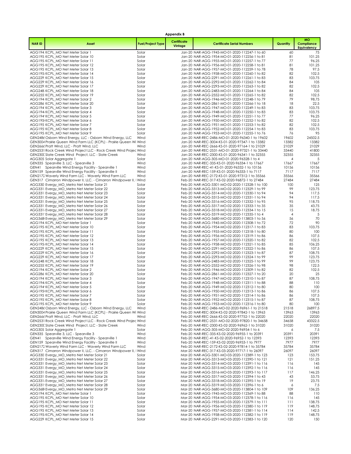|              |                                                                                                                             |                          | <b>Appendix B</b>      |                                                                                                    |                |                                               |
|--------------|-----------------------------------------------------------------------------------------------------------------------------|--------------------------|------------------------|----------------------------------------------------------------------------------------------------|----------------|-----------------------------------------------|
| <b>NARID</b> | <b>Asset</b>                                                                                                                | <b>Fuel/Project Type</b> | Certificate<br>Vintage | <b>Certificate Serial Numbers</b>                                                                  | Quantity       | <b>MO</b><br>Compliance<br><b>Equivalency</b> |
|              | AGG194 KCPL_MO Net Meter Solar 1                                                                                            | Solar                    |                        | Jan-20 NAR-AGG-1945-MO-01-2020-112247-1 to 60                                                      | 60             | 75                                            |
|              | AGG195 KCPL_MO Net Meter Solar 10                                                                                           | Solar                    |                        | Jan-20 NAR-AGG-1954-MO-01-2020-112256-1 to 81                                                      | 81             | 101.25                                        |
|              | AGG195 KCPL MO Net Meter Solar 11<br>AGG195 KCPL_MO Net Meter Solar 12                                                      | Solar<br>Solar           |                        | Jan-20 NAR-AGG-1955-MO-01-2020-112257-1 to 77<br>Jan-20 NAR-AGG-1956-MO-01-2020-112258-1 to 81     | 77<br>81       | 96.25<br>101.25                               |
|              | AGG195 KCPL MO Net Meter Solar 13                                                                                           | Solar                    |                        | Jan-20 NAR-AGG-1957-MO-01-2020-112259-1 to 78                                                      | 78             | 97.5                                          |
|              | AGG195 KCPL_MO Net Meter Solar 14                                                                                           | Solar                    |                        | Jan-20 NAR-AGG-1958-MO-01-2020-112260-1 to 82                                                      | 82             | 102.5                                         |
|              | AGG229 KCPL_MO Net Meter Solar 15                                                                                           | Solar                    |                        | Jan-20 NAR-AGG-2291-MO-01-2020-112261-1 to 83                                                      | 83             | 103.75                                        |
|              | AGG229: KCPL_MO Net Meter Solar 16<br>AGG229: KCPL_MO Net Meter Solar 17                                                    | Solar<br>Solar           |                        | Jan-20 NAR-AGG-2292-MO-01-2020-112262-1 to 84<br>Jan-20 NAR-AGG-2293-MO-01-2020-112263-1 to 82     | 84<br>82       | 105<br>102.5                                  |
|              | AGG248 KCPL_MO Net Meter Solar 18                                                                                           | Solar                    |                        | Jan-20 NAR-AGG-2483-MO-01-2020-112264-1 to 84                                                      | 84             | 105                                           |
|              | AGG255 KCPL_MO Net Meter Solar 19                                                                                           | Solar                    |                        | Jan-20 NAR-AGG-2552-MO-01-2020-112265-1 to 82                                                      | 82             | 102.5                                         |
|              | AGG194 KCPL MO Net Meter Solar 2                                                                                            | Solar                    |                        | Jan-20 NAR-AGG-1946-MO-01-2020-112248-1 to 79                                                      | 79             | 98.75                                         |
|              | AGG286 KCPL_MO Net Meter Solar 20                                                                                           | Solar                    |                        | Jan-20 NAR-AGG-2861-MO-01-2020-112266-1 to 18                                                      | 18<br>83       | 22.5<br>103.75                                |
|              | AGG194 KCPL_MO Net Meter Solar 3<br>AGG194 KCPL MO Net Meter Solar 4                                                        | Solar<br>Solar           |                        | Jan-20 NAR-AGG-1947-MO-01-2020-112249-1 to 83<br>Jan-20 NAR-AGG-1948-MO-01-2020-112250-1 to 83     | 83             | 103.75                                        |
|              | AGG194' KCPL_MO Net Meter Solar 5                                                                                           | Solar                    |                        | Jan-20 NAR-AGG-1949-MO-01-2020-112251-1 to 77                                                      | 77             | 96.25                                         |
|              | AGG195 KCPL_MO Net Meter Solar 6                                                                                            | Solar                    |                        | Jan-20 NAR-AGG-1950-MO-01-2020-112252-1 to 82                                                      | 82             | 102.5                                         |
|              | AGG195 KCPL_MO Net Meter Solar 7                                                                                            | Solar                    |                        | Jan-20 NAR-AGG-1951-MO-01-2020-112253-1 to 82                                                      | 82             | 102.5                                         |
|              | AGG195 KCPL MO Net Meter Solar 8<br>AGG195 KCPL_MO Net Meter Solar 9                                                        | Solar<br>Solar           |                        | Jan-20 NAR-AGG-1952-MO-01-2020-112254-1 to 83<br>Jan-20 NAR-AGG-1953-MO-01-2020-112255-1 to 76     | 83<br>76       | 103.75<br>95                                  |
|              | GEN2486 Osborn Wind Energy, LLC - Osborn Wind Energy, LLC                                                                   | Wind                     |                        | Jan-20 NAR-REC-2486-MO-01-2020-96340-1 to 19602                                                    | 19602          | 24502.5                                       |
|              | GEN3004 Prairie Queen Wind Farm LLC (KCPL) - Prairie Queen Wi Wind                                                          |                          |                        | Jan-20 NAR-REC-3004-KS-01-2020-97347-1 to 13382                                                    | 13382          | 13382                                         |
|              | GEN2666 Pratt Wind, LLC - Pratt Wind, LLC                                                                                   | Wind                     |                        | Jan-20 NAR-REC-2666-KS-01-2020-97164-1 to 21029                                                    | 21029          | 21029                                         |
|              | GEN2531 Rock Creek Wind Project LLC - Rock Creek Wind Projec Wind<br>GEN230C Slate Creek Wind Project, LLC - Slate Creek    |                          |                        | Jan-20 NAR-REC-2531-MO-01-2020-97321-1 to 33440                                                    | 33440          | 41800                                         |
|              | AGG305 Solar Aggregate 1                                                                                                    | Wind<br>Solar            |                        | Jan-20 NAR-REC-2300-KS-01-2020-96341-1 to 32355<br>Jan-20 NAR-AGG-305-MO-01-2020-96328-1 to 4      | 32355<br>4     | 32355<br>5                                    |
|              | GEN335 Spearville 3, LLC - Spearville 3                                                                                     | Wind                     |                        | Jan-20 NAR-REC-335-KS-01-2020-96334-1 to 17667                                                     | 17667          | 17667                                         |
|              | GEN41 Spearville Wind Energy Facility - Spearville 1                                                                        | Wind                     |                        | Jan-20 NAR-REC-41-KS-01-2020-96332-1 to 10156                                                      | 10156          | 10156                                         |
|              | GEN159 Spearville Wind Energy Facility - Spearville II                                                                      | Wind                     |                        | Jan-20 NAR-REC-159-KS-01-2020-96333-1 to 7117                                                      | 7117           | 7117                                          |
|              | GEN2172 Waverly Wind Farm LLC - Waverly Wind Farm LLC<br>GEN317 Cimarron Windpower II, LLC. - Cimarron Windpower II, I Wind | Wind                     |                        | Jan-20 NAR-REC-2172-KS-01-2020-97312-1 to 35566<br>Feb-20 NAR-REC-317-KS-02-2020-96872-1 to 27484  | 35566<br>27484 | 35566<br>27484                                |
|              | AGG330 Evergy_MO_Metro Net Meter Solar 21                                                                                   | Solar                    |                        | Feb-20 NAR-AGG-3301-MO-02-2020-112328-1 to 100                                                     | 100            | 125                                           |
|              | AGG331: Evergy_MO_Metro Net Meter Solar 22                                                                                  | Solar                    |                        | Feb-20 NAR-AGG-3313-MO-02-2020-112329-1 to 99                                                      | 99             | 123.75                                        |
|              | AGG331 Evergy_MO_Metro Net Meter Solar 23                                                                                   | Solar                    |                        | Feb-20 NAR-AGG-3314-MO-02-2020-112330-1 to 94                                                      | 94             | 117.5                                         |
|              | AGG331 Evergy_MO_Metro Net Meter Solar 24                                                                                   | Solar                    |                        | Feb-20 NAR-AGG-3315-MO-02-2020-112331-1 to 94                                                      | 94<br>95       | 117.5                                         |
|              | AGG331 Evergy_MO_Metro Net Meter Solar 25<br>AGG331 Evergy_MO_Metro Net Meter Solar 26                                      | Solar<br>Solar           |                        | Feb-20 NAR-AGG-3316-MO-02-2020-112332-1 to 95<br>Feb-20 NAR-AGG-3317-MO-02-2020-112333-1 to 35     | 35             | 118.75<br>43.75                               |
|              | AGG331 Evergy_MO_Metro Net Meter Solar 27                                                                                   | Solar                    |                        | Feb-20 NAR-AGG-3318-MO-02-2020-112334-1 to 15                                                      | 15             | 18.75                                         |
|              | AGG331 Evergy_MO_Metro Net Meter Solar 28                                                                                   | Solar                    |                        | Feb-20 NAR-AGG-3319-MO-02-2020-112335-1 to 4                                                       | 4              | 5                                             |
|              | AGG368 Evergy_MO_Metro Net Meter Solar 29                                                                                   | Solar                    |                        | Feb-20 NAR-AGG-3680-MO-02-2020-113803-1 to 56                                                      | 56             | 70                                            |
|              | AGG194 KCPL_MO Net Meter Solar 1<br>AGG195 KCPL_MO Net Meter Solar 10                                                       | Solar<br>Solar           |                        | Feb-20 NAR-AGG-1945-MO-02-2020-112308-1 to 72<br>Feb-20 NAR-AGG-1954-MO-02-2020-112317-1 to 83     | 72<br>83       | 90<br>103.75                                  |
|              | AGG195 KCPL_MO Net Meter Solar 11                                                                                           | Solar                    |                        | Feb-20 NAR-AGG-1955-MO-02-2020-112318-1 to 80                                                      | 80             | 100                                           |
|              | AGG195 KCPL MO Net Meter Solar 12                                                                                           | Solar                    |                        | Feb-20 NAR-AGG-1956-MO-02-2020-112319-1 to 86                                                      | 86             | 107.5                                         |
|              | AGG195 KCPL_MO Net Meter Solar 13                                                                                           | Solar                    |                        | Feb-20 NAR-AGG-1957-MO-02-2020-112320-1 to 82                                                      | 82             | 102.5                                         |
|              | AGG195 KCPL_MO Net Meter Solar 14<br>AGG229 KCPL_MO Net Meter Solar 15                                                      | Solar<br>Solar           |                        | Feb-20 NAR-AGG-1958-MO-02-2020-112321-1 to 85<br>Feb-20 NAR-AGG-2291-MO-02-2020-112322-1 to 86     | 85<br>86       | 106.25<br>107.5                               |
|              | AGG229: KCPL_MO Net Meter Solar 16                                                                                          | Solar                    |                        | Feb-20 NAR-AGG-2292-MO-02-2020-112323-1 to 87                                                      | 87             | 108.75                                        |
|              | AGG229 KCPL_MO Net Meter Solar 17                                                                                           | Solar                    |                        | Feb-20 NAR-AGG-2293-MO-02-2020-112324-1 to 99                                                      | 99             | 123.75                                        |
|              | AGG248 KCPL_MO Net Meter Solar 18                                                                                           | Solar                    |                        | Feb-20 NAR-AGG-2483-MO-02-2020-112325-1 to 99                                                      | 99             | 123.75                                        |
|              | AGG255: KCPL_MO Net Meter Solar 19<br>AGG194 KCPL MO Net Meter Solar 2                                                      | Solar                    |                        | Feb-20 NAR-AGG-2552-MO-02-2020-112326-1 to 98                                                      | 98<br>82       | 122.5<br>102.5                                |
|              | AGG286 KCPL_MO Net Meter Solar 20                                                                                           | Solar<br>Solar           |                        | Feb-20 NAR-AGG-1946-MO-02-2020-112309-1 to 82<br>Feb-20 NAR-AGG-2861-MO-02-2020-112327-1 to 20     | 20             | 25                                            |
|              | AGG194 KCPL_MO Net Meter Solar 3                                                                                            | Solar                    |                        | Feb-20 NAR-AGG-1947-MO-02-2020-112310-1 to 87                                                      | 87             | 108.75                                        |
|              | AGG194 KCPL MO Net Meter Solar 4                                                                                            | Solar                    |                        | Feb-20 NAR-AGG-1948-MO-02-2020-112311-1 to 88                                                      | 88             | 110                                           |
|              | AGG194' KCPL_MO Net Meter Solar 5                                                                                           | Solar                    |                        | Feb-20 NAR-AGG-1949-MO-02-2020-112312-1 to 80                                                      | 80             | 100                                           |
|              | AGG195 KCPL MO Net Meter Solar 6<br>AGG195 KCPL_MO Net Meter Solar 7                                                        | Solar<br>Solar           |                        | Feb-20 NAR-AGG-1950-MO-02-2020-112313-1 to 86<br>Feb-20 NAR-AGG-1951-MO-02-2020-112314-1 to 86     | 86<br>86       | 107.5<br>107.5                                |
|              | AGG195 KCPL MO Net Meter Solar 8                                                                                            | Solar                    |                        | Feb-20 NAR-AGG-1952-MO-02-2020-112315-1 to 87                                                      | 87             | 108.75                                        |
|              | AGG195 KCPL_MO Net Meter Solar 9                                                                                            | Solar                    |                        | Feb-20 NAR-AGG-1953-MO-02-2020-112316-1 to 80                                                      | 80             | 100                                           |
|              | GEN2486 Osborn Wind Energy, LLC - Osborn Wind Energy, LLC                                                                   | Wind                     |                        | Feb-20 NAR-REC-2486-MO-02-2020-96961-1 to 21518                                                    | 21518          | 26897.5                                       |
|              | GEN3004 Prairie Queen Wind Farm LLC (KCPL) - Prairie Queen Wi Wind<br>GEN2666 Pratt Wind, LLC - Pratt Wind, LLC             | Wind                     |                        | Feb-20 NAR-REC-3004-KS-02-2020-97842-1 to 13963<br>Feb-20 NAR-REC-2666-KS-02-2020-97752-1 to 22020 | 13963<br>22020 | 13963<br>22020                                |
|              | GEN2531 Rock Creek Wind Project LLC - Rock Creek Wind Projec Wind                                                           |                          |                        | Feb-20 NAR-REC-2531-MO-02-2020-97820-1 to 34658                                                    | 34658          | 43322.5                                       |
|              | GEN230C Slate Creek Wind Project, LLC - Slate Creek                                                                         | Wind                     |                        | Feb-20 NAR-REC-2300-KS-02-2020-96962-1 to 31020                                                    | 31020          | 31020                                         |
|              | AGG305 Solar Aggregate 1                                                                                                    | Solar                    |                        | Feb-20 NAR-AGG-305-MO-02-2020-96954-1 to 6                                                         | 6              | 7.5                                           |
| GEN41        | GEN335 Spearville 3, LLC - Spearville 3<br>Spearville Wind Energy Facility - Spearville 1                                   | Wind<br>Wind             |                        | Feb-20 NAR-REC-335-KS-02-2020-96955-1 to 20391<br>Feb-20 NAR-REC-41-KS-02-2020-96952-1 to 12393    | 20391<br>12393 | 20391<br>12393                                |
|              | GEN159 Spearville Wind Energy Facility - Spearville II                                                                      | Wind                     |                        | Feb-20 NAR-REC-159-KS-02-2020-96953-1 to 7977                                                      | 7977           | 7977                                          |
|              | GEN2172 Waverly Wind Farm LLC - Waverly Wind Farm LLC                                                                       | Wind                     |                        | Feb-20 NAR-REC-2172-KS-02-2020-97814-1 to 35784                                                    | 35784          | 35784                                         |
|              | GEN317 Cimarron Windpower II, LLC. - Cimarron Windpower II, I Wind                                                          |                          |                        | Mar-20 NAR-REC-317-KS-03-2020-97717-1 to 26097                                                     | 26097          | 26097                                         |
|              | AGG330 Evergy MO Metro Net Meter Solar 21<br>AGG331: Evergy_MO_Metro Net Meter Solar 22                                     | Solar<br>Solar           |                        | Mar-20 NAR-AGG-3301-MO-03-2020-112389-1 to 123<br>Mar-20 NAR-AGG-3313-MO-03-2020-112390-1 to 121   | 123<br>121     | 153.75<br>151.25                              |
|              | AGG331 Evergy_MO_Metro Net Meter Solar 23                                                                                   | Solar                    |                        | Mar-20 NAR-AGG-3314-MO-03-2020-112391-1 to 116                                                     | 116            | 145                                           |
|              | AGG331 Evergy_MO_Metro Net Meter Solar 24                                                                                   | Solar                    |                        | Mar-20 NAR-AGG-3315-MO-03-2020-112392-1 to 116                                                     | 116            | 145                                           |
|              | AGG331 Evergy_MO_Metro Net Meter Solar 25                                                                                   | Solar                    |                        | Mar-20 NAR-AGG-3316-MO-03-2020-112393-1 to 117                                                     | 117            | 146.25                                        |
|              | AGG331 Evergy_MO_Metro Net Meter Solar 26                                                                                   | Solar                    |                        | Mar-20 NAR-AGG-3317-MO-03-2020-112394-1 to 43                                                      | 43             | 53.75                                         |
|              | AGG331 Evergy_MO_Metro Net Meter Solar 27<br>AGG331' Evergy_MO_Metro Net Meter Solar 28                                     | Solar<br>Solar           |                        | Mar-20 NAR-AGG-3318-MO-03-2020-112395-1 to 19<br>Mar-20 NAR-AGG-3319-MO-03-2020-112396-1 to 6      | 19<br>6        | 23.75<br>7.5                                  |
|              | AGG368 Evergy_MO_Metro Net Meter Solar 29                                                                                   | Solar                    |                        | Mar-20 NAR-AGG-3680-MO-03-2020-113804-1 to 109                                                     | 109            | 136.25                                        |
|              | AGG194 KCPL_MO Net Meter Solar 1                                                                                            | Solar                    |                        | Mar-20 NAR-AGG-1945-MO-03-2020-112369-1 to 88                                                      | 88             | 110                                           |
|              | AGG195 KCPL_MO Net Meter Solar 10                                                                                           | Solar                    |                        | Mar-20 NAR-AGG-1954-MO-03-2020-112378-1 to 116                                                     | 116            | 145                                           |
|              | AGG195 KCPL_MO Net Meter Solar 11<br>AGG195 KCPL_MO Net Meter Solar 12                                                      | Solar<br>Solar           |                        | Mar-20 NAR-AGG-1955-MO-03-2020-112379-1 to 111<br>Mar-20 NAR-AGG-1956-MO-03-2020-112380-1 to 119   | 111<br>119     | 138.75<br>148.75                              |
|              | AGG195 KCPL_MO Net Meter Solar 13                                                                                           | Solar                    |                        | Mar-20 NAR-AGG-1957-MO-03-2020-112381-1 to 114                                                     | 114            | 142.5                                         |
|              | AGG195 KCPL_MO Net Meter Solar 14                                                                                           | Solar                    |                        | Mar-20 NAR-AGG-1958-MO-03-2020-112382-1 to 119                                                     | 119            | 148.75                                        |
|              | AGG229 KCPL_MO Net Meter Solar 15                                                                                           | Solar                    |                        | Mar-20 NAR-AGG-2291-MO-03-2020-112383-1 to 120                                                     | 120            | 150                                           |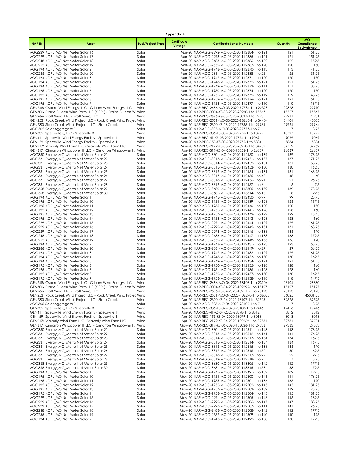|              |                                                                                                                                 |                          | <b>Appendix B</b>      |                                                                                                      |                |                                        |
|--------------|---------------------------------------------------------------------------------------------------------------------------------|--------------------------|------------------------|------------------------------------------------------------------------------------------------------|----------------|----------------------------------------|
| <b>NARID</b> | <b>Asset</b>                                                                                                                    | <b>Fuel/Project Type</b> | Certificate<br>Vintage | <b>Certificate Serial Numbers</b>                                                                    | Quantity       | <b>MO</b><br>Compliance<br>Equivalency |
|              | AGG229: KCPL_MO Net Meter Solar 16                                                                                              | Solar                    |                        | Mar-20 NAR-AGG-2292-MO-03-2020-112384-1 to 121                                                       | 121            | 151.25                                 |
|              | AGG229 KCPL_MO Net Meter Solar 17                                                                                               | Solar                    |                        | Mar-20 NAR-AGG-2293-MO-03-2020-112385-1 to 121                                                       | 121            | 151.25                                 |
|              | AGG248 KCPL_MO Net Meter Solar 18<br>AGG255: KCPL_MO Net Meter Solar 19                                                         | Solar<br>Solar           |                        | Mar-20 NAR-AGG-2483-MO-03-2020-112386-1 to 122<br>Mar-20 NAR-AGG-2552-MO-03-2020-112387-1 to 120     | 122<br>120     | 152.5<br>150                           |
|              | AGG194 KCPL_MO Net Meter Solar 2                                                                                                | Solar                    |                        | Mar-20 NAR-AGG-1946-MO-03-2020-112370-1 to 113                                                       | 113            | 141.25                                 |
|              | AGG286 KCPL_MO Net Meter Solar 20                                                                                               | Solar                    |                        | Mar-20 NAR-AGG-2861-MO-03-2020-112388-1 to 25                                                        | 25             | 31.25                                  |
|              | AGG194 KCPL_MO Net Meter Solar 3                                                                                                | Solar                    |                        | Mar-20 NAR-AGG-1947-MO-03-2020-112371-1 to 120                                                       | 120            | 150                                    |
|              | AGG194 KCPL_MO Net Meter Solar 4                                                                                                | Solar                    |                        | Mar-20 NAR-AGG-1948-MO-03-2020-112372-1 to 121                                                       | 121            | 151.25                                 |
|              | AGG194' KCPL_MO Net Meter Solar 5<br>AGG195 KCPL_MO Net Meter Solar 6                                                           | Solar<br>Solar           |                        | Mar-20 NAR-AGG-1949-MO-03-2020-112373-1 to 111<br>Mar-20 NAR-AGG-1950-MO-03-2020-112374-1 to 120     | 111<br>120     | 138.75<br>150                          |
|              | AGG195 KCPL MO Net Meter Solar 7                                                                                                | Solar                    |                        | Mar-20 NAR-AGG-1951-MO-03-2020-112375-1 to 119                                                       | 119            | 148.75                                 |
|              | AGG195 KCPL_MO Net Meter Solar 8                                                                                                | Solar                    |                        | Mar-20 NAR-AGG-1952-MO-03-2020-112376-1 to 121                                                       | 121            | 151.25                                 |
|              | AGG195 KCPL_MO Net Meter Solar 9                                                                                                | Solar                    |                        | Mar-20 NAR-AGG-1953-MO-03-2020-112377-1 to 110                                                       | 110            | 137.5                                  |
|              | GEN2486 Osborn Wind Energy, LLC - Osborn Wind Energy, LLC<br>GEN3004 Prairie Queen Wind Farm LLC (KCPL) - Prairie Queen Wi Wind | Wind                     |                        | Mar-20 NAR-REC-2486-MO-03-2020-97784-1 to 22328<br>Mar-20 NAR-REC-3004-KS-03-2020-98290-1 to 15567   | 22328<br>15567 | 27910<br>15567                         |
|              | GEN2666 Pratt Wind, LLC - Pratt Wind, LLC                                                                                       | Wind                     |                        | Mar-20 NAR-REC-2666-KS-03-2020-98037-1 to 22231                                                      | 22231          | 22231                                  |
|              | GEN2531 Rock Creek Wind Project LLC - Rock Creek Wind Projec Wind                                                               |                          |                        | Mar-20 NAR-REC-2531-MO-03-2020-98265-1 to 34404                                                      | 34404          | 43005                                  |
|              | GEN230C Slate Creek Wind Project, LLC - Slate Creek                                                                             | Wind                     |                        | Mar-20 NAR-REC-2300-KS-03-2020-97785-1 to 29964                                                      | 29964          | 29964                                  |
|              | AGG305 Solar Aggregate 1<br>GEN335 Spearville 3, LLC - Spearville 3                                                             | Solar<br>Wind            |                        | Mar-20 NAR-AGG-305-MO-03-2020-97777-1 to 7<br>Mar-20 NAR-REC-335-KS-03-2020-97776-1 to 18797         | 7<br>18797     | 8.75<br>18797                          |
|              | GEN41 Spearville Wind Energy Facility - Spearville 1                                                                            | Wind                     |                        | Mar-20 NAR-REC-41-KS-03-2020-97774-1 to 9069                                                         | 9069           | 9069                                   |
|              | GEN159 Spearville Wind Energy Facility - Spearville II                                                                          | Wind                     |                        | Mar-20 NAR-REC-159-KS-03-2020-97775-1 to 5884                                                        | 5884           | 5884                                   |
|              | GEN2172 Waverly Wind Farm LLC - Waverly Wind Farm LLC                                                                           | Wind                     |                        | Mar-20 NAR-REC-2172-KS-03-2020-98258-1 to 34752                                                      | 34752          | 34752                                  |
|              | GEN317 Cimarron Windpower II, LLC. - Cimarron Windpower II, I Wind<br>AGG330 Evergy_MO_Metro Net Meter Solar 21                 | Solar                    |                        | Apr-20 NAR-REC-317-KS-04-2020-98056-1 to 26639<br>Apr-20 NAR-AGG-3301-MO-04-2020-112450-1 to 139     | 26639<br>139   | 26639<br>173.75                        |
|              | AGG331 Evergy_MO_Metro Net Meter Solar 22                                                                                       | Solar                    |                        | Apr-20 NAR-AGG-3313-MO-04-2020-112451-1 to 137                                                       | 137            | 171.25                                 |
|              | AGG331 Evergy_MO_Metro Net Meter Solar 23                                                                                       | Solar                    |                        | Apr-20 NAR-AGG-3314-MO-04-2020-112452-1 to 131                                                       | 131            | 163.75                                 |
|              | AGG331 Evergy_MO_Metro Net Meter Solar 24                                                                                       | Solar                    |                        | Apr-20 NAR-AGG-3315-MO-04-2020-112453-1 to 130                                                       | 130            | 162.5                                  |
|              | AGG331 Evergy_MO_Metro Net Meter Solar 25<br>AGG331 Evergy_MO_Metro Net Meter Solar 26                                          | Solar<br>Solar           |                        | Apr-20 NAR-AGG-3316-MO-04-2020-112454-1 to 131<br>Apr-20 NAR-AGG-3317-MO-04-2020-112455-1 to 48      | 131<br>48      | 163.75<br>60                           |
|              | AGG331 Evergy_MO_Metro Net Meter Solar 27                                                                                       | Solar                    |                        | Apr-20 NAR-AGG-3318-MO-04-2020-112456-1 to 21                                                        | 21             | 26.25                                  |
|              | AGG331' Evergy_MO_Metro Net Meter Solar 28                                                                                      | Solar                    |                        | Apr-20 NAR-AGG-3319-MO-04-2020-112457-1 to 6                                                         | 6              | 7.5                                    |
|              | AGG368 Evergy_MO_Metro Net Meter Solar 29                                                                                       | Solar                    |                        | Apr-20 NAR-AGG-3680-MO-04-2020-113805-1 to 139                                                       | 139            | 173.75                                 |
|              | AGG368 Evergy_MO_Metro Net Meter Solar 30<br>AGG194 KCPL_MO Net Meter Solar 1                                                   | Solar<br>Solar           |                        | Apr-20 NAR-AGG-3681-MO-04-2020-113814-1 to 18<br>Apr-20 NAR-AGG-1945-MO-04-2020-112430-1 to 99       | 18<br>99       | 22.5<br>123.75                         |
|              | AGG195 KCPL_MO Net Meter Solar 10                                                                                               | Solar                    |                        | Apr-20 NAR-AGG-1954-MO-04-2020-112439-1 to 126                                                       | 126            | 157.5                                  |
|              | AGG195 KCPL_MO Net Meter Solar 11                                                                                               | Solar                    |                        | Apr-20 NAR-AGG-1955-MO-04-2020-112440-1 to 120                                                       | 120            | 150                                    |
|              | AGG195 KCPL_MO Net Meter Solar 12                                                                                               | Solar                    |                        | Apr-20 NAR-AGG-1956-MO-04-2020-112441-1 to 128                                                       | 128<br>122     | 160<br>152.5                           |
|              | AGG195 KCPL_MO Net Meter Solar 13<br>AGG195 KCPL_MO Net Meter Solar 14                                                          | Solar<br>Solar           |                        | Apr-20 NAR-AGG-1957-MO-04-2020-112442-1 to 122<br>Apr-20 NAR-AGG-1958-MO-04-2020-112443-1 to 128     | 128            | 160                                    |
|              | AGG229 KCPL_MO Net Meter Solar 15                                                                                               | Solar                    |                        | Apr-20 NAR-AGG-2291-MO-04-2020-112444-1 to 129                                                       | 129            | 161.25                                 |
|              | AGG229: KCPL_MO Net Meter Solar 16                                                                                              | Solar                    |                        | Apr-20 NAR-AGG-2292-MO-04-2020-112445-1 to 131                                                       | 131            | 163.75                                 |
|              | AGG229: KCPL_MO Net Meter Solar 17<br>AGG248 KCPL MO Net Meter Solar 18                                                         | Solar<br>Solar           |                        | Apr-20 NAR-AGG-2293-MO-04-2020-112446-1 to 136<br>Apr-20 NAR-AGG-2483-MO-04-2020-112447-1 to 138     | 136<br>138     | 170<br>172.5                           |
|              | AGG255 KCPL_MO Net Meter Solar 19                                                                                               | Solar                    |                        | Apr-20 NAR-AGG-2552-MO-04-2020-112448-1 to 136                                                       | 136            | 170                                    |
|              | AGG194 KCPL_MO Net Meter Solar 2                                                                                                | Solar                    |                        | Apr-20 NAR-AGG-1946-MO-04-2020-112431-1 to 123                                                       | 123            | 153.75                                 |
|              | AGG286 KCPL_MO Net Meter Solar 20                                                                                               | Solar                    |                        | Apr-20 NAR-AGG-2861-MO-04-2020-112449-1 to 29                                                        | 29<br>129      | 36.25                                  |
|              | AGG194 KCPL_MO Net Meter Solar 3<br>AGG194 KCPL MO Net Meter Solar 4                                                            | Solar<br>Solar           |                        | Apr-20 NAR-AGG-1947-MO-04-2020-112432-1 to 129<br>Apr-20 NAR-AGG-1948-MO-04-2020-112433-1 to 130     | 130            | 161.25<br>162.5                        |
|              | AGG194' KCPL_MO Net Meter Solar 5                                                                                               | Solar                    |                        | Apr-20 NAR-AGG-1949-MO-04-2020-112434-1 to 121                                                       | 121            | 151.25                                 |
|              | AGG195 KCPL_MO Net Meter Solar 6                                                                                                | Solar                    |                        | Apr-20 NAR-AGG-1950-MO-04-2020-112435-1 to 128                                                       | 128            | 160                                    |
|              | AGG195 KCPL_MO Net Meter Solar 7<br>AGG195 KCPL MO Net Meter Solar 8                                                            | Solar<br>Solar           |                        | Apr-20 NAR-AGG-1951-MO-04-2020-112436-1 to 128<br>Apr-20 NAR-AGG-1952-MO-04-2020-112437-1 to 130     | 128<br>130     | 160<br>162.5                           |
|              | AGG195 KCPL_MO Net Meter Solar 9                                                                                                | Solar                    |                        | Apr-20 NAR-AGG-1953-MO-04-2020-112438-1 to 118                                                       | 118            | 147.5                                  |
|              | GEN2486 Osborn Wind Energy, LLC - Osborn Wind Energy, LLC                                                                       | Wind                     |                        | Apr-20 NAR-REC-2486-MO-04-2020-98108-1 to 23104                                                      | 23104          | 28880                                  |
|              | GEN3004 Prairie Queen Wind Farm LLC (KCPL) - Prairie Queen Wi Wind                                                              |                          |                        | Apr-20 NAR-REC-3004-KS-04-2020-102295-1 to 15127                                                     | 15127          | 15127                                  |
|              | GEN2666 Pratt Wind, LLC - Pratt Wind, LLC<br>GEN2531 Rock Creek Wind Project LLC - Rock Creek Wind Projec Wind                  | Wind                     |                        | Apr-20 NAR-REC-2666-KS-04-2020-102111-1 to 23123<br>Apr-20 NAR-REC-2531-MO-04-2020-102270-1 to 36025 | 23123<br>36025 | 23123<br>45031.25                      |
|              | GEN230C Slate Creek Wind Project, LLC - Slate Creek                                                                             | Wind                     |                        | Apr-20 NAR-REC-2300-KS-04-2020-98107-1 to 32525                                                      | 32525          | 32525                                  |
|              | AGG305 Solar Aggregate 1                                                                                                        | Solar                    |                        | Apr-20 NAR-AGG-305-MO-04-2020-98106-1 to 7                                                           | 7              | 8.75                                   |
| GEN41        | GEN335 Spearville 3, LLC - Spearville 3<br>Spearville Wind Energy Facility - Spearville 1                                       | Wind<br>Wind             |                        | Apr-20 NAR-REC-335-KS-04-2020-98100-1 to 19416<br>Apr-20 NAR-REC-41-KS-04-2020-98098-1 to 8812       | 19416<br>8812  | 19416<br>8812                          |
|              | GEN159 Spearville Wind Energy Facility - Spearville II                                                                          | Wind                     |                        | Apr-20 NAR-REC-159-KS-04-2020-98099-1 to 8018                                                        | 8018           | 8018                                   |
|              | GEN2172 Waverly Wind Farm LLC - Waverly Wind Farm LLC                                                                           | Wind                     |                        | Apr-20 NAR-REC-2172-KS-04-2020-102262-1 to 32781                                                     | 32781          | 32781                                  |
|              | GEN317 Cimarron Windpower II, LLC. - Cimarron Windpower II, I Wind                                                              |                          |                        | May-20 NAR-REC-317-KS-05-2020-102026-1 to 27333                                                      | 27333          | 27333                                  |
|              | AGG330 Evergy_MO_Metro Net Meter Solar 21<br>AGG331 Evergy_MO_Metro Net Meter Solar 22                                          | Solar<br>Solar           |                        | May-20 NAR-AGG-3301-MO-05-2020-112511-1 to 143<br>May-20 NAR-AGG-3313-MO-05-2020-112512-1 to 141     | 143<br>141     | 178.75<br>176.25                       |
|              | AGG331 Evergy_MO_Metro Net Meter Solar 23                                                                                       | Solar                    |                        | May-20 NAR-AGG-3314-MO-05-2020-112513-1 to 134                                                       | 134            | 167.5                                  |
|              | AGG331 Everay MO Metro Net Meter Solar 24                                                                                       | Solar                    |                        | May-20 NAR-AGG-3315-MO-05-2020-112514-1 to 134                                                       | 134            | 167.5                                  |
|              | AGG331 Evergy_MO_Metro Net Meter Solar 25                                                                                       | Solar                    |                        | May-20 NAR-AGG-3316-MO-05-2020-112515-1 to 136                                                       | 136<br>50      | 170<br>62.5                            |
|              | AGG331 Evergy_MO_Metro Net Meter Solar 26<br>AGG331 Evergy_MO_Metro Net Meter Solar 27                                          | Solar<br>Solar           |                        | May-20 NAR-AGG-3317-MO-05-2020-112516-1 to 50<br>May-20 NAR-AGG-3318-MO-05-2020-112517-1 to 22       | 22             | 27.5                                   |
|              | AGG331' Evergy_MO_Metro Net Meter Solar 28                                                                                      | Solar                    |                        | May-20 NAR-AGG-3319-MO-05-2020-112518-1 to 7                                                         | 7              | 8.75                                   |
|              | AGG368 Evergy_MO_Metro Net Meter Solar 29                                                                                       | Solar                    |                        | May-20 NAR-AGG-3680-MO-05-2020-113806-1 to 142                                                       | 142            | 177.5                                  |
|              | AGG368 Evergy_MO_Metro Net Meter Solar 30<br>AGG194 KCPL_MO Net Meter Solar 1                                                   | Solar<br>Solar           |                        | May-20 NAR-AGG-3681-MO-05-2020-113815-1 to 58<br>May-20 NAR-AGG-1945-MO-05-2020-112491-1 to 102      | 58<br>102      | 72.5<br>127.5                          |
|              | AGG195 KCPL_MO Net Meter Solar 10                                                                                               | Solar                    |                        | May-20 NAR-AGG-1954-MO-05-2020-112500-1 to 141                                                       | 141            | 176.25                                 |
|              | AGG195 KCPL_MO Net Meter Solar 11                                                                                               | Solar                    |                        | May-20 NAR-AGG-1955-MO-05-2020-112501-1 to 136                                                       | 136            | 170                                    |
|              | AGG195 KCPL_MO Net Meter Solar 12                                                                                               | Solar                    |                        | May-20 NAR-AGG-1956-MO-05-2020-112502-1 to 145                                                       | 145            | 181.25                                 |
|              | AGG195 KCPL_MO Net Meter Solar 13<br>AGG195 KCPL_MO Net Meter Solar 14                                                          | Solar<br>Solar           |                        | May-20 NAR-AGG-1957-MO-05-2020-112503-1 to 139<br>May-20 NAR-AGG-1958-MO-05-2020-112504-1 to 145     | 139<br>145     | 173.75<br>181.25                       |
|              | AGG229 KCPL_MO Net Meter Solar 15                                                                                               | Solar                    |                        | May-20 NAR-AGG-2291-MO-05-2020-112505-1 to 146                                                       | 146            | 182.5                                  |
|              | AGG229: KCPL_MO Net Meter Solar 16                                                                                              | Solar                    |                        | May-20 NAR-AGG-2292-MO-05-2020-112506-1 to 147                                                       | 147            | 183.75                                 |
|              | AGG229: KCPL_MO Net Meter Solar 17                                                                                              | Solar                    |                        | May-20 NAR-AGG-2293-MO-05-2020-112507-1 to 141                                                       | 141            | 176.25                                 |
|              | AGG248 KCPL_MO Net Meter Solar 18<br>AGG255 KCPL_MO Net Meter Solar 19                                                          | Solar<br>Solar           |                        | May-20 NAR-AGG-2483-MO-05-2020-112508-1 to 142<br>May-20 NAR-AGG-2552-MO-05-2020-112509-1 to 140     | 142<br>140     | 177.5<br>175                           |
|              | AGG194 KCPL_MO Net Meter Solar 2                                                                                                | Solar                    |                        | May-20 NAR-AGG-1946-MO-05-2020-112492-1 to 138                                                       | 138            | 172.5                                  |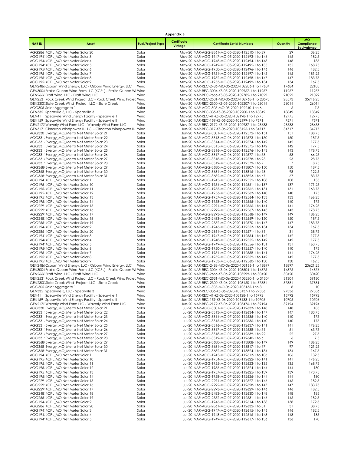|              |                                                                                                                                 |                          | <b>Appendix B</b>      |                                                                                                      |                |                                               |
|--------------|---------------------------------------------------------------------------------------------------------------------------------|--------------------------|------------------------|------------------------------------------------------------------------------------------------------|----------------|-----------------------------------------------|
| <b>NARID</b> | Asset                                                                                                                           | <b>Fuel/Project Type</b> | Certificate<br>Vintage | <b>Certificate Serial Numbers</b>                                                                    | Quantity       | <b>MO</b><br>Compliance<br><b>Equivalency</b> |
|              | AGG286 KCPL_MO Net Meter Solar 20                                                                                               | Solar                    |                        | May-20 NAR-AGG-2861-MO-05-2020-112510-1 to 29                                                        | 29             | 36.25                                         |
|              | AGG194 KCPL_MO Net Meter Solar 3                                                                                                | Solar                    |                        | May-20 NAR-AGG-1947-MO-05-2020-112493-1 to 146                                                       | 146            | 182.5                                         |
|              | AGG194 KCPL MO Net Meter Solar 4<br>AGG194' KCPL_MO Net Meter Solar 5                                                           | Solar<br>Solar           |                        | May-20 NAR-AGG-1948-MO-05-2020-112494-1 to 148<br>May-20 NAR-AGG-1949-MO-05-2020-112495-1 to 135     | 148<br>135     | 185<br>168.75                                 |
|              | AGG195 KCPL MO Net Meter Solar 6                                                                                                | Solar                    |                        | May-20 NAR-AGG-1950-MO-05-2020-112496-1 to 146                                                       | 146            | 182.5                                         |
|              | AGG195 KCPL_MO Net Meter Solar 7                                                                                                | Solar                    |                        | May-20 NAR-AGG-1951-MO-05-2020-112497-1 to 145                                                       | 145            | 181.25                                        |
|              | AGG195 KCPL_MO Net Meter Solar 8                                                                                                | Solar                    |                        | May-20 NAR-AGG-1952-MO-05-2020-112498-1 to 147                                                       | 147            | 183.75                                        |
|              | AGG195 KCPL_MO Net Meter Solar 9                                                                                                | Solar                    |                        | May-20 NAR-AGG-1953-MO-05-2020-112499-1 to 134                                                       | 134            | 167.5                                         |
|              | GEN2486 Osborn Wind Energy, LLC - Osborn Wind Energy, LLC<br>GEN3004 Prairie Queen Wind Farm LLC (KCPL) - Prairie Queen Wi Wind | Wind                     |                        | May-20 NAR-REC-2486-MO-05-2020-102206-1 to 17684<br>May-20 NAR-REC-3004-KS-05-2020-102967-1 to 11257 | 17684<br>11257 | 22105<br>11257                                |
|              | GEN2666 Pratt Wind, LLC - Pratt Wind, LLC                                                                                       | Wind                     |                        | May-20 NAR-REC-2666-KS-05-2020-102785-1 to 21022                                                     | 21022          | 21022                                         |
|              | GEN2531 Rock Creek Wind Project LLC - Rock Creek Wind Projec Wind                                                               |                          |                        | May-20 NAR-REC-2531-MO-05-2020-102768-1 to 28573                                                     | 28573          | 35716.25                                      |
|              | GEN230C Slate Creek Wind Project, LLC - Slate Creek                                                                             | Wind                     |                        | May-20 NAR-REC-2300-KS-05-2020-102207-1 to 26014                                                     | 26014          | 26014                                         |
|              | AGG305 Solar Aggregate 1<br>GEN335 Spearville 3, LLC - Spearville 3                                                             | Solar<br>Wind            |                        | May-20 NAR-AGG-305-MO-05-2020-102240-1 to 6<br>May-20 NAR-REC-335-KS-05-2020-102200-1 to 18849       | 6<br>18849     | 7.5<br>18849                                  |
| GEN41        | Spearville Wind Energy Facility - Spearville 1                                                                                  | Wind                     |                        | May-20 NAR-REC-41-KS-05-2020-102198-1 to 12775                                                       | 12775          | 12775                                         |
|              | GEN159 Spearville Wind Energy Facility - Spearville II                                                                          | Wind                     |                        | May-20 NAR-REC-159-KS-05-2020-102199-1 to 7571                                                       | 7571           | 7571                                          |
|              | GEN2172 Waverly Wind Farm LLC - Waverly Wind Farm LLC                                                                           | Wind                     |                        | May-20 NAR-REC-2172-KS-05-2020-102937-1 to 28633                                                     | 28633          | 28633                                         |
|              | GEN317 Cimarron Windpower II, LLC. - Cimarron Windpower II, I Wind                                                              |                          |                        | Jun-20 NAR-REC-317-KS-06-2020-103125-1 to 34717                                                      | 34717          | 34717                                         |
|              | AGG330 Evergy_MO_Metro Net Meter Solar 21<br>AGG331 Evergy_MO_Metro Net Meter Solar 22                                          | Solar<br>Solar           |                        | Jun-20 NAR-AGG-3301-MO-06-2020-112572-1 to 151<br>Jun-20 NAR-AGG-3313-MO-06-2020-112573-1 to 150     | 151<br>150     | 188.75<br>187.5                               |
|              | AGG331 Evergy_MO_Metro Net Meter Solar 23                                                                                       | Solar                    |                        | Jun-20 NAR-AGG-3314-MO-06-2020-112574-1 to 142                                                       | 142            | 177.5                                         |
|              | AGG331 Evergy MO Metro Net Meter Solar 24                                                                                       | Solar                    |                        | Jun-20 NAR-AGG-3315-MO-06-2020-112575-1 to 142                                                       | 142            | 177.5                                         |
|              | AGG331 Evergy_MO_Metro Net Meter Solar 25                                                                                       | Solar                    |                        | Jun-20 NAR-AGG-3316-MO-06-2020-112576-1 to 143                                                       | 143            | 178.75                                        |
|              | AGG331 Evergy_MO_Metro Net Meter Solar 26                                                                                       | Solar                    |                        | Jun-20 NAR-AGG-3317-MO-06-2020-112577-1 to 53                                                        | 53             | 66.25                                         |
|              | AGG331 Evergy_MO_Metro Net Meter Solar 27<br>AGG331' Evergy_MO_Metro Net Meter Solar 28                                         | Solar<br>Solar           |                        | Jun-20 NAR-AGG-3318-MO-06-2020-112578-1 to 23<br>Jun-20 NAR-AGG-3319-MO-06-2020-112579-1 to 7        | 23<br>7        | 28.75<br>8.75                                 |
|              | AGG368 Evergy_MO_Metro Net Meter Solar 29                                                                                       | Solar                    |                        | Jun-20 NAR-AGG-3680-MO-06-2020-113807-1 to 150                                                       | 150            | 187.5                                         |
|              | AGG368 Evergy_MO_Metro Net Meter Solar 30                                                                                       | Solar                    |                        | Jun-20 NAR-AGG-3681-MO-06-2020-113816-1 to 98                                                        | 98             | 122.5                                         |
|              | AGG368 Evergy MO Metro Net Meter Solar 31                                                                                       | Solar                    |                        | Jun-20 NAR-AGG-3682-MO-06-2020-113823-1 to 67                                                        | 67             | 83.75                                         |
|              | AGG194 KCPL_MO Net Meter Solar 1                                                                                                | Solar                    |                        | Jun-20 NAR-AGG-1945-MO-06-2020-112552-1 to 108                                                       | 108<br>137     | 135                                           |
|              | AGG195 KCPL_MO Net Meter Solar 10<br>AGG195 KCPL_MO Net Meter Solar 11                                                          | Solar<br>Solar           |                        | Jun-20 NAR-AGG-1954-MO-06-2020-112561-1 to 137<br>Jun-20 NAR-AGG-1955-MO-06-2020-112562-1 to 131     | 131            | 171.25<br>163.75                              |
|              | AGG195 KCPL_MO Net Meter Solar 12                                                                                               | Solar                    |                        | Jun-20 NAR-AGG-1956-MO-06-2020-112563-1 to 140                                                       | 140            | 175                                           |
|              | AGG195 KCPL_MO Net Meter Solar 13                                                                                               | Solar                    |                        | Jun-20 NAR-AGG-1957-MO-06-2020-112564-1 to 133                                                       | 133            | 166.25                                        |
|              | AGG195 KCPL_MO Net Meter Solar 14                                                                                               | Solar                    |                        | Jun-20 NAR-AGG-1958-MO-06-2020-112565-1 to 140                                                       | 140            | 175                                           |
|              | AGG229 KCPL_MO Net Meter Solar 15<br>AGG229: KCPL_MO Net Meter Solar 16                                                         | Solar<br>Solar           |                        | Jun-20 NAR-AGG-2291-MO-06-2020-112566-1 to 141<br>Jun-20 NAR-AGG-2292-MO-06-2020-112567-1 to 143     | 141<br>143     | 176.25<br>178.75                              |
|              | AGG229 KCPL_MO Net Meter Solar 17                                                                                               | Solar                    |                        | Jun-20 NAR-AGG-2293-MO-06-2020-112568-1 to 149                                                       | 149            | 186.25                                        |
|              | AGG248 KCPL_MO Net Meter Solar 18                                                                                               | Solar                    |                        | Jun-20 NAR-AGG-2483-MO-06-2020-112569-1 to 150                                                       | 150            | 187.5                                         |
|              | AGG255: KCPL_MO Net Meter Solar 19                                                                                              | Solar                    |                        | Jun-20 NAR-AGG-2552-MO-06-2020-112570-1 to 147                                                       | 147            | 183.75                                        |
|              | AGG194 KCPL_MO Net Meter Solar 2<br>AGG286 KCPL_MO Net Meter Solar 20                                                           | Solar<br>Solar           |                        | Jun-20 NAR-AGG-1946-MO-06-2020-112553-1 to 134<br>Jun-20 NAR-AGG-2861-MO-06-2020-112571-1 to 31      | 134<br>31      | 167.5<br>38.75                                |
|              | AGG194 KCPL MO Net Meter Solar 3                                                                                                | Solar                    |                        | Jun-20 NAR-AGG-1947-MO-06-2020-112554-1 to 142                                                       | 142            | 177.5                                         |
|              | AGG194 KCPL_MO Net Meter Solar 4                                                                                                | Solar                    |                        | Jun-20 NAR-AGG-1948-MO-06-2020-112555-1 to 142                                                       | 142            | 177.5                                         |
|              | AGG194' KCPL_MO Net Meter Solar 5                                                                                               | Solar                    |                        | Jun-20 NAR-AGG-1949-MO-06-2020-112556-1 to 131                                                       | 131            | 163.75                                        |
|              | AGG195 KCPL_MO Net Meter Solar 6                                                                                                | Solar                    |                        | Jun-20 NAR-AGG-1950-MO-06-2020-112557-1 to 140                                                       | 140            | 175                                           |
|              | AGG195 KCPL_MO Net Meter Solar 7<br>AGG195 KCPL MO Net Meter Solar 8                                                            | Solar<br>Solar           |                        | Jun-20 NAR-AGG-1951-MO-06-2020-112558-1 to 141<br>Jun-20 NAR-AGG-1952-MO-06-2020-112559-1 to 142     | 141<br>142     | 176.25<br>177.5                               |
|              | AGG195 KCPL_MO Net Meter Solar 9                                                                                                | Solar                    |                        | Jun-20 NAR-AGG-1953-MO-06-2020-112560-1 to 130                                                       | 130            | 162.5                                         |
|              | GEN2486 Osborn Wind Energy, LLC - Osborn Wind Energy, LLC                                                                       | Wind                     |                        | Jun-20 NAR-REC-2486-MO-06-2020-103166-1 to 18897                                                     | 18897          | 23621.25                                      |
|              | GEN3004 Prairie Queen Wind Farm LLC (KCPL) - Prairie Queen Wi Wind                                                              |                          |                        | Jun-20 NAR-REC-3004-KS-06-2020-103504-1 to 14876                                                     | 14876          | 14876                                         |
|              | GEN2666 Pratt Wind, LLC - Pratt Wind, LLC<br>GEN2531 Rock Creek Wind Project LLC - Rock Creek Wind Projec Wind                  | Wind                     |                        | Jun-20 NAR-REC-2666-KS-06-2020-103299-1 to 30420<br>Jun-20 NAR-REC-2531-MO-06-2020-103280-1 to 31304 | 30420<br>31304 | 30420<br>39130                                |
|              | GEN230C Slate Creek Wind Project, LLC - Slate Creek                                                                             | Wind                     |                        | Jun-20 NAR-REC-2300-KS-06-2020-103160-1 to 37881                                                     | 37881          | 37881                                         |
|              | AGG305 Solar Aggregate 1                                                                                                        | Solar                    |                        | Jun-20 NAR-AGG-305-MO-06-2020-103135-1 to 8                                                          | 8              | 10                                            |
|              | GEN335 Spearville 3, LLC - Spearville 3                                                                                         | Wind                     |                        | Jun-20 NAR-REC-335-KS-06-2020-103137-1 to 27336                                                      | 27336          | 27336                                         |
| GEN41        | Spearville Wind Energy Facility - Spearville 1<br>GEN159 Spearville Wind Energy Facility - Spearville II                        | Wind<br>Wind             |                        | Jun-20 NAR-REC-41-KS-06-2020-103128-1 to 15792<br>Jun-20 NAR-REC-159-KS-06-2020-103133-1 to 10706    | 15792<br>10706 | 15792<br>10706                                |
|              | GEN2172 Waverly Wind Farm LLC - Waverly Wind Farm LLC                                                                           | Wind                     |                        | Jun-20 NAR-REC-2172-KS-06-2020-103476-1 to 39194                                                     | 39194          | 39194                                         |
|              | AGG330 Evergy_MO_Metro Net Meter Solar 21                                                                                       | Solar                    |                        | Jul-20 NAR-AGG-3301-MO-07-2020-112633-1 to 148                                                       | 148            | 185                                           |
|              | AGG331: Evergy_MO_Metro Net Meter Solar 22                                                                                      | Solar                    |                        | Jul-20 NAR-AGG-3313-MO-07-2020-112634-1 to 147                                                       | 147            | 183.75                                        |
|              | AGG331 Evergy_MO_Metro Net Meter Solar 23<br>AGG331 Evergy_MO_Metro Net Meter Solar 24                                          | Solar<br>Solar           |                        | Jul-20 NAR-AGG-3314-MO-07-2020-112635-1 to 140<br>Jul-20 NAR-AGG-3315-MO-07-2020-112636-1 to 140     | 140<br>140     | 175<br>175                                    |
|              | AGG331 Evergy_MO_Metro Net Meter Solar 25                                                                                       | Solar                    |                        | Jul-20 NAR-AGG-3316-MO-07-2020-112637-1 to 141                                                       | 141            | 176.25                                        |
|              | AGG331 Evergy MO Metro Net Meter Solar 26                                                                                       | Solar                    |                        | Jul-20 NAR-AGG-3317-MO-07-2020-112638-1 to 51                                                        | 51             | 63.75                                         |
|              | AGG331 Evergy_MO_Metro Net Meter Solar 27                                                                                       | Solar                    |                        | Jul-20 NAR-AGG-3318-MO-07-2020-112639-1 to 22                                                        | 22             | 27.5                                          |
|              | AGG331' Evergy_MO_Metro Net Meter Solar 28                                                                                      | Solar                    |                        | Jul-20 NAR-AGG-3319-MO-07-2020-112640-1 to 6                                                         | 6              | 7.5                                           |
|              | AGG368 Evergy MO Metro Net Meter Solar 29<br>AGG368 Evergy_MO_Metro Net Meter Solar 30                                          | Solar<br>Solar           |                        | Jul-20 NAR-AGG-3680-MO-07-2020-113808-1 to 149<br>Jul-20 NAR-AGG-3681-MO-07-2020-113817-1 to 97      | 149<br>97      | 186.25<br>121.25                              |
|              | AGG368: Evergy_MO_Metro Net Meter Solar 31                                                                                      | Solar                    |                        | Jul-20 NAR-AGG-3682-MO-07-2020-113824-1 to 134                                                       | 134            | 167.5                                         |
|              | AGG194 KCPL_MO Net Meter Solar 1                                                                                                | Solar                    |                        | Jul-20 NAR-AGG-1945-MO-07-2020-112613-1 to 106                                                       | 106            | 132.5                                         |
|              | AGG195 KCPL MO Net Meter Solar 10                                                                                               | Solar                    |                        | Jul-20 NAR-AGG-1954-MO-07-2020-112622-1 to 141                                                       | 141            | 176.25                                        |
|              | AGG195 KCPL_MO Net Meter Solar 11<br>AGG195 KCPL MO Net Meter Solar 12                                                          | Solar                    |                        | Jul-20 NAR-AGG-1955-MO-07-2020-112623-1 to 135<br>Jul-20 NAR-AGG-1956-MO-07-2020-112624-1 to 144     | 135            | 168.75<br>180                                 |
|              | AGG195 KCPL_MO Net Meter Solar 13                                                                                               | Solar<br>Solar           |                        | Jul-20 NAR-AGG-1957-MO-07-2020-112625-1 to 139                                                       | 144<br>139     | 173.75                                        |
|              | AGG195 KCPL_MO Net Meter Solar 14                                                                                               | Solar                    |                        | Jul-20 NAR-AGG-1958-MO-07-2020-112626-1 to 144                                                       | 144            | 180                                           |
|              | AGG229 KCPL_MO Net Meter Solar 15                                                                                               | Solar                    |                        | Jul-20 NAR-AGG-2291-MO-07-2020-112627-1 to 146                                                       | 146            | 182.5                                         |
|              | AGG229: KCPL_MO Net Meter Solar 16                                                                                              | Solar                    |                        | Jul-20 NAR-AGG-2292-MO-07-2020-112628-1 to 147                                                       | 147            | 183.75                                        |
|              | AGG229: KCPL_MO Net Meter Solar 17<br>AGG248 KCPL_MO Net Meter Solar 18                                                         | Solar<br>Solar           |                        | Jul-20 NAR-AGG-2293-MO-07-2020-112629-1 to 146<br>Jul-20 NAR-AGG-2483-MO-07-2020-112630-1 to 148     | 146<br>148     | 182.5<br>185                                  |
|              | AGG255 KCPL_MO Net Meter Solar 19                                                                                               | Solar                    |                        | Jul-20 NAR-AGG-2552-MO-07-2020-112631-1 to 146                                                       | 146            | 182.5                                         |
|              | AGG194 KCPL_MO Net Meter Solar 2                                                                                                | Solar                    |                        | Jul-20 NAR-AGG-1946-MO-07-2020-112614-1 to 138                                                       | 138            | 172.5                                         |
|              | AGG286 KCPL_MO Net Meter Solar 20                                                                                               | Solar                    |                        | Jul-20 NAR-AGG-2861-MO-07-2020-112632-1 to 31                                                        | 31             | 38.75                                         |
|              | AGG194 KCPL_MO Net Meter Solar 3<br>AGG194 KCPL_MO Net Meter Solar 4                                                            | Solar                    |                        | Jul-20 NAR-AGG-1947-MO-07-2020-112615-1 to 146<br>Jul-20 NAR-AGG-1948-MO-07-2020-112616-1 to 148     | 146<br>148     | 182.5<br>185                                  |
|              | AGG194' KCPL_MO Net Meter Solar 5                                                                                               | Solar<br>Solar           |                        | Jul-20 NAR-AGG-1949-MO-07-2020-112617-1 to 136                                                       | 136            | 170                                           |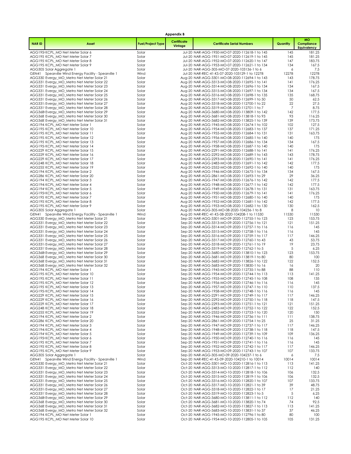| Appendix B   |                                                                                         |                          |                        |                                                                                                  |            |                                        |  |  |  |
|--------------|-----------------------------------------------------------------------------------------|--------------------------|------------------------|--------------------------------------------------------------------------------------------------|------------|----------------------------------------|--|--|--|
| <b>NARID</b> | Asset                                                                                   | <b>Fuel/Project Type</b> | Certificate<br>Vintage | <b>Certificate Serial Numbers</b>                                                                | Quantity   | <b>MO</b><br>Compliance<br>Equivalency |  |  |  |
|              | AGG195 KCPL_MO Net Meter Solar 6                                                        | Solar                    |                        | Jul-20 NAR-AGG-1950-MO-07-2020-112618-1 to 145                                                   | 145        | 181.25                                 |  |  |  |
|              | AGG195 KCPL_MO Net Meter Solar 7                                                        | Solar                    |                        | Jul-20 NAR-AGG-1951-MO-07-2020-112619-1 to 145                                                   | 145        | 181.25                                 |  |  |  |
|              | AGG195: KCPL_MO Net Meter Solar 8<br>AGG195 KCPL_MO Net Meter Solar 9                   | Solar<br>Solar           |                        | Jul-20 NAR-AGG-1952-MO-07-2020-112620-1 to 147<br>Jul-20 NAR-AGG-1953-MO-07-2020-112621-1 to 134 | 147<br>134 | 183.75<br>167.5                        |  |  |  |
|              | AGG305 Solar Aggregate 1                                                                | Solar                    |                        | Jul-20 NAR-AGG-305-MO-07-2020-103136-1 to 6                                                      | 6          | 7.5                                    |  |  |  |
|              | GEN41 Spearville Wind Energy Facility - Spearville 1                                    | Wind                     |                        | Jul-20 NAR-REC-41-KS-07-2020-103129-1 to 12278                                                   | 12278      | 12278                                  |  |  |  |
|              | AGG330 Evergy MO Metro Net Meter Solar 21<br>AGG331 Evergy_MO_Metro Net Meter Solar 22  | Solar<br>Solar           |                        | Aug-20 NAR-AGG-3301-MO-08-2020-112694-1 to 143<br>Aug-20 NAR-AGG-3313-MO-08-2020-112695-1 to 141 | 143<br> 4  | 178.75<br>176.25                       |  |  |  |
|              | AGG331 Evergy_MO_Metro Net Meter Solar 23                                               | Solar                    |                        | Aug-20 NAR-AGG-3314-MO-08-2020-112696-1 to 134                                                   | 134        | 167.5                                  |  |  |  |
|              | AGG331 Evergy_MO_Metro Net Meter Solar 24                                               | Solar                    |                        | Aug-20 NAR-AGG-3315-MO-08-2020-112697-1 to 134                                                   | 134        | 167.5                                  |  |  |  |
|              | AGG331 Evergy MO Metro Net Meter Solar 25<br>AGG331 Evergy_MO_Metro Net Meter Solar 26  | Solar<br>Solar           |                        | Aug-20 NAR-AGG-3316-MO-08-2020-112698-1 to 135<br>Aug-20 NAR-AGG-3317-MO-08-2020-112699-1 to 50  | 135<br>50  | 168.75<br>62.5                         |  |  |  |
|              | AGG331 Evergy_MO_Metro Net Meter Solar 27                                               | Solar                    |                        | Aug-20 NAR-AGG-3318-MO-08-2020-112700-1 to 22                                                    | 22         | 27.5                                   |  |  |  |
|              | AGG331' Evergy_MO_Metro Net Meter Solar 28                                              | Solar                    |                        | Aug-20 NAR-AGG-3319-MO-08-2020-112701-1 to 7                                                     | 7          | 8.75                                   |  |  |  |
|              | AGG368 Evergy_MO_Metro Net Meter Solar 29<br>AGG368 Evergy_MO_Metro Net Meter Solar 30  | Solar<br>Solar           |                        | Aug-20 NAR-AGG-3680-MO-08-2020-113809-1 to 142<br>Aug-20 NAR-AGG-3681-MO-08-2020-113818-1 to 93  | 142<br>93  | 177.5<br>116.25                        |  |  |  |
|              | AGG368: Evergy_MO_Metro Net Meter Solar 31                                              | Solar                    |                        | Aug-20 NAR-AGG-3682-MO-08-2020-113825-1 to 139                                                   | 139        | 173.75                                 |  |  |  |
|              | AGG194 KCPL_MO Net Meter Solar 1                                                        | Solar                    |                        | Aug-20 NAR-AGG-1945-MO-08-2020-112674-1 to 102                                                   | 102        | 127.5                                  |  |  |  |
|              | AGG195 KCPL_MO Net Meter Solar 10                                                       | Solar                    |                        | Aug-20 NAR-AGG-1954-MO-08-2020-112683-1 to 137                                                   | 137        | 171.25                                 |  |  |  |
|              | AGG195 KCPL_MO Net Meter Solar 11<br>AGG195 KCPL_MO Net Meter Solar 12                  | Solar<br>Solar           |                        | Aug-20 NAR-AGG-1955-MO-08-2020-112684-1 to 131<br>Aug-20 NAR-AGG-1956-MO-08-2020-112685-1 to 140 | 131<br>140 | 163.75<br>175                          |  |  |  |
|              | AGG195 KCPL_MO Net Meter Solar 13                                                       | Solar                    |                        | Aug-20 NAR-AGG-1957-MO-08-2020-112686-1 to 134                                                   | 134        | 167.5                                  |  |  |  |
|              | AGG195 KCPL_MO Net Meter Solar 14                                                       | Solar                    |                        | Aug-20 NAR-AGG-1958-MO-08-2020-112687-1 to 140                                                   | 140        | 175                                    |  |  |  |
|              | AGG229 KCPL_MO Net Meter Solar 15<br>AGG229: KCPL MO Net Meter Solar 16                 | Solar<br>Solar           |                        | Aug-20 NAR-AGG-2291-MO-08-2020-112688-1 to 141<br>Aug-20 NAR-AGG-2292-MO-08-2020-112689-1 to 143 | 141<br>143 | 176.25<br>178.75                       |  |  |  |
|              | AGG229: KCPL_MO Net Meter Solar 17                                                      | Solar                    |                        | Aug-20 NAR-AGG-2293-MO-08-2020-112690-1 to 141                                                   | 141        | 176.25                                 |  |  |  |
|              | AGG248 KCPL_MO Net Meter Solar 18                                                       | Solar                    |                        | Aug-20 NAR-AGG-2483-MO-08-2020-112691-1 to 142                                                   | 142        | 177.5                                  |  |  |  |
|              | AGG255 KCPL MO Net Meter Solar 19                                                       | Solar                    |                        | Aug-20 NAR-AGG-2552-MO-08-2020-112692-1 to 140                                                   | 140        | 175                                    |  |  |  |
|              | AGG194 KCPL MO Net Meter Solar 2<br>AGG286 KCPL_MO Net Meter Solar 20                   | Solar<br>Solar           |                        | Aug-20 NAR-AGG-1946-MO-08-2020-112675-1 to 134<br>Aug-20 NAR-AGG-2861-MO-08-2020-112693-1 to 29  | 134<br>29  | 167.5<br>36.25                         |  |  |  |
|              | AGG194 KCPL MO Net Meter Solar 3                                                        | Solar                    |                        | Aug-20 NAR-AGG-1947-MO-08-2020-112676-1 to 142                                                   | 142        | 177.5                                  |  |  |  |
|              | AGG194 KCPL MO Net Meter Solar 4                                                        | Solar                    |                        | Aug-20 NAR-AGG-1948-MO-08-2020-112677-1 to 142                                                   | 142        | 177.5                                  |  |  |  |
|              | AGG194' KCPL_MO Net Meter Solar 5<br>AGG195 KCPL_MO Net Meter Solar 6                   | Solar<br>Solar           |                        | Aug-20 NAR-AGG-1949-MO-08-2020-112678-1 to 131<br>Aug-20 NAR-AGG-1950-MO-08-2020-112679-1 to 141 | 131<br>141 | 163.75<br>176.25                       |  |  |  |
|              | AGG195 KCPL_MO Net Meter Solar 7                                                        | Solar                    |                        | Aug-20 NAR-AGG-1951-MO-08-2020-112680-1 to 140                                                   | 140        | 175                                    |  |  |  |
|              | AGG195 KCPL_MO Net Meter Solar 8                                                        | Solar                    |                        | Aug-20 NAR-AGG-1952-MO-08-2020-112681-1 to 142                                                   | 142        | 177.5                                  |  |  |  |
|              | AGG195 KCPL_MO Net Meter Solar 9<br>AGG305 Solar Aggregate 1                            | Solar<br>Solar           |                        | Aug-20 NAR-AGG-1953-MO-08-2020-112682-1 to 130<br>Aug-20 NAR-AGG-305-MO-08-2020-104236-1 to 8    | 130<br>8   | 162.5<br>10                            |  |  |  |
|              | GEN41 Spearville Wind Energy Facility - Spearville 1                                    | Wind                     |                        | Aug-20 NAR-REC-41-KS-08-2020-104208-1 to 11530                                                   | 11530      | 11530                                  |  |  |  |
|              | AGG330 Evergy_MO_Metro Net Meter Solar 21                                               | Solar                    |                        | Sep-20 NAR-AGG-3301-MO-09-2020-112755-1 to 123                                                   | 123        | 153.75                                 |  |  |  |
|              | AGG331: Evergy_MO_Metro Net Meter Solar 22<br>AGG331 Evergy_MO_Metro Net Meter Solar 23 | Solar<br>Solar           |                        | Sep-20 NAR-AGG-3313-MO-09-2020-112756-1 to 121<br>Sep-20 NAR-AGG-3314-MO-09-2020-112757-1 to 116 | 121<br>116 | 151.25<br>145                          |  |  |  |
|              | AGG331 Evergy_MO_Metro Net Meter Solar 24                                               | Solar                    |                        | Sep-20 NAR-AGG-3315-MO-09-2020-112758-1 to 116                                                   | 116        | 145                                    |  |  |  |
|              | AGG331 Evergy_MO_Metro Net Meter Solar 25                                               | Solar                    |                        | Sep-20 NAR-AGG-3316-MO-09-2020-112759-1 to 117                                                   | 117        | 146.25                                 |  |  |  |
|              | AGG331 Evergy_MO_Metro Net Meter Solar 26                                               | Solar<br>Solar           |                        | Sep-20 NAR-AGG-3317-MO-09-2020-112760-1 to 43<br>Sep-20 NAR-AGG-3318-MO-09-2020-112761-1 to 19   | 43<br>19   | 53.75<br>23.75                         |  |  |  |
|              | AGG331 Evergy_MO_Metro Net Meter Solar 27<br>AGG331' Evergy_MO_Metro Net Meter Solar 28 | Solar                    |                        | Sep-20 NAR-AGG-3319-MO-09-2020-112762-1 to 5                                                     | 5          | 6.25                                   |  |  |  |
|              | AGG368 Evergy_MO_Metro Net Meter Solar 29                                               | Solar                    |                        | Sep-20 NAR-AGG-3680-MO-09-2020-113810-1 to 123                                                   | 123        | 153.75                                 |  |  |  |
|              | AGG368 Evergy_MO_Metro Net Meter Solar 30                                               | Solar                    |                        | Sep-20 NAR-AGG-3681-MO-09-2020-113819-1 to 80<br>Sep-20 NAR-AGG-3682-MO-09-2020-113826-1 to 122  | 80         | 100<br>152.5                           |  |  |  |
|              | AGG368: Evergy_MO_Metro Net Meter Solar 31<br>AGG368 Evergy_MO_Metro Net Meter Solar 32 | Solar<br>Solar           |                        | Sep-20 NAR-AGG-3683-MO-09-2020-113830-1 to 16                                                    | 122<br>16  | 20                                     |  |  |  |
|              | AGG194 KCPL_MO Net Meter Solar 1                                                        | Solar                    |                        | Sep-20 NAR-AGG-1945-MO-09-2020-112735-1 to 88                                                    | 88         | 110                                    |  |  |  |
|              | AGG195 KCPL MO Net Meter Solar 10                                                       | Solar                    |                        | Sep-20 NAR-AGG-1954-MO-09-2020-112744-1 to 113                                                   | 113        | 141.25                                 |  |  |  |
|              | AGG195 KCPL_MO Net Meter Solar 11<br>AGG195 KCPL_MO Net Meter Solar 12                  | Solar<br>Solar           |                        | Sep-20 NAR-AGG-1955-MO-09-2020-112745-1 to 108<br>Sep-20 NAR-AGG-1956-MO-09-2020-112746-1 to 116 | 108<br>116 | 135<br>145                             |  |  |  |
|              | AGG195 KCPL_MO Net Meter Solar 13                                                       | Solar                    |                        | Sep-20 NAR-AGG-1957-MO-09-2020-112747-1 to 110                                                   | 110        | 137.5                                  |  |  |  |
|              | AGG195 KCPL_MO Net Meter Solar 14                                                       | Solar                    |                        | Sep-20 NAR-AGG-1958-MO-09-2020-112748-1 to 116                                                   | 116        | 145                                    |  |  |  |
|              | AGG229 KCPL_MO Net Meter Solar 15<br>AGG229: KCPL_MO Net Meter Solar 16                 | Solar<br>Solar           |                        | Sep-20 NAR-AGG-2291-MO-09-2020-112749-1 to 117<br>Sep-20 NAR-AGG-2292-MO-09-2020-112750-1 to 118 | 117<br>118 | 146.25<br>147.5                        |  |  |  |
|              | AGG229: KCPL_MO Net Meter Solar 17                                                      | Solar                    |                        | Sep-20 NAR-AGG-2293-MO-09-2020-112751-1 to 121                                                   | 121        | 151.25                                 |  |  |  |
|              | AGG248 KCPL MO Net Meter Solar 18                                                       | Solar                    |                        | Sep-20 NAR-AGG-2483-MO-09-2020-112752-1 to 122                                                   | 122        | 152.5                                  |  |  |  |
|              | AGG255 KCPL_MO Net Meter Solar 19<br>AGG194 KCPL_MO Net Meter Solar 2                   | Solar<br>Solar           |                        | Sep-20 NAR-AGG-2552-MO-09-2020-112753-1 to 120<br>Sep-20 NAR-AGG-1946-MO-09-2020-112736-1 to 111 | 120<br>111 | 150<br>138.75                          |  |  |  |
|              | AGG286 KCPL MO Net Meter Solar 20                                                       | Solar                    |                        | Sep-20 NAR-AGG-2861-MO-09-2020-112754-1 to 25                                                    | 25         | 31.25                                  |  |  |  |
|              | AGG194 KCPL_MO Net Meter Solar 3                                                        | Solar                    |                        | Sep-20 NAR-AGG-1947-MO-09-2020-112737-1 to 117                                                   | 117        | 146.25                                 |  |  |  |
|              | AGG194 KCPL MO Net Meter Solar 4<br>AGG194' KCPL_MO Net Meter Solar 5                   | Solar<br>Solar           |                        | Sep-20 NAR-AGG-1948-MO-09-2020-112738-1 to 118<br>Sep-20 NAR-AGG-1949-MO-09-2020-112739-1 to 109 | 118<br>109 | 147.5<br>136.25                        |  |  |  |
|              | AGG195 KCPL_MO Net Meter Solar 6                                                        | Solar                    |                        | Sep-20 NAR-AGG-1950-MO-09-2020-112740-1 to 116                                                   | 116        | 145                                    |  |  |  |
|              | AGG195 KCPL_MO Net Meter Solar 7                                                        | Solar                    |                        | Sep-20 NAR-AGG-1951-MO-09-2020-112741-1 to 116                                                   | 116        | 145                                    |  |  |  |
|              | AGG195 KCPL_MO Net Meter Solar 8<br>AGG195 KCPL_MO Net Meter Solar 9                    | Solar<br>Solar           |                        | Sep-20 NAR-AGG-1952-MO-09-2020-112742-1 to 117<br>Sep-20 NAR-AGG-1953-MO-09-2020-112743-1 to 107 | 117<br>107 | 146.25<br>133.75                       |  |  |  |
|              | AGG305 Solar Aggregate 1                                                                | Solar                    |                        | Sep-20 NAR-AGG-305-MO-09-2020-104237-1 to 6                                                      | 6          | 7.5                                    |  |  |  |
| GEN41        | Spearville Wind Energy Facility - Spearville 1                                          | Wind                     |                        | Sep-20 NAR-REC-41-KS-09-2020-104210-1 to 10014                                                   | 10014      | 10014                                  |  |  |  |
|              | AGG330 Evergy_MO_Metro Net Meter Solar 21                                               | Solar                    |                        | Oct-20 NAR-AGG-3301-MO-10-2020-112816-1 to 113                                                   | 113        | 141.25                                 |  |  |  |
|              | AGG331: Evergy_MO_Metro Net Meter Solar 22<br>AGG331 Evergy_MO_Metro Net Meter Solar 23 | Solar<br>Solar           |                        | Oct-20 NAR-AGG-3313-MO-10-2020-112817-1 to 112<br>Oct-20 NAR-AGG-3314-MO-10-2020-112818-1 to 106 | 112<br>106 | 140<br>132.5                           |  |  |  |
|              | AGG331 Evergy_MO_Metro Net Meter Solar 24                                               | Solar                    |                        | Oct-20 NAR-AGG-3315-MO-10-2020-112819-1 to 106                                                   | 106        | 132.5                                  |  |  |  |
|              | AGG331 Evergy_MO_Metro Net Meter Solar 25                                               | Solar                    |                        | Oct-20 NAR-AGG-3316-MO-10-2020-112820-1 to 107                                                   | 107        | 133.75                                 |  |  |  |
|              | AGG331 Evergy_MO_Metro Net Meter Solar 26<br>AGG331 Evergy_MO_Metro Net Meter Solar 27  | Solar<br>Solar           |                        | Oct-20 NAR-AGG-3317-MO-10-2020-112821-1 to 39<br>Oct-20 NAR-AGG-3318-MO-10-2020-112822-1 to 17   | 39<br>17   | 48.75<br>21.25                         |  |  |  |
|              | AGG331' Evergy_MO_Metro Net Meter Solar 28                                              | Solar                    |                        | Oct-20 NAR-AGG-3319-MO-10-2020-112823-1 to 5                                                     | 5          | 6.25                                   |  |  |  |
|              | AGG368 Evergy MO Metro Net Meter Solar 29                                               | Solar                    |                        | Oct-20 NAR-AGG-3680-MO-10-2020-113811-1 to 112                                                   | 112        | 140                                    |  |  |  |
|              | AGG368 Evergy_MO_Metro Net Meter Solar 30<br>AGG368: Evergy_MO_Metro Net Meter Solar 31 | Solar<br>Solar           |                        | Oct-20 NAR-AGG-3681-MO-10-2020-113820-1 to 74<br>Oct-20 NAR-AGG-3682-MO-10-2020-113827-1 to 113  | 74<br>113  | 92.5<br>141.25                         |  |  |  |
|              | AGG368 Evergy_MO_Metro Net Meter Solar 32                                               | Solar                    |                        | Oct-20 NAR-AGG-3683-MO-10-2020-113831-1 to 37                                                    | 37         | 46.25                                  |  |  |  |
|              | AGG194 KCPL_MO Net Meter Solar 1                                                        | Solar                    |                        | Oct-20 NAR-AGG-1945-MO-10-2020-112796-1 to 80                                                    | 80         | 100                                    |  |  |  |
|              | AGG195 KCPL_MO Net Meter Solar 10                                                       | Solar                    |                        | Oct-20 NAR-AGG-1954-MO-10-2020-112805-1 to 105                                                   | 105        | 131.25                                 |  |  |  |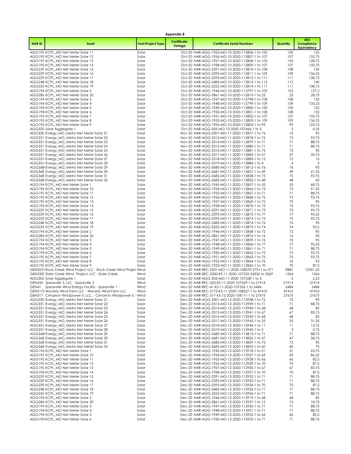| Appendix B   |                                                                                                               |                          |                        |                                                                                                  |               |                                               |  |  |  |
|--------------|---------------------------------------------------------------------------------------------------------------|--------------------------|------------------------|--------------------------------------------------------------------------------------------------|---------------|-----------------------------------------------|--|--|--|
| <b>NARID</b> | Asset                                                                                                         | <b>Fuel/Project Type</b> | Certificate<br>Vintage | <b>Certificate Serial Numbers</b>                                                                | Quantity      | <b>MO</b><br>Compliance<br><b>Equivalency</b> |  |  |  |
|              | AGG195 KCPL_MO Net Meter Solar 11                                                                             | Solar                    |                        | Oct-20 NAR-AGG-1955-MO-10-2020-112806-1 to 100                                                   | 100           | 125                                           |  |  |  |
|              | AGG195 KCPL MO Net Meter Solar 12                                                                             | Solar                    |                        | Oct-20 NAR-AGG-1956-MO-10-2020-112807-1 to 107                                                   | 107           | 133.75                                        |  |  |  |
|              | AGG195 KCPL_MO Net Meter Solar 13<br>AGG195 KCPL MO Net Meter Solar 14                                        | Solar<br>Solar           |                        | Oct-20 NAR-AGG-1957-MO-10-2020-112808-1 to 103<br>Oct-20 NAR-AGG-1958-MO-10-2020-112809-1 to 107 | 103<br>107    | 128.75<br>133.75                              |  |  |  |
|              | AGG229 KCPL_MO Net Meter Solar 15                                                                             | Solar                    |                        | Oct-20 NAR-AGG-2291-MO-10-2020-112810-1 to 108                                                   | 108           | 135                                           |  |  |  |
|              | AGG229: KCPL MO Net Meter Solar 16                                                                            | Solar                    |                        | Oct-20 NAR-AGG-2292-MO-10-2020-112811-1 to 109                                                   | 109           | 136.25                                        |  |  |  |
|              | AGG229 KCPL MO Net Meter Solar 17                                                                             | Solar                    |                        | Oct-20 NAR-AGG-2293-MO-10-2020-112812-1 to 111                                                   | 111           | 138.75                                        |  |  |  |
|              | AGG248 KCPL_MO Net Meter Solar 18<br>AGG255: KCPL_MO Net Meter Solar 19                                       | Solar<br>Solar           |                        | Oct-20 NAR-AGG-2483-MO-10-2020-112813-1 to 112<br>Oct-20 NAR-AGG-2552-MO-10-2020-112814-1 to 111 | 112<br>111    | 140<br>138.75                                 |  |  |  |
|              | AGG194 KCPL_MO Net Meter Solar 2                                                                              | Solar                    |                        | Oct-20 NAR-AGG-1946-MO-10-2020-112797-1 to 102                                                   | 102           | 127.5                                         |  |  |  |
|              | AGG286 KCPL_MO Net Meter Solar 20                                                                             | Solar                    |                        | Oct-20 NAR-AGG-2861-MO-10-2020-112815-1 to 23                                                    | 23            | 28.75                                         |  |  |  |
|              | AGG194 KCPL_MO Net Meter Solar 3                                                                              | Solar                    |                        | Oct-20 NAR-AGG-1947-MO-10-2020-112798-1 to 108                                                   | 108           | 135                                           |  |  |  |
|              | AGG194 KCPL MO Net Meter Solar 4                                                                              | Solar                    |                        | Oct-20 NAR-AGG-1948-MO-10-2020-112799-1 to 109                                                   | 109<br>100    | 136.25<br>125                                 |  |  |  |
|              | AGG194' KCPL_MO Net Meter Solar 5<br>AGG195 KCPL MO Net Meter Solar 6                                         | Solar<br>Solar           |                        | Oct-20 NAR-AGG-1949-MO-10-2020-112800-1 to 100<br>Oct-20 NAR-AGG-1950-MO-10-2020-112801-1 to 108 | 108           | 135                                           |  |  |  |
|              | AGG195 KCPL_MO Net Meter Solar 7                                                                              | Solar                    |                        | Oct-20 NAR-AGG-1951-MO-10-2020-112802-1 to 107                                                   | 107           | 133.75                                        |  |  |  |
|              | AGG195 KCPL_MO Net Meter Solar 8                                                                              | Solar                    |                        | Oct-20 NAR-AGG-1952-MO-10-2020-112803-1 to 109                                                   | 109           | 136.25                                        |  |  |  |
|              | AGG195 KCPL_MO Net Meter Solar 9                                                                              | Solar                    |                        | Oct-20 NAR-AGG-1953-MO-10-2020-112804-1 to 99                                                    | 99            | 123.75                                        |  |  |  |
|              | AGG305 Solar Aggregate 1<br>AGG330 Evergy_MO_Metro Net Meter Solar 21                                         | Solar<br>Solar           |                        | Oct-20 NAR-AGG-305-MO-10-2020-107466-1 to 5<br>Nov-20 NAR-AGG-3301-MO-11-2020-112877-1 to 76     | 5<br>76       | 6.25<br>95                                    |  |  |  |
|              | AGG331 Evergy_MO_Metro Net Meter Solar 22                                                                     | Solar                    |                        | Nov-20 NAR-AGG-3313-MO-11-2020-112878-1 to 75                                                    | 75            | 93.75                                         |  |  |  |
|              | AGG331 Evergy_MO_Metro Net Meter Solar 23                                                                     | Solar                    |                        | Nov-20 NAR-AGG-3314-MO-11-2020-112879-1 to 71                                                    | 71            | 88.75                                         |  |  |  |
|              | AGG331 Evergy_MO_Metro Net Meter Solar 24                                                                     | Solar                    |                        | Nov-20 NAR-AGG-3315-MO-11-2020-112880-1 to 71                                                    | 71            | 88.75                                         |  |  |  |
|              | AGG331 Evergy_MO_Metro Net Meter Solar 25<br>AGG331 Evergy_MO_Metro Net Meter Solar 26                        | Solar<br>Solar           |                        | Nov-20 NAR-AGG-3316-MO-11-2020-112881-1 to 72<br>Nov-20 NAR-AGG-3317-MO-11-2020-112882-1 to 27   | 72<br>27      | 90<br>33.75                                   |  |  |  |
|              | AGG331 Evergy_MO_Metro Net Meter Solar 27                                                                     | Solar                    |                        | Nov-20 NAR-AGG-3318-MO-11-2020-112883-1 to 12                                                    | 12            | 15                                            |  |  |  |
|              | AGG331 Evergy_MO_Metro Net Meter Solar 28                                                                     | Solar                    |                        | Nov-20 NAR-AGG-3319-MO-11-2020-112884-1 to 4                                                     | 4             | 5                                             |  |  |  |
|              | AGG368 Evergy_MO_Metro Net Meter Solar 29                                                                     | Solar                    |                        | Nov-20 NAR-AGG-3680-MO-11-2020-113812-1 to 76                                                    | 76            | 95                                            |  |  |  |
|              | AGG368 Evergy_MO_Metro Net Meter Solar 30                                                                     | Solar                    |                        | Nov-20 NAR-AGG-3681-MO-11-2020-113821-1 to 49                                                    | 49            | 61.25                                         |  |  |  |
|              | AGG368: Evergy_MO_Metro Net Meter Solar 31<br>AGG368 Evergy MO Metro Net Meter Solar 32                       | Solar<br>Solar           |                        | Nov-20 NAR-AGG-3682-MO-11-2020-113828-1 to 75<br>Nov-20 NAR-AGG-3683-MO-11-2020-113832-1 to 48   | 75<br>48      | 93.75<br>60                                   |  |  |  |
|              | AGG194 KCPL MO Net Meter Solar 1                                                                              | Solar                    |                        | Nov-20 NAR-AGG-1945-MO-11-2020-112857-1 to 55                                                    | 55            | 68.75                                         |  |  |  |
|              | AGG195 KCPL_MO Net Meter Solar 10                                                                             | Solar                    |                        | Nov-20 NAR-AGG-1954-MO-11-2020-112866-1 to 73                                                    | 73            | 91.25                                         |  |  |  |
|              | AGG195 KCPL_MO Net Meter Solar 11                                                                             | Solar                    |                        | Nov-20 NAR-AGG-1955-MO-11-2020-112867-1 to 71                                                    | 71            | 88.75                                         |  |  |  |
|              | AGG195 KCPL_MO Net Meter Solar 12<br>AGG195 KCPL_MO Net Meter Solar 13                                        | Solar<br>Solar           |                        | Nov-20 NAR-AGG-1956-MO-11-2020-112868-1 to 75<br>Nov-20 NAR-AGG-1957-MO-11-2020-112869-1 to 72   | 75<br>72      | 93.75<br>90                                   |  |  |  |
|              | AGG195 KCPL_MO Net Meter Solar 14                                                                             | Solar                    |                        | Nov-20 NAR-AGG-1958-MO-11-2020-112870-1 to 75                                                    | 75            | 93.75                                         |  |  |  |
|              | AGG229 KCPL_MO Net Meter Solar 15                                                                             | Solar                    |                        | Nov-20 NAR-AGG-2291-MO-11-2020-112871-1 to 75                                                    | 75            | 93.75                                         |  |  |  |
|              | AGG229: KCPL_MO Net Meter Solar 16                                                                            | Solar                    |                        | Nov-20 NAR-AGG-2292-MO-11-2020-112872-1 to 77                                                    | 77            | 96.25                                         |  |  |  |
|              | AGG229: KCPL_MO Net Meter Solar 17<br>AGG248 KCPL_MO Net Meter Solar 18                                       | Solar<br>Solar           |                        | Nov-20 NAR-AGG-2293-MO-11-2020-112873-1 to 75<br>Nov-20 NAR-AGG-2483-MO-11-2020-112874-1 to 76   | 75<br>76      | 93.75<br>95                                   |  |  |  |
|              | AGG255: KCPL_MO Net Meter Solar 19                                                                            | Solar                    |                        | Nov-20 NAR-AGG-2552-MO-11-2020-112875-1 to 74                                                    | 74            | 92.5                                          |  |  |  |
|              | AGG194 KCPL_MO Net Meter Solar 2                                                                              | Solar                    |                        | Nov-20 NAR-AGG-1946-MO-11-2020-112858-1 to 72                                                    | 72            | 90                                            |  |  |  |
|              | AGG286 KCPL_MO Net Meter Solar 20                                                                             | Solar                    |                        | Nov-20 NAR-AGG-2861-MO-11-2020-112876-1 to 16                                                    | 16            | 20                                            |  |  |  |
|              | AGG194 KCPL_MO Net Meter Solar 3<br>AGG194 KCPL_MO Net Meter Solar 4                                          | Solar<br>Solar           |                        | Nov-20 NAR-AGG-1947-MO-11-2020-112859-1 to 76<br>Nov-20 NAR-AGG-1948-MO-11-2020-112860-1 to 77   | 76<br>77      | 95<br>96.25                                   |  |  |  |
|              | AGG194' KCPL_MO Net Meter Solar 5                                                                             | Solar                    |                        | Nov-20 NAR-AGG-1949-MO-11-2020-112861-1 to 71                                                    | 71            | 88.75                                         |  |  |  |
|              | AGG195 KCPL_MO Net Meter Solar 6                                                                              | Solar                    |                        | Nov-20 NAR-AGG-1950-MO-11-2020-112862-1 to 75                                                    | 75            | 93.75                                         |  |  |  |
|              | AGG195 KCPL_MO Net Meter Solar 7                                                                              | Solar                    |                        | Nov-20 NAR-AGG-1951-MO-11-2020-112863-1 to 75                                                    | 75            | 93.75                                         |  |  |  |
|              | AGG195 KCPL MO Net Meter Solar 8<br>AGG195 KCPL_MO Net Meter Solar 9                                          | Solar<br>Solar           |                        | Nov-20 NAR-AGG-1952-MO-11-2020-112864-1 to 76<br>Nov-20 NAR-AGG-1953-MO-11-2020-112865-1 to 70   | 76<br>70      | 95<br>87.5                                    |  |  |  |
|              | GEN2531 Rock Creek Wind Project LLC - Rock Creek Wind Projec Wind                                             |                          |                        | Nov-20 NAR-REC-2531-MO-11-2020-108270-27311 to 371                                               | 9881          | 12351.25                                      |  |  |  |
|              | GEN230C Slate Creek Wind Project, LLC - Slate Creek                                                           | Wind                     |                        | Nov-20 NAR-REC-2300-KS-11-2020-107535-34336 to 3569                                              | 1364          | 1364                                          |  |  |  |
|              | AGG305 Solar Aggregate 1                                                                                      | Solar                    |                        | Nov-20 NAR-AGG-305-MO-11-2020-107528-1 to 5                                                      | 5             | 6.25                                          |  |  |  |
|              | GEN335 Spearville 3, LLC - Spearville 3                                                                       | Wind<br>Wind             |                        | Nov-20 NAR-REC-335-KS-11-2020-107529-1 to 21914<br>Nov-20 NAR-REC-41-KS-11-2020-107526-1 to 6484 | 21914<br>6484 | 21914<br>6484                                 |  |  |  |
|              | GEN41 Spearville Wind Energy Facility - Spearville 1<br>GEN2172 Waverly Wind Farm LLC - Waverly Wind Farm LLC | Wind                     |                        | Nov-20 NAR-REC-2172-KS-11-2020-108537-1 to 47410                                                 | 47410         | 47410                                         |  |  |  |
|              | GEN317 Cimarron Windpower II, LLC. - Cimarron Windpower II, I Wind                                            |                          |                        | Dec-20 NAR-REC-317-KS-12-2020-108171-1 to 27675                                                  | 27675         | 27675                                         |  |  |  |
|              | AGG330 Evergy_MO_Metro Net Meter Solar 21                                                                     | Solar                    |                        | Dec-20 NAR-AGG-3301-MO-12-2020-112938-1 to 72                                                    | 72            | 90                                            |  |  |  |
|              | AGG331: Evergy_MO_Metro Net Meter Solar 22<br>AGG331 Evergy MO Metro Net Meter Solar 23                       | Solar<br>Solar           |                        | Dec-20 NAR-AGG-3313-MO-12-2020-112939-1 to 71<br>Dec-20 NAR-AGG-3314-MO-12-2020-112940-1 to 68   | 71<br>68      | 88.75<br>85                                   |  |  |  |
|              | AGG331 Evergy MO Metro Net Meter Solar 24                                                                     | Solar                    |                        | Dec-20 NAR-AGG-3315-MO-12-2020-112941-1 to 67                                                    | 67            | 83.75                                         |  |  |  |
|              | AGG331 Evergy_MO_Metro Net Meter Solar 25                                                                     | Solar                    |                        | Dec-20 NAR-AGG-3316-MO-12-2020-112942-1 to 68                                                    | 68            | 85                                            |  |  |  |
|              | AGG331 Evergy_MO_Metro Net Meter Solar 26                                                                     | Solar                    |                        | Dec-20 NAR-AGG-3317-MO-12-2020-112943-1 to 25                                                    | 25            | 31.25                                         |  |  |  |
|              | AGG331 Evergy_MO_Metro Net Meter Solar 27<br>AGG331 Evergy MO Metro Net Meter Solar 28                        | Solar<br>Solar           |                        | Dec-20 NAR-AGG-3318-MO-12-2020-112944-1 to 11<br>Dec-20 NAR-AGG-3319-MO-12-2020-112945-1 to 3    | 11<br>3       | 13.75<br>3.75                                 |  |  |  |
|              | AGG368 Evergy_MO_Metro Net Meter Solar 29                                                                     | Solar                    |                        | Dec-20 NAR-AGG-3680-MO-12-2020-113813-1 to 71                                                    | 71            | 88.75                                         |  |  |  |
|              | AGG368 Evergy MO Metro Net Meter Solar 30                                                                     | Solar                    |                        | Dec-20 NAR-AGG-3681-MO-12-2020-113822-1 to 47                                                    | 47            | 58.75                                         |  |  |  |
|              | AGG368: Evergy_MO_Metro Net Meter Solar 31                                                                    | Solar                    |                        | Dec-20 NAR-AGG-3682-MO-12-2020-113829-1 to 72                                                    | 72            | 90                                            |  |  |  |
|              | AGG368 Evergy_MO_Metro Net Meter Solar 32<br>AGG194 KCPL_MO Net Meter Solar 1                                 | Solar<br>Solar           |                        | Dec-20 NAR-AGG-3683-MO-12-2020-113833-1 to 60<br>Dec-20 NAR-AGG-1945-MO-12-2020-112918-1 to 51   | 60<br>51      | 75<br>63.75                                   |  |  |  |
|              | AGG195 KCPL_MO Net Meter Solar 10                                                                             | Solar                    |                        | Dec-20 NAR-AGG-1954-MO-12-2020-112927-1 to 69                                                    | 69            | 86.25                                         |  |  |  |
|              | AGG195 KCPL MO Net Meter Solar 11                                                                             | Solar                    |                        | Dec-20 NAR-AGG-1955-MO-12-2020-112928-1 to 66                                                    | 66            | 82.5                                          |  |  |  |
|              | AGG195 KCPL_MO Net Meter Solar 12                                                                             | Solar                    |                        | Dec-20 NAR-AGG-1956-MO-12-2020-112929-1 to 70                                                    | 70            | 87.5                                          |  |  |  |
|              | AGG195 KCPL MO Net Meter Solar 13                                                                             | Solar                    |                        | Dec-20 NAR-AGG-1957-MO-12-2020-112930-1 to 67                                                    | 67<br>70      | 83.75                                         |  |  |  |
|              | AGG195 KCPL_MO Net Meter Solar 14<br>AGG229 KCPL_MO Net Meter Solar 15                                        | Solar<br>Solar           |                        | Dec-20 NAR-AGG-1958-MO-12-2020-112931-1 to 70<br>Dec-20 NAR-AGG-2291-MO-12-2020-112932-1 to 71   | 71            | 87.5<br>88.75                                 |  |  |  |
|              | AGG229: KCPL_MO Net Meter Solar 16                                                                            | Solar                    |                        | Dec-20 NAR-AGG-2292-MO-12-2020-112933-1 to 71                                                    | 71            | 88.75                                         |  |  |  |
|              | AGG229 KCPL_MO Net Meter Solar 17                                                                             | Solar                    |                        | Dec-20 NAR-AGG-2293-MO-12-2020-112934-1 to 70                                                    | 70            | 87.5                                          |  |  |  |
|              | AGG248 KCPL_MO Net Meter Solar 18                                                                             | Solar                    |                        | Dec-20 NAR-AGG-2483-MO-12-2020-112935-1 to 71                                                    | 71            | 88.75                                         |  |  |  |
|              | AGG255 KCPL MO Net Meter Solar 19<br>AGG194 KCPL MO Net Meter Solar 2                                         | Solar<br>Solar           |                        | Dec-20 NAR-AGG-2552-MO-12-2020-112936-1 to 71<br>Dec-20 NAR-AGG-1946-MO-12-2020-112919-1 to 68   | 71<br>68      | 88.75<br>85                                   |  |  |  |
|              | AGG286 KCPL_MO Net Meter Solar 20                                                                             | Solar                    |                        | Dec-20 NAR-AGG-2861-MO-12-2020-112937-1 to 15                                                    | 15            | 18.75                                         |  |  |  |
|              | AGG194 KCPL_MO Net Meter Solar 3                                                                              | Solar                    |                        | Dec-20 NAR-AGG-1947-MO-12-2020-112920-1 to 71                                                    | 71            | 88.75                                         |  |  |  |
|              | AGG194 KCPL_MO Net Meter Solar 4                                                                              | Solar                    |                        | Dec-20 NAR-AGG-1948-MO-12-2020-112921-1 to 71                                                    | 71            | 88.75                                         |  |  |  |
|              | AGG194' KCPL_MO Net Meter Solar 5<br>AGG195 KCPL_MO Net Meter Solar 6                                         | Solar<br>Solar           |                        | Dec-20 NAR-AGG-1949-MO-12-2020-112922-1 to 66<br>Dec-20 NAR-AGG-1950-MO-12-2020-112923-1 to 71   | 66<br>71      | 82.5<br>88.75                                 |  |  |  |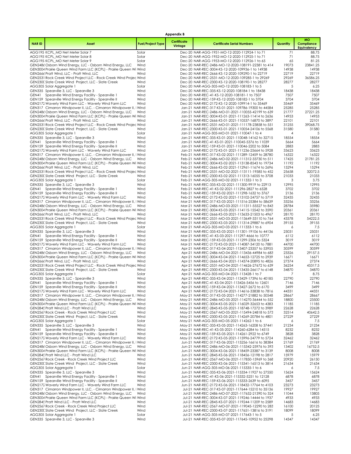| <b>Appendix B</b> |                                                                                                                                 |                          |                        |                                                                                                            |                |                                        |  |  |  |
|-------------------|---------------------------------------------------------------------------------------------------------------------------------|--------------------------|------------------------|------------------------------------------------------------------------------------------------------------|----------------|----------------------------------------|--|--|--|
| <b>NARID</b>      | Asset                                                                                                                           | <b>Fuel/Project Type</b> | Certificate<br>Vintage | <b>Certificate Serial Numbers</b>                                                                          | Quantity       | мo<br>Compliance<br><b>Equivalency</b> |  |  |  |
|                   | AGG195 KCPL_MO Net Meter Solar 7                                                                                                | Solar                    |                        | Dec-20 NAR-AGG-1951-MO-12-2020-112924-1 to 71                                                              | 71             | 88.75                                  |  |  |  |
|                   | AGG195 KCPL_MO Net Meter Solar 8                                                                                                | Solar                    |                        | Dec-20 NAR-AGG-1952-MO-12-2020-112925-1 to 71                                                              | 71             | 88.75                                  |  |  |  |
|                   | AGG195 KCPL_MO Net Meter Solar 9<br>GEN2486 Osborn Wind Energy, LLC - Osborn Wind Energy, LLC                                   | Solar<br>Wind            |                        | Dec-20 NAR-AGG-1953-MO-12-2020-112926-1 to 65<br>Dec-20 NAR-REC-2486-MO-12-2020-108191-22381 to 414        | 65<br>19073    | 81.25<br>23841.25                      |  |  |  |
|                   | GEN3004 Prairie Queen Wind Farm LLC (KCPL) - Prairie Queen Wi Wind                                                              |                          |                        | Dec-20 NAR-REC-3004-KS-12-2020-109936-1 to 14938                                                           | 14938          | 14938                                  |  |  |  |
|                   | GEN2666 Pratt Wind, LLC - Pratt Wind, LLC                                                                                       | Wind                     |                        | Dec-20 NAR-REC-2666-KS-12-2020-109290-1 to 22719                                                           | 22719          | 22719                                  |  |  |  |
|                   | GEN2531 Rock Creek Wind Project LLC - Rock Creek Wind Projec Wind                                                               |                          |                        | Dec-20 NAR-REC-2531-MO-12-2020-109285-1 to 29269                                                           | 29269          | 36586.25                               |  |  |  |
|                   | GEN230C Slate Creek Wind Project, LLC - Slate Creek                                                                             | Wind                     |                        | Dec-20 NAR-REC-2300-KS-12-2020-108190-1 to 28277                                                           | 28277          | 28277                                  |  |  |  |
|                   | AGG305 Solar Aggregate 1<br>GEN335 Spearville 3, LLC - Spearville 3                                                             | Solar<br>Wind            |                        | Dec-20 NAR-AGG-305-MO-12-2020-108183-1 to 5<br>Dec-20 NAR-REC-335-KS-12-2020-108184-1 to 18438             | 5<br>18438     | 6.25<br>18438                          |  |  |  |
|                   | GEN41 Spearville Wind Energy Facility - Spearville 1                                                                            | Wind                     |                        | Dec-20 NAR-REC-41-KS-12-2020-108181-1 to 7507                                                              | 7507           | 7507                                   |  |  |  |
|                   | GEN159 Spearville Wind Energy Facility - Spearville II                                                                          | Wind                     |                        | Dec-20 NAR-REC-159-KS-12-2020-108182-1 to 3704                                                             | 3704           | 3704                                   |  |  |  |
|                   | GEN2172 Waverly Wind Farm LLC - Waverly Wind Farm LLC                                                                           | Wind                     |                        | Dec-20 NAR-REC-2172-KS-12-2020-109914-1 to 35469                                                           | 35469          | 35469                                  |  |  |  |
|                   | GEN317 Cimarron Windpower II, LLC. - Cimarron Windpower II, I Wind                                                              | Wind                     |                        | Jan-21 NAR-REC-317-KS-01-2021-109786-19300 to 44584                                                        | 25285<br>21777 | 25285<br>27221.25                      |  |  |  |
|                   | GEN2486 Osborn Wind Energy, LLC - Osborn Wind Energy, LLC<br>GEN3004 Prairie Queen Wind Farm LLC (KCPL) - Prairie Queen Wi Wind |                          |                        | Jan-21 NAR-REC-2486-MO-01-2021-110055-42199 to 639<br>Jan-21 NAR-REC-3004-KS-01-2021-111263-11414 to 2636  | 14953          | 14953                                  |  |  |  |
|                   | GEN2666 Pratt Wind, LLC - Pratt Wind, LLC                                                                                       | Wind                     |                        | Jan-21 NAR-REC-2666-KS-01-2021-110537-16870 to 3897                                                        | 22101          | 22101                                  |  |  |  |
|                   | GEN2531 Rock Creek Wind Project LLC - Rock Creek Wind Projec Wind                                                               |                          |                        | Jan-21 NAR-REC-2531-MO-01-2021-111178-23858 to 551                                                         | 31255          | 39068.75                               |  |  |  |
|                   | GEN230C Slate Creek Wind Project, LLC - Slate Creek                                                                             | Wind                     |                        | Jan-21 NAR-REC-2300-KS-01-2021-110054-24106 to 5568                                                        | 31580          | 31580                                  |  |  |  |
|                   | AGG305 Solar Aggregate 1<br>GEN335 Spearville 3, LLC - Spearville 3                                                             | Solar<br>Wind            |                        | Jan-21 NAR-AGG-305-MO-01-2021-110047-1 to 4<br>Jan-21 NAR-REC-335-KS-01-2021-110048-14162 to 32715         | 4<br>18554     | 5<br>18554                             |  |  |  |
|                   | GEN41 Spearville Wind Energy Facility - Spearville 1                                                                            | Wind                     |                        | Jan-21 NAR-REC-41-KS-01-2021-110045-5376 to 11039                                                          | 5664           | 5664                                   |  |  |  |
|                   | GEN159 Spearville Wind Energy Facility - Spearville II                                                                          | Wind                     |                        | Jan-21 NAR-REC-159-KS-01-2021-110046-2202 to 5084                                                          | 2883           | 2883                                   |  |  |  |
|                   | GEN2172 Waverly Wind Farm LLC - Waverly Wind Farm LLC                                                                           | Wind                     |                        | Jan-21 NAR-REC-2172-KS-01-2021-111236-25664 to 5928                                                        | 33623          | 33623                                  |  |  |  |
|                   | GEN317 Cimarron Windpower II, LLC. - Cimarron Windpower II, I Wind<br>GEN2486 Osborn Wind Energy, LLC - Osborn Wind Energy, LLC | Wind                     |                        | Feb-21 NAR-REC-317-KS-02-2021-111289-12459 to 28780<br>Feb-21 NAR-REC-2486-MO-02-2021-111312-33730 to 511  | 16322<br>17425 | 16322<br>21781.25                      |  |  |  |
|                   | GEN3004 Prairie Queen Wind Farm LLC (KCPL) - Prairie Queen Wi Wind                                                              |                          |                        | Feb-21 NAR-REC-3004-KS-02-2021-113138-8543 to 19734                                                        | 11192          | 11192                                  |  |  |  |
|                   | GEN2666 Pratt Wind, LLC - Pratt Wind, LLC                                                                                       | Wind                     |                        | Feb-21 NAR-REC-2666-KS-02-2021-112961-11674 to 2696                                                        | 15294          | 15294                                  |  |  |  |
|                   | GEN2531 Rock Creek Wind Project LLC - Rock Creek Wind Projec Wind                                                               |                          |                        | Feb-21 NAR-REC-2531-MO-02-2021-113111-19585 to 452                                                         | 25658          | 32072.5                                |  |  |  |
|                   | GEN230C Slate Creek Wind Project, LLC - Slate Creek                                                                             | Wind                     |                        | Feb-21 NAR-REC-2300-KS-02-2021-111313-16055 to 3708                                                        | 21033          | 21033                                  |  |  |  |
|                   | AGG305 Solar Aggregate 1<br>GEN335 Spearville 3, LLC - Spearville 3                                                             | Solar<br>Wind            |                        | Feb-21 NAR-AGG-305-MO-02-2021-111332-1 to 3<br>Feb-21 NAR-REC-335-KS-02-2021-111300-9919 to 22913          | 3<br>12995     | 3.75<br>12995                          |  |  |  |
|                   | GEN41 Spearville Wind Energy Facility - Spearville 1                                                                            | Wind                     |                        | Feb-21 NAR-REC-41-KS-02-2021-111296-2827 to 6528                                                           | 3702           | 3702                                   |  |  |  |
|                   | GEN159 Spearville Wind Energy Facility - Spearville II                                                                          | Wind                     |                        | Feb-21 NAR-REC-159-KS-02-2021-111298-1632 to 3767                                                          | 2136           | 2136                                   |  |  |  |
|                   | GEN2172 Waverly Wind Farm LLC - Waverly Wind Farm LLC                                                                           | Wind                     |                        | Feb-21 NAR-REC-2172-KS-02-2021-113102-24757 to 5719                                                        | 32435          | 32435                                  |  |  |  |
|                   | GEN317 Cimarron Windpower II, LLC. - Cimarron Windpower II, I Wind                                                              |                          |                        | Mar-21 NAR-REC-317-KS-03-2021-111516-25384 to 58639                                                        | 33256          | 33256                                  |  |  |  |
|                   | GEN2486 Osborn Wind Energy, LLC - Osborn Wind Energy, LLC<br>GEN3004 Prairie Queen Wind Farm LLC (KCPL) - Prairie Queen Wi Wind | Wind                     |                        | Mar-21 NAR-REC-2486-MO-03-2021-111311-55527 to 843<br>Mar-21 NAR-REC-3004-KS-03-2021-114115-15542 to 3590  | 28784<br>20361 | 35980<br>20361                         |  |  |  |
|                   | GEN2666 Pratt Wind, LLC - Pratt Wind, LLC                                                                                       | Wind                     |                        | Mar-21 NAR-REC-2666-KS-03-2021-113633-21503 to 4967                                                        | 28170          | 28170                                  |  |  |  |
|                   | GEN2531 Rock Creek Wind Project LLC - Rock Creek Wind Projec Wind                                                               |                          |                        | Mar-21 NAR-REC-2531-MO-03-2021-113649-33110 to 764                                                         | 43378          | 54222.5                                |  |  |  |
|                   | GEN230C Slate Creek Wind Project, LLC - Slate Creek                                                                             | Wind                     |                        | Mar-21 NAR-REC-2300-KS-03-2021-111314-29887 to 6904                                                        | 39155          | 39155                                  |  |  |  |
|                   | AGG305 Solar Aggregate 1<br>GEN335 Spearville 3, LLC - Spearville 3                                                             | Solar<br>Wind            |                        | Mar-21 NAR-AGG-305-MO-03-2021-111333-1 to 6<br>Mar-21 NAR-REC-335-KS-03-2021-111301-19106 to 44136         | 6<br>25031     | 7.5<br>25031                           |  |  |  |
|                   | GEN41 Spearville Wind Energy Facility - Spearville 1                                                                            | Wind                     |                        | Mar-21 NAR-REC-41-KS-03-2021-111297-4666 to 10777                                                          | 6112           | 6112                                   |  |  |  |
|                   | GEN159 Spearville Wind Energy Facility - Spearville II                                                                          | Wind                     |                        | Mar-21 NAR-REC-159-KS-03-2021-111299-2306 to 5324                                                          | 3019           | 3019                                   |  |  |  |
|                   | GEN2172 Waverly Wind Farm LLC - Waverly Wind Farm LLC                                                                           | Wind                     |                        | Mar-21 NAR-REC-2172-KS-03-2021-114087-34120 to 7881                                                        | 44700          | 44700                                  |  |  |  |
|                   | GEN317 Cimarron Windpower II, LLC. - Cimarron Windpower II, I Wind                                                              |                          |                        | Apr-21 NAR-REC-317-KS-04-2021-113407-23357 to 53955                                                        | 30599          | 30599                                  |  |  |  |
|                   | GEN2486 Osborn Wind Energy, LLC - Osborn Wind Energy, LLC<br>GEN3004 Prairie Queen Wind Farm LLC (KCPL) - Prairie Queen Wi Wind | Wind                     |                        | Apr-21 NAR-REC-2486-MO-04-2021-113436-44984 to 683<br>Apr-21 NAR-REC-3004-KS-04-2021-114653-12725 to 2939  | 23326<br>16671 | 29157.5<br>16671                       |  |  |  |
|                   | GEN2666 Pratt Wind, LLC - Pratt Wind, LLC                                                                                       | Wind                     |                        | Apr-21 NAR-REC-2666-KS-04-2021-114374-20895 to 4826                                                        | 27374          | 27374                                  |  |  |  |
|                   | GEN2531 Rock Creek Wind Project LLC - Rock Creek Wind Projec Wind                                                               |                          |                        | Apr-21 NAR-REC-2531-MO-04-2021-114626-27672 to 639                                                         | 36254          | 45317.5                                |  |  |  |
|                   | GEN230C Slate Creek Wind Project, LLC - Slate Creek                                                                             | Wind                     |                        | Apr-21 NAR-REC-2300-KS-04-2021-113435-26617 to 6148                                                        | 34870<br>7     | 34870                                  |  |  |  |
|                   | AGG305 Solar Aggregate 1<br>GEN335 Spearville 3, LLC - Spearville 3                                                             | Solar<br>Wind            |                        | Apr-21 NAR-AGG-305-MO-04-2021-113428-1 to 7<br>Apr-21 NAR-REC-335-KS-04-2021-113429-17396 to 40185         | 22790          | 8.75<br>22790                          |  |  |  |
|                   | GEN41 Spearville Wind Energy Facility - Spearville 1                                                                            | Wind                     |                        | Apr-21 NAR-REC-41-KS-04-2021-113426-5456 to 12601                                                          | 7146           | 7146                                   |  |  |  |
|                   | GEN159 Spearville Wind Energy Facility - Spearville II                                                                          | Wind                     |                        | Apr-21 NAR-REC-159-KS-04-2021-113427-2672 to 6170                                                          | 3499           | 3499                                   |  |  |  |
|                   | GEN2172 Waverly Wind Farm LLC - Waverly Wind Farm LLC                                                                           | Wind                     |                        | Apr-21 NAR-REC-2172-KS-04-2021-114616-33838 to 7816                                                        | 44331          | 44331                                  |  |  |  |
|                   | GEN317 Cimarron Windpower II, LLC. - Cimarron Windpower II, I Wind<br>GEN2486 Osborn Wind Energy, LLC - Osborn Wind Energy, LLC | Wind                     |                        | May-21 NAR-REC-317-KS-05-2021-114277-21882 to 50548<br>May-21 NAR-REC-2486-MO-05-2021-114270-36444 to 552  | 28667<br>18800 | 28667<br>23500                         |  |  |  |
|                   | GEN3004 Prairie Queen Wind Farm LLC (KCPL) - Prairie Queen Wi Wind                                                              |                          |                        | May-21 NAR-REC-3004-KS-05-2021-116029-32653 to 4383                                                        | 11185          | 11185                                  |  |  |  |
|                   | GEN2845 Pratt Wind LLC - Pratt Wind LLC                                                                                         | Wind                     |                        | May-21 NAR-REC-2845-KS-05-2021-118748-17272 to 3989                                                        | 22628          | 22628                                  |  |  |  |
|                   | GEN2567 Rock Creek - Rock Creek Wind Project LLC                                                                                | Wind                     |                        | May-21 NAR-REC-2567-MO-05-2021-115494-24818 to 573                                                         | 32514          | 40642.5                                |  |  |  |
|                   | GEN230C Slate Creek Wind Project, LLC - Slate Creek<br>AGG305 Solar Aggregate 1                                                 | Wind<br>Solar            |                        | May-21 NAR-REC-2300-KS-05-2021-114269-20784 to 4801<br>May-21 NAR-AGG-305-MO-05-2021-114262-1 to 6         | 27229<br>6     | 27229<br>7.5                           |  |  |  |
|                   | GEN335 Spearville 3, LLC - Spearville 3                                                                                         | Wind                     |                        | May-21 NAR-REC-335-KS-05-2021-114263-16208 to 37441                                                        | 21234          | 21234                                  |  |  |  |
|                   | GEN41 Spearville Wind Energy Facility - Spearville 1                                                                            | Wind                     |                        | May-21 NAR-REC-41-KS-05-2021-114260-6284 to 14515                                                          | 8232           | 8232                                   |  |  |  |
|                   | GEN159 Spearville Wind Energy Facility - Spearville II                                                                          | Wind                     |                        | May-21 NAR-REC-159-KS-05-2021-114261-2922 to 6749                                                          | 3828           | 3828                                   |  |  |  |
|                   | GEN2172 Waverly Wind Farm LLC - Waverly Wind Farm LLC<br>GEN317 Cimarron Windpower II, LLC. - Cimarron Windpower II, I Wind     | Wind                     |                        | May-21 NAR-REC-2172-KS-05-2021-115996-24779 to 5724<br>Jun-21 NAR-REC-317-KS-06-2021-115256-16616 to 38384 | 32462<br>21769 | 32462                                  |  |  |  |
|                   | GEN2486 Osborn Wind Energy, LLC - Osborn Wind Energy, LLC                                                                       | Wind                     |                        | Jun-21 NAR-REC-2486-MO-06-2021-115342-25976 to 393                                                         | 13402          | 21769<br>16752.5                       |  |  |  |
|                   | GEN3004 Prairie Queen Wind Farm LLC (KCPL) - Prairie Queen Wi Wind                                                              |                          |                        | Jun-21 NAR-REC-3004-KS-06-2021-118459-23387 to 3139                                                        | 8008           | 8008                                   |  |  |  |
|                   | GEN2845 Pratt Wind LLC - Pratt Wind LLC                                                                                         | Wind                     |                        | Jun-21 NAR-REC-2845-KS-06-2021-118456-12198 to 2817                                                        | 15979          | 15979                                  |  |  |  |
|                   | GEN2567 Rock Creek - Rock Creek Wind Project LLC                                                                                | Wind                     |                        | Jun-21 NAR-REC-2567-MO-06-2021-117850-15969 to 368                                                         | 20920          | 26150                                  |  |  |  |
|                   | GEN230C Slate Creek Wind Project, LLC - Slate Creek<br>AGG305 Solar Aggregate 1                                                 | Wind<br>Solar            |                        | Jun-21 NAR-REC-2300-KS-06-2021-115341-16513 to 3814<br>Jun-21 NAR-AGG-305-MO-06-2021-115335-1 to 6         | 21634<br>6     | 21634<br>7.5                           |  |  |  |
|                   | GEN335 Spearville 3, LLC - Spearville 3                                                                                         | Wind                     |                        | Jun-21 NAR-REC-335-KS-06-2021-115334-11927 to 27550                                                        | 15624          | 15624                                  |  |  |  |
|                   | GEN41 Spearville Wind Energy Facility - Spearville 1                                                                            | Wind                     |                        | Jun-21 NAR-REC-41-KS-06-2021-115332-5251 to 12128                                                          | 6878           | 6878                                   |  |  |  |
|                   | GEN159 Spearville Wind Energy Facility - Spearville II                                                                          | Wind                     |                        | Jun-21 NAR-REC-159-KS-06-2021-115333-2639 to 6095                                                          | 3457           | 3457                                   |  |  |  |
|                   | GEN2172 Waverly Wind Farm LLC - Waverly Wind Farm LLC<br>GEN317 Cimarron Windpower II, LLC. - Cimarron Windpower II, I Wind     | Wind                     |                        | Jun-21 NAR-REC-2172-KS-06-2021-118432-17764 to 4103<br>Jul-21 NAR-REC-317-KS-07-2021-117644-15210 to 35136 | 23273<br>19927 | 23273<br>19927                         |  |  |  |
|                   | GEN2486 Osborn Wind Energy, LLC - Osborn Wind Energy, LLC                                                                       | Wind                     |                        | Jul-21 NAR-REC-2486-MO-07-2021-117652-21390 to 324                                                         | 11044          | 13805                                  |  |  |  |
|                   | GEN3004 Prairie Queen Wind Farm LLC (KCPL) - Prairie Queen Wi Wind                                                              |                          |                        | Jul-21 NAR-REC-3004-KS-07-2021-119246-14444 to 1937                                                        | 4933           | 4933                                   |  |  |  |
|                   | GEN2845 Pratt Wind LLC - Pratt Wind LLC                                                                                         | Wind                     |                        | Jul-21 NAR-REC-2845-KS-07-2021-119244-11209 to 2589                                                        | 14683          | 14683                                  |  |  |  |
|                   | GEN2567 Rock Creek - Rock Creek Wind Project LLC                                                                                | Wind                     |                        | Jul-21 NAR-REC-2567-MO-07-2021-119045-12290 to 283                                                         | 16100          | 20125                                  |  |  |  |
|                   | GEN230C Slate Creek Wind Project, LLC - Slate Creek<br>AGG305 Solar Aggregate 1                                                 | Wind<br>Solar            |                        | Jul-21 NAR-REC-2300-KS-07-2021-117651-13816 to 3191<br>Jul-21 NAR-AGG-305-MO-07-2021-117643-1 to 5         | 18099<br>5     | 18099<br>6.25                          |  |  |  |
|                   | GEN335 Spearville 3, LLC - Spearville 3                                                                                         | Wind                     |                        | Jul-21 NAR-REC-335-KS-07-2021-117645-10952 to 25298                                                        | 14347          | 14347                                  |  |  |  |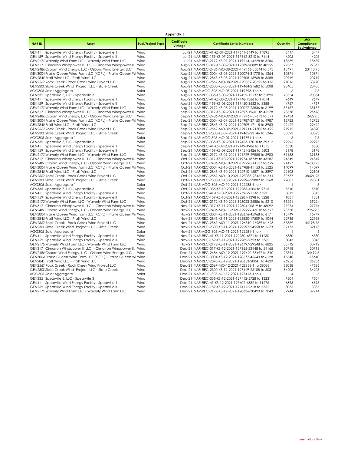| <b>Appendix B</b> |                                                                                           |                          |                        |                                                                                                          |                |                                               |  |  |  |
|-------------------|-------------------------------------------------------------------------------------------|--------------------------|------------------------|----------------------------------------------------------------------------------------------------------|----------------|-----------------------------------------------|--|--|--|
| <b>NARID</b>      | Asset                                                                                     | <b>Fuel/Project Type</b> | Certificate<br>Vintage | <b>Certificate Serial Numbers</b>                                                                        | Quantity       | <b>MO</b><br>Compliance<br><b>Equivalency</b> |  |  |  |
| GEN41             | Spearville Wind Energy Facility - Spearville 1                                            | Wind                     |                        | Jul-21 NAR-REC-41-KS-07-2021-117641-6449 to 14895                                                        | 8447           | 8447                                          |  |  |  |
|                   | GEN159 Spearville Wind Energy Facility - Spearville II                                    | Wind                     |                        | Jul-21 NAR-REC-159-KS-07-2021-117642-3210 to 7414                                                        | 4205           | 4205                                          |  |  |  |
|                   | GEN2172 Waverly Wind Farm LLC - Waverly Wind Farm LLC                                     | Wind                     |                        | Jul-21 NAR-REC-2172-KS-07-2021-119214-14228 to 3286                                                      | 18639          | 18639                                         |  |  |  |
|                   | GEN317 Cimarron Windpower II, LLC. - Cimarron Windpower II, I Wind                        |                          |                        | Aug-21 NAR-REC-317-KS-08-2021-119389-20889 to 48255                                                      | 27367          | 27367                                         |  |  |  |
|                   | GEN2486 Osborn Wind Energy, LLC - Osborn Wind Energy, LLC                                 | Wind                     |                        | Aug-21 NAR-REC-2486-MO-08-2021-119466-35844 to 543                                                       | 18491          | 23113.75                                      |  |  |  |
|                   | GEN3004 Prairie Queen Wind Farm LLC (KCPL) - Prairie Queen Wi Wind                        |                          |                        | Aug-21 NAR-REC-3004-KS-08-2021-120074-31775 to 4264                                                      | 10874          | 10874                                         |  |  |  |
|                   | GEN2845 Pratt Wind LLC - Pratt Wind LLC                                                   | Wind                     |                        | Aug-21 NAR-REC-2845-KS-08-2021-122908-15968 to 3688                                                      | 20919          | 20919                                         |  |  |  |
|                   | GEN2567 Rock Creek - Rock Creek Wind Project LLC                                          | Wind                     |                        | Aug-21 NAR-REC-2567-MO-08-2021-120039-20622 to 476                                                       | 27016          | 33770                                         |  |  |  |
|                   | GEN230C Slate Creek Wind Project, LLC - Slate Creek                                       | Wind                     |                        | Aug-21 NAR-REC-2300-KS-08-2021-119464-21682 to 5008                                                      | 28405          | 28405                                         |  |  |  |
|                   | AGG305 Solar Aggregate 1                                                                  | Solar                    |                        | Aug-21 NAR-AGG-305-MO-08-2021-119793-1 to 6                                                              | 6              | 7.5                                           |  |  |  |
|                   | GEN335 Spearville 3, LLC - Spearville 3                                                   | Wind                     |                        | Aug-21 NAR-REC-335-KS-08-2021-119452-15537 to 35890                                                      | 20354          | 20354                                         |  |  |  |
|                   | GEN41 Spearville Wind Energy Facility - Spearville 1                                      | Wind                     |                        | Aug-21 NAR-REC-41-KS-08-2021-119448-7366 to 17014                                                        | 9649           | 9649                                          |  |  |  |
|                   | GEN159 Spearville Wind Energy Facility - Spearville II                                    | Wind                     |                        | Aug-21 NAR-REC-159-KS-08-2021-119450-3632 to 8388                                                        | 4757           | 4757                                          |  |  |  |
|                   | GEN2172 Waverly Wind Farm LLC - Waverly Wind Farm LLC                                     | Wind                     |                        | Aug-21 NAR-REC-2172-KS-08-2021-120027-26836 to 6199                                                      | 35157          | 35157                                         |  |  |  |
|                   | GEN317 Cimarron Windpower II, LLC. - Cimarron Windpower II, I Wind                        |                          |                        | Sep-21 NAR-REC-317-KS-09-2021-119397-19601 to 45278                                                      | 25678          | 25678                                         |  |  |  |
|                   | GEN2486 Osborn Wind Energy, LLC - Osborn Wind Energy, LLC                                 | Wind                     |                        | Sep-21 NAR-REC-2486-MO-09-2021-119467-37673 to 571                                                       | 19434          | 24292.5                                       |  |  |  |
|                   | GEN3004 Prairie Queen Wind Farm LLC (KCPL) - Prairie Queen Wi Wind                        |                          |                        | Sep-21 NAR-REC-3004-KS-09-2021-124987-37150 to 4987                                                      | 12722          | 12722                                         |  |  |  |
|                   | GEN2845 Pratt Wind LLC - Pratt Wind LLC                                                   | Wind                     |                        | Sep-21 NAR-REC-2845-KS-09-2021-122909-17115 to 3953                                                      | 22422          | 22422                                         |  |  |  |
|                   | GEN2567 Rock Creek - Rock Creek Wind Project LLC                                          | Wind                     |                        | Sep-21 NAR-REC-2567-MO-09-2021-121744-21305 to 492                                                       | 27912          | 34890                                         |  |  |  |
|                   | GEN230C Slate Creek Wind Project, LLC - Slate Creek                                       | Wind                     |                        | Sep-21 NAR-REC-2300-KS-09-2021-119465-23146 to 5346                                                      | 30323          | 30323                                         |  |  |  |
|                   | AGG305 Solar Aggregate 1                                                                  | Solar                    |                        | Sep-21 NAR-AGG-305-MO-09-2021-119794-1 to 6                                                              | 6              | 7.5                                           |  |  |  |
|                   |                                                                                           |                          |                        |                                                                                                          | 22295          | 22295                                         |  |  |  |
| GEN41             | GEN335 Spearville 3, LLC - Spearville 3<br>Spearville Wind Energy Facility - Spearville 1 | Wind<br>Wind             |                        | Sep-21 NAR-REC-335-KS-09-2021-119453-17018 to 39312<br>Sep-21 NAR-REC-41-KS-09-2021-119449-4986 to 11515 | 6530           | 6530                                          |  |  |  |
|                   |                                                                                           | Wind                     |                        |                                                                                                          |                |                                               |  |  |  |
|                   | GEN159 Spearville Wind Energy Facility - Spearville II                                    |                          |                        | Sep-21 NAR-REC-159-KS-09-2021-119451-2426 to 5603                                                        | 3178           | 3178                                          |  |  |  |
|                   | GEN2172 Waverly Wind Farm LLC - Waverly Wind Farm LLC                                     | Wind                     |                        | Sep-21 NAR-REC-2172-KS-09-2021-121729-29885 to 6903                                                      | 39153          | 39153                                         |  |  |  |
|                   | GEN317 Cimarron Windpower II, LLC. - Cimarron Windpower II, I Wind                        |                          |                        | Oct-21 NAR-REC-317-KS-10-2021-121974-18739 to 43287                                                      | 24549          | 24549                                         |  |  |  |
|                   | GEN2486 Osborn Wind Energy, LLC - Osborn Wind Energy, LLC                                 | Wind                     |                        | Oct-21 NAR-REC-2486-MO-10-2021-122298-41537 to 629                                                       | 21427          | 26783.75                                      |  |  |  |
|                   | GEN3004 Prairie Queen Wind Farm LLC (KCPL) - Prairie Queen Wi Wind                        |                          |                        | Oct-21 NAR-REC-3004-KS-10-2021-124988-41153 to 5525                                                      | 14099          | 14099                                         |  |  |  |
|                   | GEN2845 Pratt Wind LLC - Pratt Wind LLC                                                   | Wind                     |                        | Oct-21 NAR-REC-2845-KS-10-2021-122910-16871 to 3897                                                      | 22103          | 22103                                         |  |  |  |
|                   | GEN2567 Rock Creek - Rock Creek Wind Project LLC                                          | Wind                     |                        | Oct-21 NAR-REC-2567-MO-10-2021-123088-23462 to 541                                                       | 30737          | 38421.25                                      |  |  |  |
|                   | GEN230C Slate Creek Wind Project, LLC - Slate Creek                                       | Wind                     |                        | Oct-21 NAR-REC-2300-KS-10-2021-122296-22809 to 5268                                                      | 29881          | 29881                                         |  |  |  |
|                   | AGG305 Solar Aggregate 1                                                                  | Solar                    |                        | Oct-21 NAR-AGG-305-MO-10-2021-122283-1 to 4                                                              | $\overline{A}$ | 5                                             |  |  |  |
|                   | GEN335 Spearville 3, LLC - Spearville 3                                                   | Wind                     |                        | Oct-21 NAR-REC-335-KS-10-2021-122285-4206 to 9715                                                        | 5510           | 5510                                          |  |  |  |
| GEN41             | Spearville Wind Energy Facility - Spearville 1                                            | Wind                     |                        | Oct-21 NAR-REC-41-KS-10-2021-122279-2911 to 6723                                                         | 3813           | 3813                                          |  |  |  |
|                   | GEN159 Spearville Wind Energy Facility - Spearville II                                    | Wind                     |                        | Oct-21 NAR-REC-159-KS-10-2021-122281-1398 to 3228                                                        | 1831           | 1831                                          |  |  |  |
|                   | GEN2172 Waverly Wind Farm LLC - Waverly Wind Farm LLC                                     | Wind                     |                        | Oct-21 NAR-REC-2172-KS-10-2021-123023-26886 to 6210                                                      | 35224          | 35224                                         |  |  |  |
|                   | GEN317 Cimarron Windpower II, LLC. - Cimarron Windpower II, I Wind                        |                          |                        | Nov-21 NAR-REC-317-KS-11-2021-122304-20819 to 48092                                                      | 27274          | 27274                                         |  |  |  |
|                   | GEN2486 Osborn Wind Energy, LLC - Osborn Wind Energy, LLC                                 | Wind                     |                        | Nov-21 NAR-REC-2486-MO-11-2021-122299-46018 to 697                                                       | 23738          | 29672.5                                       |  |  |  |
|                   | GEN3004 Prairie Queen Wind Farm LLC (KCPL) - Prairie Queen Wi Wind                        |                          |                        | Nov-21 NAR-REC-3004-KS-11-2021-128676-45968 to 6171                                                      | 15749          | 15749                                         |  |  |  |
|                   | GEN2845 Pratt Wind LLC - Pratt Wind LLC                                                   | Wind                     |                        | Nov-21 NAR-REC-2845-KS-11-2021-126820-17509 to 4044                                                      | 22938          | 22938                                         |  |  |  |
|                   | GEN2567 Rock Creek - Rock Creek Wind Project LLC                                          | Wind                     |                        | Nov-21 NAR-REC-2567-MO-11-2021-126810-26989 to 623                                                       | 35359          | 44198.75                                      |  |  |  |
|                   | GEN230C Slate Creek Wind Project, LLC - Slate Creek                                       | Wind                     |                        | Nov-21 NAR-REC-2300-KS-11-2021-122297-24558 to 5673                                                      | 32173          | 32173                                         |  |  |  |
|                   | AGG305 Solar Aggregate 1                                                                  | Solar                    |                        | Nov-21 NAR-AGG-305-MO-11-2021-122284-1 to 4                                                              | 4              | 5                                             |  |  |  |
|                   | GEN41 Spearville Wind Energy Facility - Spearville 1                                      | Wind                     |                        | Nov-21 NAR-REC-41-KS-11-2021-122280-4871 to 11250                                                        | 6380           | 6380                                          |  |  |  |
|                   | GEN159 Spearville Wind Energy Facility - Spearville II                                    | Wind                     |                        | Nov-21 NAR-REC-159-KS-11-2021-122282-2323 to 5365                                                        | 3043           | 3043                                          |  |  |  |
|                   | GEN2172 Waverly Wind Farm LLC - Waverly Wind Farm LLC                                     | Wind                     |                        | Nov-21 NAR-REC-2172-KS-11-2021-126797-29548 to 6825                                                      | 38712          | 38712                                         |  |  |  |
|                   | GEN317 Cimarron Windpower II, LLC. - Cimarron Windpower II, I Wind                        |                          |                        | Dec-21 NAR-REC-317-KS-12-2021-127365-23448 to 54165                                                      | 30718          | 30718                                         |  |  |  |
|                   | GEN2486 Osborn Wind Energy, LLC - Osborn Wind Energy, LLC                                 | Wind                     |                        | Dec-21 NAR-REC-2486-MO-12-2021-127420-53497 to 810                                                       | 27594          | 34492.5                                       |  |  |  |
|                   | GEN3004 Prairie Queen Wind Farm LLC (KCPL) - Prairie Queen Wi Wind                        |                          |                        | Dec-21 NAR-REC-3004-KS-12-2021-128677-45643 to 6128                                                      | 15640          | 15640                                         |  |  |  |
|                   | GEN2845 Pratt Wind LLC - Pratt Wind LLC                                                   | Wind                     |                        | Dec-21 NAR-REC-2845-KS-12-2021-128653-20041 to 4629                                                      | 26256          | 26256                                         |  |  |  |
|                   | GEN2567 Rock Creek - Rock Creek Wind Project LLC                                          | Wind                     |                        | Dec-21 NAR-REC-2567-MO-12-2021-128838-1 to 38068                                                         | 38068          | 47585                                         |  |  |  |
|                   | GEN230C Slate Creek Wind Project, LLC - Slate Creek                                       | Wind                     |                        | Dec-21 NAR-REC-2300-KS-12-2021-127419-26108 to 6031                                                      | 34205          | 34205                                         |  |  |  |
|                   | AGG305 Solar Aggregate 1                                                                  | Solar                    |                        | Dec-21 NAR-AGG-305-MO-12-2021-127413-1 to 4                                                              | 4              | 5                                             |  |  |  |
|                   | GEN335 Spearville 3, LLC - Spearville 3                                                   | Wind                     |                        | Dec-21 NAR-REC-335-KS-12-2021-127412-5728 to 13231                                                       | 7504           | 7504                                          |  |  |  |
| GEN41             | Spearville Wind Energy Facility - Spearville 1                                            | Wind                     |                        | Dec-21 NAR-REC-41-KS-12-2021-127402-4882 to 11276                                                        | 6395           | 6395                                          |  |  |  |
|                   | GEN159 Spearville Wind Energy Facility - Spearville II                                    | Wind                     |                        | Dec-21 NAR-REC-159-KS-12-2021-127411-2318 to 5352                                                        | 3035           | 3035                                          |  |  |  |
|                   | GEN2172 Waverly Wind Farm LLC - Waverly Wind Farm LLC                                     | Wind                     |                        | Dec-21 NAR-REC-2172-KS-12-2021-128636-30490 to 7043                                                      | 39944          | 39944                                         |  |  |  |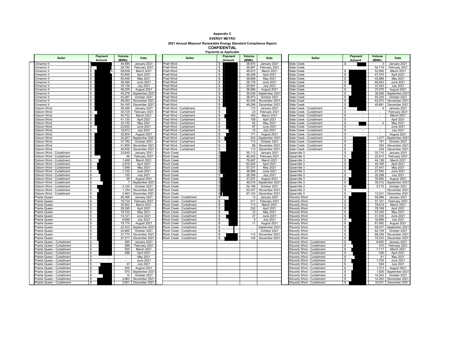#### **Appendix C EVERGY METRO 2021 Annual Missouri Renewable Energy Standard Compliance Report CONFIDENTIAL**

**Payments as Applicable**

| <b>Seller</b>                                              | Payment<br><b>Amount</b>     | Volume<br>(MWh)  | <b>Date</b>                    | <b>Seller</b>                                        | Payment<br>Amount        | Volume<br>(MWh) | <b>Date</b>                    | <b>Seller</b>                                            | Payment<br>Amount                     | Volume<br>(MWh)           | <b>Date</b>                    |
|------------------------------------------------------------|------------------------------|------------------|--------------------------------|------------------------------------------------------|--------------------------|-----------------|--------------------------------|----------------------------------------------------------|---------------------------------------|---------------------------|--------------------------------|
| Cimarron II                                                |                              | 44,584           | January 2021                   | Pratt Wind                                           |                          | 38,970          | January 2021                   | <b>Slate Creek</b>                                       |                                       | 3                         | January 2021                   |
| Cimarron II                                                |                              | 28,780           | February 2021                  | Pratt Wind                                           | \$                       | 26,967          | February 2021                  | <b>Slate Creek</b>                                       |                                       | 54,719                    | February 2021                  |
| timarron II                                                | s.                           | 58,639           | March 2021                     | Pratt Wind                                           | $\sqrt{2}$               | 49.672          | March 2021                     | <b>Slate Creek</b>                                       | $\mathbb{S}$                          | 52,856                    | March 2021                     |
| Cimarron II                                                | $\overline{\mathbf{s}}$      | 53,955           | April 2021                     | Pratt Wind                                           | $\overline{\mathbf{s}}$  | 48,268          | April 2021                     | Slate Creek                                              | $\overline{\mathbf{s}}$               | 57,374                    | April 2021                     |
| Cimarron II                                                | $\overline{\mathbf{s}}$      | 50,548           | May 2021                       | Pratt Wind                                           | $\overline{\mathbb{s}}$  | 39,899          | May 2021                       | Slate Creek                                              | $\overline{\mathbf{s}}$               | 45,889                    | May 2021                       |
| Cimarron II                                                | \$                           | 38,384           | <b>June 2021</b>               | Pratt Wind                                           | \$                       | 28,176          | <b>June 2021</b>               | <b>Slate Creek</b>                                       | \$                                    | 66,823                    | June 2021                      |
| Cimarron II                                                | $\sqrt[6]{\frac{1}{2}}$      | 35,136           | <b>July 2021</b>               | Pratt Wind                                           | $\sqrt{2}$               | 25,891          | <b>July 2021</b>               | Slate Creek                                              | $$\mathbb{S}$$                        | 37,043                    | <b>July 2021</b>               |
| Cimarron II                                                | $\overline{\mathcal{S}}$     | 48,255           | August 2021                    | Pratt Wind                                           | $\overline{\mathcal{S}}$ | 36,886          | August 2021                    | <b>Slate Creek</b>                                       | \$                                    | 37,075                    | August 2021                    |
| Cimarron II                                                | $\overline{\mathfrak{s}}$    | 45,278           | September 2021                 | Pratt Wind                                           | $\overline{\mathcal{S}}$ | 39,536          | September 2021                 | Slate Creek                                              | $\overline{\mathbb{S}}$               | 39,288                    | September 2021                 |
| Cimarron II                                                | $\mathsf{s}$                 | 43,287           | October 2021                   | Pratt Wind                                           | $\sqrt{2}$               | 38,973          | October 2021                   | Slate Creek                                              | \$                                    | 55,245                    | October 2021                   |
| Cimarron II                                                | $\overline{\mathcal{S}}$     | 48,092           | November 2021                  | <b>Pratt Wind</b>                                    | $\overline{\mathbf{s}}$  | 40,446          | November 2021                  | <b>Slate Creek</b>                                       | $\overline{\mathcal{S}}$              | 62,973                    | November 2021                  |
| Cimarron II                                                | $\overline{\mathbb{S}}$      | 54,165           | December 2021                  | Pratt Wind                                           | $\overline{\mathcal{S}}$ | 46,296          | December 2021                  | <b>Slate Creek</b>                                       | $\overline{\mathcal{S}}$              | 49,881                    | December 2021                  |
| Osborn Wind                                                | $\overline{\mathcal{S}}$     | 38,399           | January 2021                   | Pratt Wind - Curtailment                             | \$                       | 173             | January 2021                   | Slate Creek - Curtailment                                |                                       | 9                         | January 2021                   |
| Osborn Wind                                                | $\sqrt{2}$                   | 30,725           | February 2021                  | Pratt Wind - Curtailment                             | \$.                      | 23              | February 2021                  | Slate Creek - Curtailment                                | \$                                    |                           | February 2021                  |
| Osborn Wind                                                | $\mathsf{s}$                 | 50,752           | March 2021                     | Pratt Wind - Curtailment                             | $\overline{\mathbf{s}}$  | 355             | March 2021                     | Slate Creek - Curtailment                                | \$.<br>$\sim$                         | $\sim$                    | March 2021                     |
| Osborn Wind                                                | $\overline{\mathbf{s}}$      | 41,130           | April 2021                     | Pratt Wind - Curtailment                             | \$.                      | 158             | April 2021                     | Slate Creek - Curtailment                                |                                       | $\mathbb{Z}^{\mathbb{Z}}$ | April 2021                     |
| Osborn Wind                                                | $\mathsf{s}$                 | 33,150           | May 2021                       | Pratt Wind - Curtailment                             | S                        | 62              | May 2021                       | Slate Creek - Curtailment                                | \$                                    | $\Omega$                  | May 2021                       |
| Osborn Wind                                                | $\overline{\mathcal{S}}$     | 23,632           | <b>June 2021</b>               | Pratt Wind - Curtailment                             | \$                       | 97              | <b>June 2021</b>               | Slate Creek - Curtailment                                | \$.                                   | $\sim$                    | <b>June 2021</b>               |
| Osborn Wind                                                | $\overline{\mathbb{S}}$      | 19,473           | <b>July 2021</b>               | Pratt Wind - Curtailment                             | \$                       | 12              | <b>July 2021</b>               | <b>Slate Creek - Curtailment</b>                         | s.<br>$\sim$                          | $\sim$                    | <b>July 2021</b>               |
| Osborn Wind                                                | $\mathbb{S}$                 | 32.604           | August 2021                    | Pratt Wind - Curtailment                             | \$.                      | 171             | August 2021                    | Slate Creek - Curtailment                                | \$.<br>$\sim$                         | $\mathbf{r}$              | August 2021                    |
| Osborn Wind                                                | $\mathbb{S}$                 | 34,267           | September 2021                 | Pratt Wind - Curtailment                             | \$                       | 253             | September 2021                 | Slate Creek - Curtailment                                | \$.                                   | 1,277                     | September 2021                 |
| Osborn Wind                                                | $\sqrt{2}$                   | 37,782           | October 2021                   | Pratt Wind - Curtailment                             | s                        | 112             | October 2021                   | Slate Creek - Curtailment                                | \$.                                   | 191                       | October 2021                   |
| Osborn Wind                                                | $\overline{\mathcal{S}}$     | 41,856           | November 2021                  | Pratt Wind - Curtailment                             | \$                       | 88              | November 2021                  | Slate Creek - Curtailment                                | S.                                    | 354                       | November 2021                  |
| Osborn Wind                                                | $\overline{\mathbf{s}}$      | 48,656           | December 2021                  | Pratt Wind - Curtailment                             | \$.                      | 113             | December 2021                  | <b>Slate Creek - Curtailment</b>                         | S.                                    | 239                       | December 2021                  |
| Osborn Wind - Curtailment                                  | $\mathbb{S}$                 | 33.645           | January 2021                   | Rock Creek                                           |                          | 55.112          | January 2021                   | Spearville 3                                             | s.                                    | 32.715                    | January 2021                   |
| Osborn Wind - Curtailment                                  | \$                           | 46               | February 2021                  | <b>Rock Creek</b>                                    |                          | 45,242          | February 2021                  | Spearville 3                                             | $\overline{\mathbb{S}}$               | 22.913                    | February 2021                  |
| Osborn Wind - Curtailment                                  | \$                           | 1.468            | March 2021                     | <b>Rock Creek</b>                                    |                          | 76.487          | March 2021                     | Spearville 3                                             | $\mathbb{S}$                          | 44.136                    | March 2021                     |
| Osborn Wind - Curtailment                                  | \$                           | 2,919            | April 2021                     | <b>Rock Creek</b>                                    |                          | 63,925          | April 2021                     | Spearville 3                                             | $\mathsf{s}$                          | 40,185                    | April 2021                     |
| Osborn Wind - Curtailment                                  | \$                           | 1,598            | May 2021                       | <b>Rock Creek</b>                                    |                          | 57,331          | May 2021                       | pearville 3                                              | $\overline{\mathcal{S}}$              | 37,441                    | May 2021                       |
| Osborn Wind - Curtailment                                  | s.                           | 1,102            | June 2021                      | <b>Rock Creek</b>                                    |                          | 36,888          | <b>June 2021</b>               | Spearville 3                                             | $\overline{\mathbb{s}}$               | 27,550                    | June 2021                      |
| Osborn Wind - Curtailment                                  | \$                           | 120              | <b>July 2021</b>               | <b>Rock Creek</b>                                    | $\mathbb{S}^-$           | 28,389          | <b>July 2021</b>               | Spearville 3                                             | \$                                    | 25,298                    | <b>July 2021</b>               |
| Osborn Wind - Curtailment                                  | \$                           | 48               | August 2021                    | <b>Rock Creek</b>                                    |                          | 47,637          | August 2021                    | Spearville 3                                             | $\sqrt[6]{\frac{1}{2}}$               | 35,890                    | August 2021                    |
| Osborn Wind - Curtailment                                  | \$.                          |                  | September 2021                 | <b>Rock Creek</b>                                    |                          | 49,216          | September 2021                 | Spearville 3                                             | $\overline{\mathcal{S}}$              | 39,312                    | September 2021                 |
| Osborn Wind - Curtailment                                  | \$                           | 3,120            | October 2021                   | <b>Rock Creek</b>                                    |                          | 54,198          | October 2021                   | pearville 3                                              | $\overline{\mathbb{S}}$               | 9,715                     | October 2021                   |
| Osborn Wind - Curtailment                                  | \$                           | 1,164            | November 2021                  | <b>Rock Creek</b>                                    |                          | 62,347          | November 2021                  | Spearville 3                                             | s.                                    |                           | November 2021                  |
| Osborn Wind - Curtailment                                  | $\overline{\mathbb{S}}$      | 2,463            | December 2021                  | <b>Rock Creek</b>                                    |                          | 67,124          | December 2021                  | Spearville 3                                             | $\overline{\mathbf{s}}$               | 13,231                    | December 2021                  |
| Prairie Queen                                              | $\overline{\mathbb{S}}$      | 26,366           | January 2021                   | Rock Creek - Curtailment                             |                          | 13              | January 2021                   | <b>Naverly Wind</b>                                      | $\overline{\mathcal{S}}$              | 59,286                    | January 2021                   |
| Prairie Queen                                              | \$                           | 19,734           | February 2021                  | Rock Creek - Curtailment                             | s                        | 411             | February 2021                  | <b>Naverly Wind</b>                                      | $\sqrt{2}$                            | 57,191                    | February 2021                  |
| Prairie Queen                                              | $\mathsf{s}$                 | 35,902           | March 2021                     | Rock Creek - Curtailment                             | $\mathbb{S}$             | 713             | March 2021                     | Vaverly Wind                                             | $\sqrt{2}$                            | 78,819                    | March 2021                     |
| Prairie Queen                                              | $\mathbb{S}$                 | 29,395           | April 2021                     | Rock Creek - Curtailment                             | \$                       | 232             | April 2021                     | <b>Waverly Wind</b>                                      | $\overline{\mathcal{S}}$              | 78,168                    | April 2021                     |
| Prairie Queen                                              | \$                           | 19.722           | May 2021                       | Rock Creek - Curtailment                             | $\mathbf{s}$             | 12              | May 2021                       | <b>Naverly Wind</b>                                      | $\overline{\mathbf{s}}$               | 57.240                    | May 2021                       |
| Prairie Queen                                              | \$                           | 14,121           | June 2021                      | Rock Creek - Curtailment                             | S                        | 27              | June 2021                      | <b>Naverly Wind</b>                                      | $\frac{1}{2}$                         | 41,036                    | June 2021                      |
| Prairie Queen                                              | \$                           | 8,699            | <b>July 2021</b>               | Rock Creek - Curtailment                             | \$<br>\$                 | 6               | <b>July 2021</b>               | <b>Naverly Wind</b>                                      | $\overline{\mathbb{S}}$               | 32,866                    | <b>July 2021</b>               |
| Prairie Queen                                              | \$                           | 19,174           | August 2021                    | Rock Creek - Curtailment                             |                          | 11              | August 2021                    | Vaverly Wind                                             | $\overline{\mathbf{s}}$               | 61,992                    | August 2021                    |
| Prairie Queen                                              | $\mathbb{S}$<br>$\mathbb{S}$ | 22,432           | September 2021<br>October 2021 | Rock Creek - Curtailment                             | \$.<br>\$                | $\sim$          | September 2021                 | <b>Naverly Wind</b>                                      | $\overline{\mathbf{s}}$<br>$\sqrt{2}$ | 69,037                    | September 2021<br>October 2021 |
| Prairie Queen                                              | $\mathbb{S}$                 | 24,860<br>27.770 |                                | Rock Creek - Curtailment                             | s                        | $\sim$<br>112   | October 2021                   | <b>Waverly Wind</b>                                      | $\overline{\mathbf{s}}$               | 62.109<br>68.259          |                                |
| Prairie Queen<br>Prairie Queen                             | \$                           | 27,577           | November 2021<br>December 2021 | Rock Creek - Curtailment<br>Rock Creek - Curtailment | S                        | 145             | November 2021<br>December 2021 | <b>Naverly Wind</b><br><b>Naverly Wind</b>               | $\overline{\mathbf{s}}$               | 70,433                    | November 2021<br>December 2021 |
|                                                            |                              |                  |                                |                                                      |                          |                 |                                |                                                          | \$                                    |                           |                                |
| Prairie Queen - Curtailment<br>Prairie Queen - Curtailment | \$<br>s.                     | 285<br>288       | January 2021<br>February 2021  |                                                      |                          |                 |                                | Vaverly Wind - Curtailment<br>Waverly Wind - Curtailment | s.                                    | 6,655<br>470              | January 2021<br>February 2021  |
| Prairie Queen - Curtailment                                | \$                           | 520              | March 2021                     |                                                      |                          |                 |                                | Waverly Wind - Curtailment                               | $\overline{\mathbb{s}}$               | 7,117                     | March 2021                     |
| Prairie Queen - Curtailment                                | S                            | 598              | April 2021                     |                                                      |                          |                 |                                | Naverly Wind - Curtailment                               | s.                                    | 326                       | April 2021                     |
| Prairie Queen - Curtailment                                | \$.                          |                  | May 2021                       |                                                      |                          |                 |                                | Vaverly Wind - Curtailment                               | S                                     | 61                        | May 2021                       |
| Prairie Queen - Curtailment                                | \$                           | $\sim$           | June 2021                      |                                                      |                          |                 |                                | Vaverly Wind - Curtailment                               | $\overline{\mathbb{S}}$               | 1,754                     | June 2021                      |
| Prairie Queen - Curtailment                                | s.                           | 37               | <b>July 2021</b>               |                                                      |                          |                 |                                | Waverly Wind - Curtailment                               | \$                                    | 549                       | <b>July 2021</b>               |
| Prairie Queen - Curtailment                                | \$                           | 402              | August 2021                    |                                                      |                          |                 |                                | <b>Naverly Wind - Curtailment</b>                        | \$.                                   | 1,373                     | August 2021                    |
| Prairie Queen - Curtailment                                | \$.                          | 570              | September 2021                 |                                                      |                          |                 |                                | Naverly Wind - Curtailment                               | \$                                    | 1,926                     | September 2021                 |
| Prairie Queen - Curtailment                                | \$.                          | 14               | October 2021                   |                                                      |                          |                 |                                | Vaverly Wind - Curtailment                               | \$                                    | 10,303                    | October 2021                   |
| Prairie Queen - Curtailment                                | \$.                          | 3,862            | November 2021                  |                                                      |                          |                 |                                | <b>Naverly Wind - Curtailment</b>                        | S.                                    | 14,263                    | November 2021                  |
| Prairie Queen - Curtailment                                | s.                           | 2.901            | December 2021                  |                                                      |                          |                 |                                | Waverly Wind - Curtailment                               | $\bullet$                             | 16.031                    | December 2021                  |
|                                                            |                              |                  |                                |                                                      |                          |                 |                                |                                                          |                                       |                           |                                |